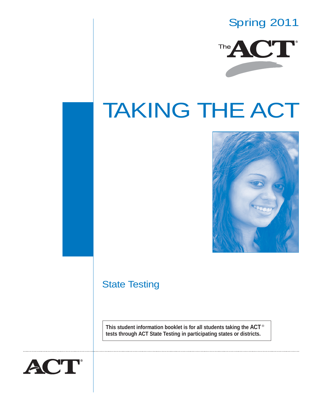# Spring 2011



# TAKING THE ACT



# State Testing

**This student information booklet is for all students taking the ACT** ® **tests through ACT State Testing in participating states or districts.**

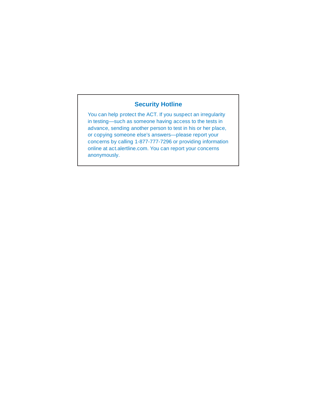## **Security Hotline**

You can help protect the ACT. If you suspect an irregularity in testing—such as someone having access to the tests in advance, sending another person to test in his or her place, or copying someone else's answers—please report your concerns by calling 1-877-777-7296 or providing information online at act.alertline.com. You can report your concerns anonymously.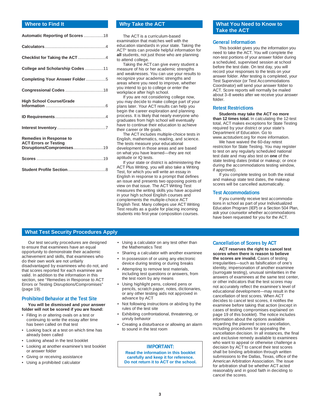| College and Scholarship Codes 11                                                            |
|---------------------------------------------------------------------------------------------|
|                                                                                             |
|                                                                                             |
| <b>High School Course/Grade</b>                                                             |
|                                                                                             |
|                                                                                             |
| <b>Remedies in Response to</b><br><b>ACT Errors or Testing</b><br>Disruptions/Compromises19 |
|                                                                                             |
|                                                                                             |

#### **Where to Find It Why Take the ACT**

The ACT is a curriculum-based examination that matches well with the education standards in your state. Taking the ACT® tests can provide helpful information for **all** students, not just those who are planning to attend college.

Taking the ACT can give every student a measure of his or her academic strengths and weaknesses. You can use your results to recognize your academic strengths and areas where you need to improve, whether you intend to go to college or enter the workplace after high school.

If you are not considering college now, you may decide to make college part of your plans later. Your ACT results can help you begin the career exploration and planning process. It is likely that nearly everyone who graduates from high school will eventually have to continue their education to achieve their career or life goals.

The ACT includes multiple-choice tests in English, mathematics, reading, and science. The tests measure your educational development in those areas and are based on what you have learned—they are not aptitude or IQ tests.

If your state or district is administering the ACT Plus Writing, you will also take a Writing Test, for which you will write an essay in English in response to a prompt that defines an issue and presents two opposing points of view on that issue. The ACT Writing Test measures the writing skills you have acquired in your high school English courses and complements the multiple-choice ACT English Test. Many colleges use ACT Writing Test results as a guide for placing incoming students into first-year composition courses.

#### **What You Need to Know to Take the ACT**

#### **General Information**

This booklet gives you the information you need to take the ACT. You will complete the non-test portions of your answer folder during a scheduled, supervised session at school before the test date. On test day, you will record your responses to the tests on your answer folder. After testing is completed, your Test Supervisor (or Test Accommodations Coordinator) will send your answer folder to ACT. Score reports will normally be mailed about 3–8 weeks after we receive your answer folder.

#### **Retest Restrictions**

**Students may take the ACT no more than 12 times total.** In calculating the 12-test total, ACT makes exceptions for State Testing required by your district or your state's Department of Education. Go to www.actstudent.org for more information.

We have waived the 60-day retest restriction for State Testing. You may register to test on any regularly scheduled national test date and may also test on **one** of the state testing dates (initial or makeup; or once during the accommodations testing window, if approved).

If you complete testing on both the initial and makeup state test dates, the makeup scores will be cancelled automatically.

#### **Test Accommodations**

If you currently receive test accommodations in school as part of your Individualized Education Program (IEP) or a Section 504 Plan, ask your counselor whether accommodations have been requested for you for the ACT.

#### **What Test Security Procedures Apply**

Our test security procedures are designed to ensure that examinees have an equal opportunity to demonstrate their academic achievement and skills, that examinees who do their own work are not unfairly disadvantaged by examinees who do not, and that scores reported for each examinee are valid. In addition to the information in this section, see "Remedies in Response to ACT Errors or Testing Disruptions/Compromises" (page 19).

#### **Prohibited Behavior at the Test Site**

**You will be dismissed and your answer folder will not be scored if you are found:**

- Filling in or altering ovals on a test or continuing to write the essay after time has been called on that test
- Looking back at a test on which time has already been called
- Looking ahead in the test booklet
- Looking at another examinee's test booklet or answer folder
- Giving or receiving assistance
- Using a prohibited calculator
- Using a calculator on any test other than the Mathematics Test
- Sharing a calculator with another examinee • In possession of or using any electronic device during testing or during breaks
- Attempting to remove test materials, including test questions or answers, from the test room by any means
- Using highlight pens, colored pens or pencils, scratch paper, notes, dictionaries, or any other testing aids not approved in advance by ACT
- Not following instructions or abiding by the rules of the test site
- Exhibiting confrontational, threatening, or unruly behavior
- Creating a disturbance or allowing an alarm to sound in the test room

**IMPORTANT:**

**Read the information in this booklet carefully and keep it for reference. Do not return it to ACT or the school.**

#### **Cancellation of Scores by ACT**

**ACT reserves the right to cancel test scores when there is reason to believe the scores are invalid.** Cases of testing irregularities—such as falsification of one's identity, impersonation of another examinee (surrogate testing), unusual similarities in the answers of examinees at the same test center, or other indicators that the test scores may not accurately reflect the examinee's level of educational development—may result in the cancellation of test scores. When ACT decides to cancel test scores, it notifies the examinee before taking that action (except in cases of testing compromises explained on page 19 of this booklet). The notice includes information about the options available regarding the planned score cancellation, including procedures for appealing the cancellation decision. In all instances, the final and exclusive remedy available to examinees who want to appeal or otherwise challenge a decision by ACT to cancel their test scores shall be binding arbitration through written submissions to the Dallas, Texas, office of the American Arbitration Association. The issue for arbitration shall be whether ACT acted reasonably and in good faith in deciding to cancel the scores.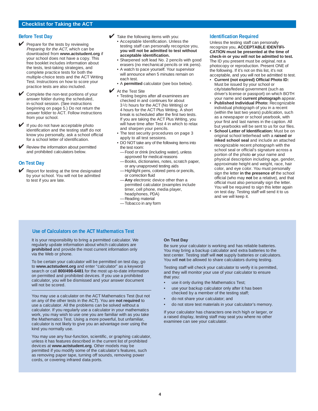#### **Before Test Day**

- **V** Prepare for the tests by reviewing Preparing for the ACT, which can be downloaded from **www.actstudent.org** if your school does not have a copy. This free booklet includes information about the tests, test-taking strategies, and complete practice tests for both the multiple-choice tests and the ACT Writing Test. Instructions on how to score your practice tests are also included.
- Complete the non-test portions of your answer folder during the scheduled, in-school session. (See instructions beginning on page 5.) Do not return the answer folder to ACT. Follow instructions from your school.
- ✔ If you do not have acceptable photo identification and the testing staff do not know you personally, ask a school official for a school letter of identification.
- Review the information about permitted and prohibited calculators below.

#### **On Test Day**

 $\blacktriangleright$  Report for testing at the time designated by your school. You will not be admitted to test if you are late.

- $\blacktriangleright$  Take the following items with you:
	- Acceptable Identification. Unless the testing staff can personally recognize you, **you will not be admitted to test without acceptable identification.**
	- Sharpened soft lead No. 2 pencils with good erasers (no mechanical pencils or ink pens).
	- A watch to pace yourself. Your supervisor will announce when 5 minutes remain on each test.
	- A **permitted** calculator (see box below).
- **✔** At the Test Site
	- Testing begins after all examinees are checked in and continues for about 3 1/2 hours for the ACT (No Writing) or 4 hours for the ACT Plus Writing. A short break is scheduled after the first two tests. If you are taking the ACT Plus Writing, you will have time after Test 4 in which to relax and sharpen your pencils.
	- The test security procedures on page 3 apply to all test sessions.
	- DO NOT take any of the following items into the test room:
	- —Food or drink (including water), unless approved for medical reasons
	- —Books, dictionaries, notes, scratch paper, or any unapproved testing aids
	- —Highlight pens, colored pens or pencils, or correction fluid
	- Any electronic device other than a permitted calculator (examples include timer, cell phone, media player, headphones, PDA)
	- —Reading material
	- —Tobacco in any form

#### **Identification Required**

Unless the testing staff can personally recognize you, **ACCEPTABLE IDENTIFI-CATION must be presented at the time of check-in or you will not be admitted to test.** The ID you present must be original, not a photocopy or reproduction. Present ONE of the following. If it's not on this list, it's not acceptable, and you will not be admitted to test.

- **Current (not expired) Official Photo ID:** Must be issued by your school or city/state/federal government (such as driver's license or passport) on which BOTH your name and **current photograph** appear.
- **Published Individual Photo:** Recognizable individual photograph of you in a recent (within the last two years) publication, such as a newspaper or school yearbook, with your first and last names in the caption. All but yearbooks will be sent to us for our files.
- **School Letter of Identification:** Must be on original school letterhead with a **raised or inked school seal** and include an attached recognizable recent photograph with the school seal or official's signature across a portion of the photo **or** your name and physical description including age, gender, approximate height and weight, race, hair color, and eye color. You must personally sign the letter **in the presence of** the school official (who may **not** be a relative), and that official must also personally sign the letter. You will be required to sign this letter again on test day. Testing staff will send it to us and we will keep it.

#### **Use of Calculators on the ACT Mathematics Test**

It is your responsibility to bring a permitted calculator. We regularly update information about which calculators are **prohibited** and provide the most current information only via the Web or phone.

To be certain your calculator will be permitted on test day, go to **www.actstudent.org** and enter "calculator" as a keyword search or call **800/498-6481** for the most up-to-date information on permitted and prohibited devices. If you use a prohibited calculator, you will be dismissed and your answer document will not be scored.

You may use a calculator on the ACT Mathematics Test (but not on any of the other tests in the ACT). You are **not required** to use a calculator. All the problems can be solved without a calculator. If you regularly use a calculator in your mathematics work, you may wish to use one you are familiar with as you take the Mathematics Test. Using a more powerful, but unfamiliar, calculator is not likely to give you an advantage over using the kind you normally use.

You may use any four-function, scientific, or graphing calculator, unless it has features described in the current list of prohibited devices at **www.actstudent.org**. Other models may be permitted if you modify some of the calculator's features, such as removing paper tape, turning off sounds, removing power cords, or covering infrared data ports.

#### **On Test Day**

Be sure your calculator is working and has reliable batteries. You may bring a backup calculator and extra batteries to the test center. Testing staff will **not** supply batteries or calculators. You will **not** be allowed to share calculators during testing.

Testing staff will check your calculator to verify it is permitted, and they will monitor your use of your calculator to ensure that you:

- use it only during the Mathematics Test;
- use your backup calculator only after it has been checked by a member of the testing staff;
- do not share your calculator; and
- do not store test materials in your calculator's memory.

If your calculator has characters one inch high or larger, or a raised display, testing staff may seat you where no other examinee can see your calculator.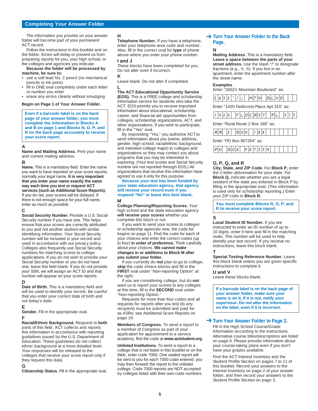#### **Completing Your Answer Folder**

The information you provide on your answer folder will become part of your permanent ACT record.

Follow the instructions in this booklet and on the folder. Errors will delay or prevent us from preparing reports for you, your high school, or the colleges and agencies you indicate.

#### **Because the folder will be processed by machine, be sure to:**

- use a soft lead No. 2 pencil (no mechanical pencils or ink pens)
- fill in ONE oval completely under each letter or number you enter
- erase any errors cleanly without smudging

#### **Begin on Page 1 of Your Answer Folder.**

**Even if a barcode label is on the back page of your answer folder, you must complete the information in Blocks A and B on page 1 and Blocks N, O, P, and R on the back page accurately to receive your score report.**

#### **A**

**Name and Mailing Address.** Print your name and current mailing address.

#### **B**

**Name.** This is a mandatory field. Enter the name you want to have reported on your score reports, normally your legal name. **It is very important that you enter your name exactly the same way each time you test or request ACT services (such as Additional Score Reports).** If you do not, your scores will be delayed. If

there is not enough space for your full name, enter as much as possible.

#### **C**

**Social Security Number.** Provide a U.S. Social Security number if you have one. This helps ensure that your scores are correctly attributed to you and not another student with similar identifying information. Your Social Security number will be included in your record and used in accordance with our privacy policy. Colleges also frequently use Social Security numbers for matching scores to college applications. If you do not wish to provide your Social Security number or you do not have one, leave this field blank. If you do not provide your SSN, we will assign an ACT ID and that number will appear on your score reports.

**D Date of Birth.** This is a mandatory field and will be used to identify your record. Be careful that you enter your correct date of birth and not today's date.

**E**

**Gender.** Fill in the appropriate oval. **F**

**Racial/Ethnic Background.** Respond to **both** parts of this field. ACT collects and reports this information in accordance with reporting guidelines issued by the U.S. Department of Education. These guidelines do not collect ethnic background at a more detailed level. Your responses will be released to the colleges that receive your score report only if they request this data.

#### **G**

**Citizenship Status.** Fill in the appropriate oval.

#### **H**

**Telephone Number.** If you have a telephone, enter your telephone area code and number. Also, fill in the correct oval for **type** of phone above where you enter your phone number.

#### **I and J**

These blocks have been completed for you. Do not alter even if incorrect.

#### **K**

Leave blank. Do not alter if completed. **L**

#### **The ACT Educational Opportunity Service**

**(EOS).** This is a FREE college and scholarship information service for students who take the ACT. EOS permits you to receive important information about educational, scholarship, career, and financial aid opportunities from colleges, scholarship organizations, ACT, and other organizations. If you wish to participate, fill in the "Yes" oval.

By responding "Yes," you authorize ACT to send information about you (name, address, gender, high school, racial/ethnic background, and intended college major) to colleges and organizations so they may contact you about programs that you may be interested in exploring. (Your test scores and Social Security number are not reported through EOS.) All organizations that receive this information have agreed to use it only for this purpose.

#### **Because your test has been funded by your state education agency, that agency will receive your record even if you respond "No" or leave this item blank. M**

**College Planning/Reporting Scores.** Your high school and the state education agency **will receive your scores** whether you complete this block or not.

If you want to send your scores to colleges or scholarship agencies now, the code list begins on page 11. Find the code for each of your choices and enter the correct codes (up to four) **in order of preference.** Think carefully about your choices. **We cannot make changes in or additions to Block M after you submit your folder.** 

If you currently do **not** plan to go to college, **skip** the code choice blocks and fill in the **FIRST** oval under "Non-reporting Option" at the right.

If you are considering college, but do **not** want us to report your scores to any colleges at this time, fill in the **SECOND** oval under "Non-reporting Option."

Requests for more than four codes and all requests for reports after you test (to any recipient) must be submitted and paid for as ASRs; see Additional Score Reports on page 19.

**Members of Congress.** To send a report to a member of Congress as part of your application for appointment to a service academy, find the code at **www.actstudent.org**.

**Unlisted Institutions.** To send a report to a college that is not listed in this booklet or on the Web, enter code 7000. One sealed report will be sent to you for each 7000 code entered; you may then forward the report to the unlisted college. Code 7000 reports are NOT accepted by colleges listed with their own code numbers.

#### **→ Turn Your Answer Folder to the Back Page.**

#### **N**

**Mailing Address.** This is a mandatory field. **Leave a space between the parts of your street address.** Use the slash "/" to designate fractions (e.g., 1 ⁄2, 3 ⁄4). If you live in an apartment, enter the apartment number after the street name.

#### **Examples**

Enter "26521/2 Mountain Boulevard" as:

Enter "1420 Fieldcrest Place Apt 315" as:



Enter "Rural Route 2 Box 188" as:



Enter "PO Box 907354" as:

|--|

#### **O, P, Q, and R**

**City, State, and ZIP Code.** For **Block P,** enter the 2-letter abbreviation for your state. For **Block Q,** indicate whether you are a legal resident of the state you entered in Block P by filling in the appropriate oval. (This information is used only for scholarship reporting.) Enter your ZIP code in **Block R.** 

**You must complete Blocks N, O, P, and R to receive your score report.**

#### **S**

**Local Student ID Number.** If you are instructed to enter an ID number of up to 10 digits, enter it here and fill in the matching ovals. This number will be used to help identify your test record. If you receive no instructions, leave this block blank.

**T**

**Special Testing Reference Number.** Leave this block blank unless you are given specific instructions to complete it.

#### **U and V**

Leave these blocks blank.

**If a barcode label is on the back page of your answer folder, make sure your name is on it. If it is not, notify your supervisor. Do not alter the information on the label, even if it is incorrect.**

## → Turn Your Answer Folder to Page 2.

Fill in the High School Course/Grade Information according to the instructions. Alternative course titles/descriptions are listed on page 6. Please provide information about your course-taking plans even if you don't have your grades available.

Find the ACT Interest Inventory and the Student Profile Section on pages 7 to 11 of this booklet. Record your answers to the Interest Inventory on page 2 of your answer folder, and then record your answers to the Student Profile Section on page 3.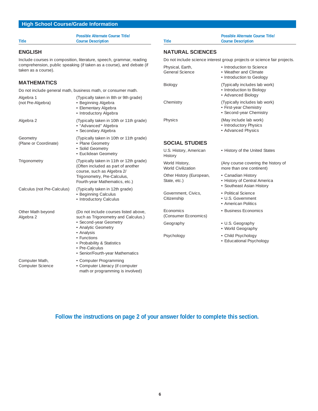### **High School Course/Grade Information**

**Possible Alternate Course Title/ Title Course Description**

#### **ENGLISH**

Include courses in composition, literature, speech, grammar, reading comprehension, public speaking (if taken as a course), and debate (if taken as a course).

## **MATHEMATICS**

Do not include general math, business math, or consumer math.

| Algebra 1<br>(not Pre-Algebra)     | (Typically taken in 8th or 9th grade)<br>• Beginning Algebra<br>• Elementary Algebra<br>• Introductory Algebra                                                                                                                                 | Ch <sub>6</sub>          |
|------------------------------------|------------------------------------------------------------------------------------------------------------------------------------------------------------------------------------------------------------------------------------------------|--------------------------|
| Algebra 2                          | (Typically taken in 10th or 11th grade)<br>• "Advanced" Algebra<br>• Secondary Algebra                                                                                                                                                         | Phy                      |
| Geometry<br>(Plane or Coordinate)  | (Typically taken in 10th or 11th grade)<br>• Plane Geometry<br>· Solid Geometry<br>• Euclidean Geometry                                                                                                                                        | SC<br>U.S<br><b>His</b>  |
| Trigonometry                       | (Typically taken in 11th or 12th grade)<br>(Often included as part of another<br>course, such as Algebra 2/<br>Trigonometry, Pre-Calculus,<br>Fourth-year Mathematics, etc.)                                                                   | Wo<br>Wo<br>Oth<br>Sta   |
| Calculus (not Pre-Calculus)        | (Typically taken in 12th grade)<br>• Beginning Calculus<br>• Introductory Calculus                                                                                                                                                             | Gov<br>Citi.             |
| Other Math beyond<br>Algebra 2     | (Do not include courses listed above,<br>such as Trigonometry and Calculus.)<br>· Second-year Geometry<br>• Analytic Geometry<br>• Analysis<br>• Functions<br>• Probability & Statistics<br>• Pre-Calculus<br>• Senior/Fourth-year Mathematics | Ecc<br>(Co<br>Geo<br>Psy |
| Computer Math,<br>Computer Science | • Computer Programming<br>• Computer Literacy (if computer<br>math or programming is involved)                                                                                                                                                 |                          |

## **Possible Alternate Course Title/ Title Course Description NATURAL SCIENCES** Do not include science interest group projects or science fair projects. Physical, Earth, **•** Introduction to Science<br>General Science • **•** Weather and Climate • Weather and Climate • Introduction to Geology Biology (Typically includes lab work) • Introduction to Biology • Advanced Biology emistry **Chemistry** (Typically includes lab work) • First-year Chemistry • Second-year Chemistry sics (May include lab work) • Introductory Physics • Advanced Physics **SCIAL STUDIES** . History, American • History of the United States itory rld History, and the Course covering the history of World Civilization more than one continent) ner History (European, • Canadian History te, etc.) • History of Central America • Southeast Asian History vernment, Civics, · · Political Science izenship • U.S. Government • American Politics Economics • Business Economics onsumer Economics) ography **• U.S. Geography** • World Geography

Psychology • Child Psychology

• Educational Psychology

**Follow the instructions on page 2 of your answer folder to complete this section.**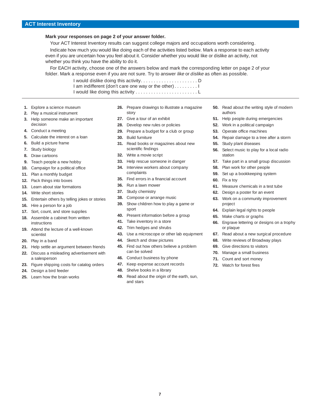#### **ACT Interest Inventory**

#### **Mark your responses on page 2 of your answer folder.**

Your ACT Interest Inventory results can suggest college majors and occupations worth considering.

Indicate how much you would like doing each of the activities listed below. Mark a response to each activity even if you are uncertain how you feel about it. Consider whether you would like or dislike an activity, not whether you think you have the ability to do it.

For EACH activity, choose one of the answers below and mark the corresponding letter on page 2 of your folder. Mark a response even if you are not sure. Try to answer like or dislike as often as possible.

> I would dislike doing this activity. . . . . . . . . . . . . . . . . . . . . . D I am indifferent (don't care one way or the other) . . . . . . . . . I I would like doing this activity . . . . . . . . . . . . . . . . . . . . . . . . L

- **1.** Explore a science museum
- **2.** Play a musical instrument
- **3.** Help someone make an important decision
- **4.** Conduct a meeting
- **5.** Calculate the interest on a loan
- **6.** Build a picture frame
- **7.** Study biology
- **8.** Draw cartoons
- **9.** Teach people a new hobby
- **10.** Campaign for a political office
- **11.** Plan a monthly budget
- **12.** Pack things into boxes
- **13.** Learn about star formations
- **14.** Write short stories
- **15.** Entertain others by telling jokes or stories
- **16.** Hire a person for a job
- **17.** Sort, count, and store supplies
- **18.** Assemble a cabinet from written instructions
- **19.** Attend the lecture of a well-known scientist
- **20.** Play in a band
- **21.** Help settle an argument between friends **22.** Discuss a misleading advertisement with a salesperson
- **23.** Figure shipping costs for catalog orders
- **24.** Design a bird feeder
- **25.** Learn how the brain works
- **26.** Prepare drawings to illustrate a magazine story
- **27.** Give a tour of an exhibit
- 28. Develop new rules or policies
- 29. Prepare a budget for a club or group
- **30.** Build furniture
- **31.** Read books or magazines about new scientific findings
- **32.** Write a movie script
- **33.** Help rescue someone in danger
- **34.** Interview workers about company complaints
- **35.** Find errors in a financial account
- **36.** Run a lawn mower
- **37.** Study chemistry
- **38.** Compose or arrange music
- **39.** Show children how to play a game or sport
- **40.** Present information before a group
- **41.** Take inventory in a store
- **42.** Trim hedges and shrubs
- **43.** Use a microscope or other lab equipment
- **44.** Sketch and draw pictures
- **45.** Find out how others believe a problem can be solved
- **46.** Conduct business by phone
- **47.** Keep expense account records
- **48.** Shelve books in a library
- **49.** Read about the origin of the earth, sun, and stars
- **50.** Read about the writing style of modern authors
- **51.** Help people during emergencies
- **52.** Work in a political campaign
- **53.** Operate office machines
- **54.** Repair damage to a tree after a storm
- **55.** Study plant diseases
- **56.** Select music to play for a local radio station
- **57.** Take part in a small group discussion
- **58.** Plan work for other people
- **59.** Set up a bookkeeping system
- **60.** Fix a toy
- **61.** Measure chemicals in a test tube
- **62.** Design a poster for an event
- **63.** Work on a community improvement project
- **64.** Explain legal rights to people
- **65.** Make charts or graphs
- **66.** Engrave lettering or designs on a trophy or plaque
- **67.** Read about a new surgical procedure
- **68.** Write reviews of Broadway plays
- **69.** Give directions to visitors
- **70.** Manage a small business
- **71.** Count and sort money
- **72.** Watch for forest fires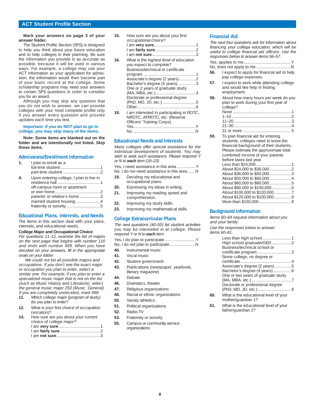#### **ACT Student Profile Section**

#### **Mark your answers on page 3 of your answer folder.**

The Student Profile Section (SPS) is designed to help you think about your future education and to help colleges in their planning. Be sure the information you provide is as accurate as possible, because it will be used in various ways. For example, a college may use your ACT information as your application for admission; the information would then become part of your basic record at the college. Some scholarship programs may need your answers to certain SPS questions in order to consider you for an award.

Although you may skip any question that you do not wish to answer, we can provide colleges with your most complete profile only if you answer every question and provide updates each time you test.

#### **Important: If you do NOT plan to go to college, you may skip many of the items.**

**Note: Some items are blanked out on the folder and are intentionally not listed. Skip those items.**

#### **Admissions/Enrollment Information**

| I plan to enroll as a                                                                                                                 |
|---------------------------------------------------------------------------------------------------------------------------------------|
| Upon entering college, I plan to live in<br>off-campus room or apartment<br>parents' or relative's home3<br>married student housing 4 |

#### **Educational Plans, Interests, and Needs**

The items in this section deal with your plans, interests, and educational needs.

#### **College Major and Occupational Choice**

For questions 11–12, examine the list of majors on the next page that begins with number 110 and ends with number 999. When you have decided on your answers, fill in the appropriate ovals on your folder.

We could not list all possible majors and occupations. If you don't see the exact major or occupation you plan to enter, select a similar one. For example, if you plan to enter a specialized music major that is not on the list (such as Music History and Literature), select the general music major 250 (Music, General). If you are completely undecided, mark 999.<br>**11.** Which college major (program of study

- **11.** Which college major (program of study) do you plan to enter?
- **12.** What is your first choice of occupation (vocation)?
- **14.** How sure are you about your current choice of college major?

**15.** How sure are you about your first occupational choice? I am **very sure**......................................1 I am **fairly sure**.....................................2 I am **not sure**........................................3 **16.** What is the highest level of education you expect to complete? Business/technical or certificate program................................................1 Associate's degree (2 years) ...............2 Bachelor's degree (4 years).................3 One or 2 years of graduate study (MA, MBA, etc.)....................................4 Doctorate or professional degree (PhD, MD, JD, etc.) ..............................5 Other.....................................................6 **18.** I am interested in participating in ROTC, NROTC, AFROTC, etc. (Reserve Officers' Training Corps). Yes........................................................Y No.........................................................N

#### **Educational Needs and Interests**

Many colleges offer special assistance for the individual development of students. You may wish to seek such assistance. Please respond Y or N to **each** item (19–23).

- Yes, I need assistance in this area. ................Y
- No, I do not need assistance in this area.......N **19.** Deciding my educational and
- occupational plans.
- **20.** Expressing my ideas in writing. **21.** Improving my reading speed and
- comprehension.
- **22.** Improving my study skills.
- **23.** Improving my mathematical skills.

#### **College Extracurricular Plans**

The next questions (40–55) list student activities you may be interested in at college. Please respond Y or N to **each** item.

|  | Yes, I do plan to participate Y |  |
|--|---------------------------------|--|

- No, I do not plan to participate.......................N
- **40.** Instrumental music
- **41.** Vocal music
- **42.** Student government
- **43.** Publications (newspaper, yearbook, literary magazine)
- **44.** Debate
- **46.** Dramatics, theater
- **47.** Religious organizations
- **48.** Racial or ethnic organizations
- **50.** Varsity athletics
- **51.** Political organizations
- **52.** Radio-TV
- **53.** Fraternity or sorority
- **55.** Campus or community service organizations

#### **Financial Aid**

The next four questions ask for information about financing your college education, which will be useful to college financial aid officers. Use the responses below to answer items 56–57.  $y_{\alpha\alpha}$  applies to me.

| <b>56.</b> Lexpect to apply for financial aid to help |
|-------------------------------------------------------|

- pay college expenses. **57.** I expect to work while attending college and would like help in finding employment.
- **58.** About how many hours per week do you plan to work during your first year of college?

#### None .....................................................1 1–10 ......................................................2 11–20 ....................................................3 21–30 ....................................................4

31 or more ............................................5 **59.** To plan financial aid for entering students, colleges need to know the financial background of their students. Please estimate the approximate total combined income of your parents before taxes last year. Less than \$24,000........... About \$24,000 to \$36,000....................2 About \$36,000 to \$50,000.....................3 About \$50,000 to \$60,000....................4 About \$60,000 to \$80,000....................5 About \$80,000 to \$100,000..................6 About \$100,000 to \$120,000................7 About \$120,000 to \$150,000................8

More than \$150,000 .............................9

#### **Background Information**

Items 60–64 request information about you and your family.

Use the responses below to answer items 60–61.

| Less than high school 1               |  |
|---------------------------------------|--|
| High school graduate/GED2             |  |
| Business/technical school or          |  |
| certificate program3                  |  |
| Some college, no degree or            |  |
|                                       |  |
| Associate's degree (2 years) 5        |  |
|                                       |  |
| One or two years of graduate study    |  |
|                                       |  |
| Doctorate or professional degree      |  |
|                                       |  |
| What is the educational level of your |  |

- mother/guardian 1?
- **61.** What is the educational level of your father/guardian 2?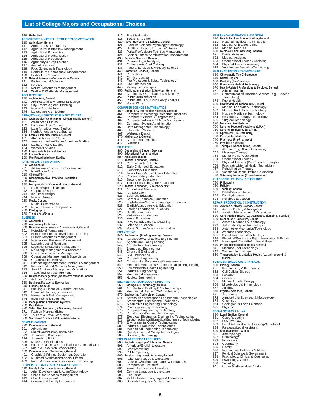#### **List of College Majors and Occupational Choices**

| 999                     | Undecided                                                                                                     |
|-------------------------|---------------------------------------------------------------------------------------------------------------|
| 110                     | <b>AGRICULTURE &amp; NATURAL RESOURCES CONSERVATION</b><br>Agriculture, General                               |
| 111                     | <b>Agribusiness Operations</b>                                                                                |
| 112<br>113              | Agricultural Business & Management<br><b>Agricultural Economics</b>                                           |
| 114                     | Agricultural Mechanization                                                                                    |
| 115<br>116              | Agricultural Production<br>Agronomy & Crop Science                                                            |
| 117                     | Animal Sciences                                                                                               |
| 118<br>119              | Food Sciences & Technology<br>Horticulture Operations & Management                                            |
| 120                     | Horticulture Science                                                                                          |
| 130<br>131              | <b>Natural Resources Conservation, General</b><br><b>Environmental Science</b>                                |
| 132<br>133              | Forestry<br>Natural Resources Management                                                                      |
| 134                     | Wildlife & Wildlands Management                                                                               |
| 140                     | <b>ARCHITECTURE</b><br>Architecture, General                                                                  |
| 141                     | Architectural Environmental Design                                                                            |
| 142<br>143              | City/Urban/Regional Planning<br>Interior Architecture                                                         |
| 144                     | Landscape Architecture                                                                                        |
| 150                     | <b>AREA, ETHNIC, &amp; MULTIDISCIPLINARY STUDIES</b><br>Area Studies, General (e.g., African, Middle Eastern) |
| 151                     | Asian Area Studies                                                                                            |
| 152<br>153              | European Area Studies<br>Latin American Area Studies                                                          |
| 154                     | North American Area Studies                                                                                   |
| 161                     | 160 Ethnic & Minority Studies, General<br>African American Studies                                            |
| 162<br>163              | American Indian/Native American Studies<br>Latino/Chicano Studies                                             |
| 164                     | Women's Studies                                                                                               |
| 170<br>180              | Liberal Arts & General Studies<br><b>Library Science</b>                                                      |
| 190                     | <b>Multi/Interdisciplinary Studies</b>                                                                        |
|                         | <b>ARTS: VISUAL &amp; PERFORMING</b><br>200 Art, General                                                      |
| 201                     | Art History, Criticism & Conservation                                                                         |
| 202<br>210              | Fine/Studio Arts<br>Cinema/Film                                                                               |
|                         | 220 Cinematography/Film/Video Production<br>230 Dance                                                         |
|                         | 240 Design & Visual Communications, General                                                                   |
| 241<br>242              | Fashion/Apparel Design<br>Graphic Design                                                                      |
| 243                     | Industrial Design                                                                                             |
| 244<br>250              | Interior Design<br>Music, General                                                                             |
| 251<br>252              | Music, Performance<br>Music, Theory & Composition                                                             |
| 260                     | Photography                                                                                                   |
| 270                     | <b>Theatre Arts/Drama</b><br><b>BUSINESS</b>                                                                  |
| 280                     | Accounting                                                                                                    |
| 290<br>300              | <b>Accounting Technician</b><br><b>Business Administration &amp; Management, General</b>                      |
| 301                     | Hotel/Motel Management                                                                                        |
| 302<br>303              | Human Resources Development/Training<br>Human Resources Management                                            |
| 304<br>305              | International Business Management<br>Labor/Industrial Relations                                               |
| 306                     | Logistics & Materials Management                                                                              |
| 307<br>308              | Marketing Management & Research<br>Office Supervision & Management                                            |
| 309                     | Operations Management & Supervision                                                                           |
| 310<br>$\frac{3}{2}$ 11 | Organizational Behavior<br>Purchasing/Procurement/Contracts Management                                        |
| 312<br>313              | Restaurant/Food Services Management<br>Small Business Management/Operations                                   |
| 314                     | Travel/Tourism Management                                                                                     |
| 320<br>321              | <b>Business/Management Quantitative Methods, General</b><br><b>Actuarial Science</b>                          |
| 330<br>340              | <b>Business/Managerial Economics</b><br>Finance, General                                                      |
| 341                     | Banking & Financial Support Services                                                                          |
| 342<br>343              | Financial Planning & Services<br>Insurance & Risk Management                                                  |
| 344                     | Investments & Securities                                                                                      |
| $\frac{350}{3}$<br>360  | <b>Management Information Systems</b><br><b>Real Estate</b>                                                   |
| 370                     | Sales, Merchandising, & Marketing, General                                                                    |
| 371<br>372              | Fashion Merchandising<br>Tourism & Travel Marketing                                                           |
| 380                     | <b>Secretarial Studies &amp; Office Administration</b>                                                        |
| 390                     | <b>COMMUNICATIONS</b><br><b>Communications, General</b>                                                       |
| 391<br>392              | Advertising                                                                                                   |
| 393                     | Digital Communications/Media<br>Journalism, Broadcast                                                         |
| 394<br>395              | Journalism, Print<br>Mass Communications                                                                      |
| 396                     | Public Relations & Organizational Communication                                                               |
| 397<br>400              | Radio & Television Broadcasting<br>Communications Technology, General                                         |
| 401                     | Graphic & Printing Equipment Operation                                                                        |
| 402                     | Multimedia/Animation/Special Effects                                                                          |

#### **COMMUNITY, FAMILY, & PERSONAL SERVICES**

- 
- 410 **Family & Consumer Sciences, General**<br>411 Adult Development & Aging/Gerontology<br>412 Child Development<br>413 Child Development
- 
- 414 Consumer & Family Economics
- 415 Food & Nutrition 416 Textile & Apparel 420 **Parks, Recreation, & Leisure, General** 421 Exercise Science/Physiology/Kinesiology<br>422 Health & Physical Education/Fitness<br>423 Parks/Rec/Leisure Facilities Management<br>424 **Personal Services, General**<br>430 **Personal Services, General** 431 Cosmetology/Hairstyling<br>432 Culinary Arts/Chef Training<br>433 Funeral Services & Mortuary Science<br>440 **Protective Services, General** 441 Corrections 442 Criminal Justice 443 Fire Protection & Safety Technology 444 Law Enforcement<br>445 Military Technolog 445 Military Technologies 450 **Public Administration & Services, General** 451 Community Organization & Advocacy 452 Public Administration 453 Public Affairs & Public Policy Analysis 454 Social Work<br>**COMPUTER SCIENCE & MATHEMATICS COMPUTER SCIENCE & MATHEMATICS<br>460 Computer & Information Sciences, General<br>461 Computer Networking/Telecommunications<br>462 Computer Software & Programming<br>463 Computer System Administration<br>464 Computer System Administrat** 465 Data Management Technology 466 Information Science 467 Webpage Design 470 **Mathematics, General** 471 Applied Mathematics 472 Statistics **EDUCATION** 480 **Counseling & Student Services** 490 **Educational Administration** 500 **Special Education** 510 **Teacher Education, General** 511 Curriculum & Instruction<br>512 Early Childhood Educati 512 Early Childhood Education 513 Elementary Education 514 Junior High/Middle School Education 515 Postsecondary Education 516 Secondary Education 516 Secondary Education<br>517 Teacher Assisting/Aide Education<br>520 **Teacher Education, Subject-Specific**<br>521 Agricultural Education 520 **Teacher Education, Subject-Specific** 521 Agricultural Education 522 Art Education<br>523 Business Educ<br>524 Career & Tech 523 Business Education 524 Career & Technical Education 525 English-as-a-Second-Language Education<br>526 English/Language Arts Education<br>527 Foreign Languages Education<br>528 Health Education<br>530 Music Education<br>530 Music Education 531 Physical Education & Coaching<br>532 Science Education<br>533 Social Studies/Sciences Educat 532 Science Education 533 Social Studies/Sciences Education **ENGINEERING**<br>540 **Engineering (Pre-Engineering), General**<br>541 Aerospace/Aeronautical Engineering<br>542 Agricultural/Bioengineering<br>543 Architectural Engineering<br>544 Biomedical Engineering 544<br>545 Chemical Engineering<br>546 Civil Engineering<br>547 Computer Engineering 546 Civil Engineering<br>
Tomputer Engineering<br>
Computer Engineering<br>
1647 Computer Engineering<br>
1648 Construction Engineering<br>
1648 Christinal Health Engineering<br>
16551 Industrial Engineering<br>
16551 Industrial Engineering<br>
1
	-
	-
	-

- 
- 
- 

- 591 American/English Literature<br>592 Creative Writing<br>693 Public Speaking<br>601 **Foreign Languages/Literatures, General**<br>601 **Asian Languages & Literatures**<br>602 Classical/Ancient Languages & Literature<br>604 French Language & L
- 
- 
- 
- 
- sus<br>607 Middle Eastern Languages & Literatures<br>608 Spanish Language & Literature
	- Spanish Language & Literature

|       | 612        | Medical Office/Secretarial                                                         |
|-------|------------|------------------------------------------------------------------------------------|
|       | 613        | Medical Records                                                                    |
|       | 620        | <b>Medical/Clinical Assisting, General</b>                                         |
|       | 621        | <b>Dental Assisting</b>                                                            |
|       | 622        | Medical Assisting                                                                  |
|       | 623        | Occupational Therapy Assisting                                                     |
|       | 624        | Physical Therapy Assisting                                                         |
|       | 625        | Veterinarian Assisting/Technology                                                  |
|       |            | <b>HEALTH SCIENCES &amp; TECHNOLOGIES</b>                                          |
|       |            | 630 Chiropractic (Pre-Chiropractic)                                                |
|       |            | 640 Dental Hygiene                                                                 |
|       |            | 650 Dentistry (Pre-Dentistry)<br>660 Emergency Medical Technology                  |
|       |            |                                                                                    |
|       |            | 670 Health-Related Professions & Services, General                                 |
|       | 671        | Athletic Training                                                                  |
|       | 672        | Communication Disorder Services (e.g., Speech                                      |
|       |            | Pathology)                                                                         |
|       | 673        | Public Health                                                                      |
|       |            | 680 Health/Medical Technology, General                                             |
|       | 681        | Medical Laboratory Technology<br>Medical Radiologic Technology                     |
|       | 682        |                                                                                    |
|       | 683        | Nuclear Medicine Technology                                                        |
|       | 684        | Respiratory Therapy Technology                                                     |
|       | 685        | Surgical Technology                                                                |
|       | 690        | Medicine (Pre-Medicine)                                                            |
|       |            | 700 Nursing, Practical/Vocational (L.P.N.)                                         |
|       |            | 710 Nursing, Registered (B.S./R.N.)<br>720 Optometry (Pre-Optometry)               |
|       |            |                                                                                    |
|       |            |                                                                                    |
|       |            | 730 Osteopathic Medicine<br>740 Pharmacy (Pre-Pharmacy)<br>750 Physician Assisting |
|       |            | 760 Therapy & Rehabilitation, General                                              |
|       | 761        | Alcohol/Drug Abuse Counseling                                                      |
|       | 762        | Massage Therapy                                                                    |
|       | 763        | Mental Health Counseling                                                           |
|       | 764        | Occupational Therapy                                                               |
|       | 765        | Physical Therapy (Pre-Physical Therapy)                                            |
|       | 766        | Psychiatric/Mental Health Technician                                               |
|       | 767        | Rehabilitation Therapy                                                             |
|       | 768        | Vocational Rehabilitation Counseling                                               |
|       |            | 770 Veterinary Medicine (Pre-Veterinarian)                                         |
|       |            | PHILOSOPHY, RELIGION, & THEOLOGY                                                   |
|       |            | 780 Philosophy                                                                     |
|       |            | 790 Religion                                                                       |
|       |            |                                                                                    |
|       |            | 800 Theology, General                                                              |
|       | 801        | <b>Bible/Biblical Studies</b>                                                      |
|       | 802        | Divinity/Ministry                                                                  |
|       | 803        | Religious Education                                                                |
|       |            | <b>REPAIR, PRODUCTION, &amp; CONSTRUCTION</b>                                      |
|       |            | 810 Aviation & Airway Science, General                                             |
|       | 811        | Aircraft Piloting & Navigation                                                     |
|       | 812        | Aviation Management & Operations                                                   |
|       | 820        | Construction Trades (e.g., carpentry, plumbing, electrical)                        |
|       |            |                                                                                    |
|       |            | 830 Mechanics & Repairers, General<br>831 Aircraft Mechanics/Technology            |
|       | 832        | Autobody Repair/Technology                                                         |
|       | 833        | Automotive Mechanics/Technology                                                    |
|       | 834        | Avionics Technology                                                                |
|       | 835        | Diesel Mechanics/Technology                                                        |
|       | 836        | Electrical/Electronics Equip Installation & Repair                                 |
|       | 837        | Heating/Air Cond/Refrig Install/Repair                                             |
|       | 840        | <b>Precision Production Trades, General</b>                                        |
|       | 841        | Machine Tool Technology                                                            |
|       | 842        | Welding Technology                                                                 |
|       | 850        | Transportation & Materials Moving (e.g., air, ground, &                            |
|       |            | marine)                                                                            |
|       |            | <b>SCIENCES: BIOLOGICAL &amp; PHYSICAL</b>                                         |
| ering |            | 860 Biology, General                                                               |
|       | 861        | Biochemistry & Biophysics                                                          |
|       | 862        | Cell/Cellular Biology                                                              |
|       | 863        | Ecology                                                                            |
|       | 864        | Genetics                                                                           |
|       | 865<br>866 | Marine/Aquatic Biology<br>Microbiology & Immunology                                |

**HEALTH ADMINISTRATION & ASSISTING** 610 **Health Services Administration, General** 611 Hospital/Facilities Administration

867 Zoology

- 870 **Physical Sciences, General**<br>871 Astronomy<br>872 Atmospheric Sciences & Meteorology
- 
- 873 Chemistry 874 Geological & Earth Sciences 875 Physics
- 

## **SOCIAL SCIENCES & LAW**

- 880 **Legal Studies, General** 881 Court Reporting
- 
- 882 Law (Pre-Law)<br>883 Legal Adminis<br>884 Paralegal/Lega 883 Legal Administrative Assisting/Secretarial 884 Paralegal/Legal Assistant
- 
- 890 **Social Sciences, General**<br>891 Anthropology<br>892 Criminology
- 
- 891 Anthropology 892 Criminology
	-
- 893 Economics<br>894 Geograph<br>895 History 894 Geography 895 History
- 
- 
- 896 International Relations & Affairs 897 Political Science & Government 898 Psychology, Clinical & Counseling 899 Psychology, General 900 Sociology 901 Urban Studies/Urban Affairs
- 
- 
-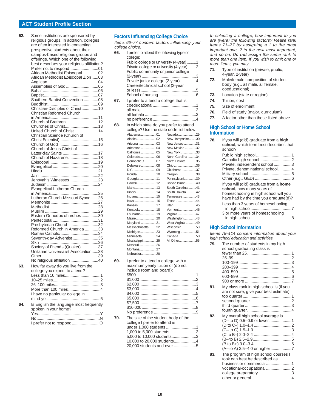#### **ACT Student Profile Section**

| 62. | Some institutions are sponsored by         |
|-----|--------------------------------------------|
|     | religious groups. In addition, colleges    |
|     | are often interested in contacting         |
|     | prospective students about their           |
|     | campus-based religious groups and          |
|     | offerings. Which one of the following      |
|     | best describes your religious affiliation? |
|     |                                            |
|     | African Methodist Episcopal 02             |
|     | African Methodist Episcopal Zion03         |
|     |                                            |
|     |                                            |
|     |                                            |
|     |                                            |
|     | Southern Baptist Convention 08             |
|     |                                            |
|     |                                            |
|     | Christian Reformed Church                  |
|     |                                            |
|     | Church of Brethren12                       |
|     | Churches of Christ13                       |
|     | United Church of Christ14                  |
|     | Christian Science (Church of               |
|     |                                            |
|     |                                            |
|     | Church of Jesus Christ of                  |
|     |                                            |
|     | Church of Nazarene 18                      |
|     |                                            |
|     |                                            |
|     |                                            |
|     | Jehovah's Witnesses23                      |
|     |                                            |
|     | Evangelical Lutheran Church                |
|     |                                            |
|     | Lutheran Church-Missouri Synod 26          |
|     |                                            |
|     |                                            |
|     |                                            |
|     | Eastern Orthodox churches30                |
|     |                                            |
|     | Presbyterian Church 32                     |
|     | Reformed Church in America 33              |
|     |                                            |
|     | Seventh-day Adventist 35                   |
|     |                                            |
|     | Society of Friends (Quaker) 37             |
|     | Unitarian Universalist Association38       |
|     |                                            |
|     | No religious affiliation 40                |
| 63  | How far away do you live from the          |
|     | college you expect to attend?              |
|     | Less than 10 miles1                        |
|     |                                            |
|     |                                            |
|     |                                            |
|     | I have no particular college in            |
|     |                                            |
| 64. | Is English the language most frequently    |
|     | spoken in your home?                       |
|     |                                            |
|     |                                            |
|     |                                            |
|     |                                            |

#### **Factors Influencing College Choice**

Items 66–77 concern factors influencing your college choice.

- **66.** I prefer to attend the following type of college: Public college or university (4-year) .........1 Private college or university (4-year) ........2 Public community or junior college (2-year) .................................................3 Private junior college (2-year) ..............4 Career/technical school (2-year or less) ..................................................5 School of nursing..................................6 **67.** I prefer to attend a college that is coeducational.......................................1 all male..................................................2 all female ..............................................3 no preference .......................................4 **68.** In which state do you prefer to attend college? Use the state code list below. Alabama...................01 Alaska.......................02 Arizona .....................03 New Jersey ..............31 Arkansas ..................04 California ..................05 New York..................33 Colorado...................06 Connecticut..............07 Delaware ..................08 Ohio ..........................36 D.C. ..........................09 Florida.......................10 Oregon .....................38 Georgia.....................11 Hawaii.......................12 Idaho.........................13 Illinois........................14 Indiana......................15 Tennessee................43 Iowa ..........................16 Kansas......................17 Kentucky ..................18 Louisiana..................19 Maine........................20 Maryland ..................21 Massachusetts.........22 Michigan...................23 Minnesota.................24 Mississippi................25 Missouri ....................26 Montana ...................27 Nebraska..................28 Nevada.....................29 New Hampshire.........30 New Mexico .............32 North Carolina..........34 North Dakota............35 Oklahoma.................37 Pennsylvania............39 Rhode Island............40 South Carolina..........41 South Dakota............42 Texas........................44 Utah ..........................45 Vermont....................46 Virginia......................47 Washington ..............48 West Virginia ............49 Wisconsin.................50 Wyoming ..................51 Canada.....................53 All Other....................55
- **69.** I prefer to attend a college with a maximum yearly tuition of (do not include room and board): \$500......................................................1 \$1,000...................................................2 \$2,000...................................................3 \$3,000...................................................4 \$4,000...................................................5 \$5,000...................................................6 \$7,500...................................................7 \$10,000.................................................8 No preference ......................................9

**70.** The size of the student body of the college I prefer to attend is under 1,000 students ...........................1 1,000 to 5,000 students........................2 5,000 to 10,000 students......................3 10,000 to 20,000 students....................4 20,000 students and over ....................5 In selecting a college, how important to you are (were) the following factors? Please rank items 71–77 by assigning a 1 to the most important one, 2 to the next most important, and so on. Do **not** assign the same rank to more than one item. If you wish to omit one or more items, you may.

- **71.** Type of institution (private, public; 4-year, 2-year)
- **72.** Male/female composition of student body (e.g., all male, all female, coeducational)
- **73.** Location (state or region)
- **74.** Tuition, cost
- **75.** Size of enrollment
- **76.** Field of study (major, curriculum)
- **77.** A factor other than those listed above

#### **High School or Home School Information**

| 78. | If you will (did) graduate from a <b>high</b><br>school, which term best describes that<br>school?                                                    |
|-----|-------------------------------------------------------------------------------------------------------------------------------------------------------|
|     | Private, independent school 3<br>Private, denominational school4                                                                                      |
|     |                                                                                                                                                       |
|     | If you will (did) graduate from a home<br>school, how many years of<br>homeschooling in high school will you<br>have had by the time you graduate(d)? |
|     | Less than 3 years of homeschooling<br>3 or more years of homeschooling                                                                                |
|     |                                                                                                                                                       |

#### **High School Information**

Items 79–114 concern information about your high school education and activities.

| 79. | The number of students in my high<br>school graduating class is                                                                                      |  |
|-----|------------------------------------------------------------------------------------------------------------------------------------------------------|--|
| 81. | My class rank in high school is (if you<br>are not sure, give your best estimate)                                                                    |  |
| 82. | My overall high school average is<br>(D- to D) 0.5-0.9 or lower1                                                                                     |  |
| 83. | The program of high school courses I<br>took can best be described as<br>business or commercial1<br>vocational-occupational2<br>college preparatory3 |  |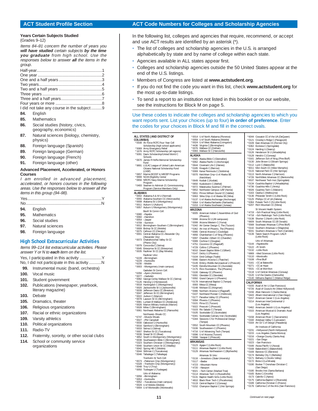#### **Years Certain Subjects Studied**

(Grades 9–12)

Items 84–91 concern the number of years you **will have studied** certain subjects **by the time you graduate** from high school. Use the responses below to answer **all** the items in the group.

I did not take any course in the subject..........9

- **84.** English
- **85.** Mathematics
- **86.** Social studies (history, civics, geography, economics)
- **87.** Natural sciences (biology, chemistry, physics)
- **88.** Foreign language (Spanish)
- **89.** Foreign language (German)
- **90.** Foreign language (French)
- **91.** Foreign language (other)

#### **Advanced Placement, Accelerated, or Honors Courses**

I am enrolled in advanced placement, accelerated, or honors courses in the following areas. Use the responses below to answer all the items in this group (94–98).

| 04 English |  |
|------------|--|

- **94.** English
- **95.** Mathematics
- **96.** Social studies
- **97.** Natural sciences
- **98.** Foreign language

#### **High School Extracurricular Activities**

Items 99–114 list extracurricular activities. Please answer Y or N to **each** item on the list. Yes, I participated in this activity .......................... No, I did not participate in this activity ...........N **99.** Instrumental music (band, orchestra) **100.** Vocal music **101.** Student government **102.** Publications (newspaper, yearbook, literary magazine) **103.** Debate **105.** Dramatics, theater **106.** Religious organizations **107.** Racial or ethnic organizations **109.** Varsity athletics **110.** Political organizations **111.** Radio-TV **112.** Fraternity, sorority, or other social clubs

**114.** School or community service organizations

#### **ACT Student Profile Section ACT Code Numbers for Colleges and Scholarship Agencies**

In the following list, colleges and agencies that require, recommend, or accept and use ACT results are identified by an asterisk (\*).

- The list of colleges and scholarship agencies in the U.S. is arranged alphabetically by state and by name of college within each state.
- Agencies available in ALL states appear first.

ALAB \*000<br>003 <mark>\*</mark>

- Colleges and scholarship agencies outside the 50 United States appear at the end of the U.S. listings.
- Members of Congress are listed at **www.actstudent.org**.
- If you do not find the code you want in this list, check **www.actstudent.org** for the most up-to-date listings.
- To send a report to an institution not listed in this booklet or on our website, see the instructions for Block M on page 5.

Use these codes to indicate the colleges and scholarship agencies to which you want reports sent. List your choices (up to four) **in order of preference**. Enter the codes for your choices in Block M and fill in the correct ovals.

| *0059 U of South Alabama (Mobile)<br>COLUMBIA)<br>*0024 U of West Alabama (Livingston)<br>*0548 Air Force ROTC Four-Year Coll<br>*0109 East Arkansas CC (Forrest City)<br>*4436 Virginia C (Birmingham)<br>*0076 Wallace CC (Dothan)<br>Scholarship (high school applicants)<br>*6362 Ecclesia C (Springdale)<br>*5069 Army Emergency Relief<br>*0124 Harding U (Searcy)<br>*0083 Wallace St C (Hanceville)<br>*1676 Army ROTC Scholarship (all regions)<br>*5091 Davis Scholarship/United World C<br>*0128 Hendrix C (Conway)<br>ALASKA<br>Schools<br>*0161 Jefferson Sch of Nrsg (Pine Bluff)<br>*0065 Alaska Bible C (Glennallen)<br>*0670 James R Hoffa Memorial Scholarship<br>*0062 Alaska Pacific U (Anchorage)<br>Fund<br>*0112 Lyon C (Batesville)<br>*0644 Covenant Life C (Haines)<br>*9891 LULAC League of United Latin American<br>*0185 Ilisagvik C (Barrow)<br>Citizens National Scholarship Fund<br>*0115 National Park CC (Hot Springs)<br>*0069 Kenai Peninsula C (Soldotna)<br>(LNSF)<br>*0657 Marine BOOST & MECEP Programs<br>*0113 North Arkansas C (Harrison)<br>*0070 Ketchikan Cmp-U of Alaska SE<br>*9999 NCAA Eligibility Center<br>(Ketchikan)<br>*0656 NROTC Navy-Marine Scholarship<br>*0649 Kodiak C (Kodiak)<br>Program<br>*0650 Kuskokwim C (Bethel)<br>*0493 Seamen to Admiral-21 Commissioning<br>*4736 Ouachita Hills C (Amity)<br>*0072 Matanuska-Susitna C (Palmer)<br>Program (Service Members Only)<br>*6026 Ouachita Tech C (Malvern)<br>*0652 Northwest Campus-UAF (Nome)<br>*5163 Ozarka C (Melbourne)<br>ALABAMA<br>*0651 Prince William Sound CC (Valdez)<br>*0136 Philander Smith C (Little Rock)<br>*0002 Alabama A & M U (Normal)<br>*0063 Sitka Cmp-U of Alaska SE (Sitka)<br>*0055 Alabama Southern CC (Monroeville)<br>*0125 Phillips CC of UA (Helena)<br>*0137 U of Alaska Anchorage (Anchorage)<br>*0008 Alabama St U (Montgomery)<br>*0064 U of Alaska Fairbanks (Fairbanks)<br>*0011 Auburn U (Auburn)<br>*6207 Rich Mountain CC (Mena)<br>*0153 U of Alaska Southeast (Juneau)<br>*0057 Auburn U Montgomery (Montgomery)<br>ARIZONA<br>Bevill St Comm Coll:<br>*4719 -Sch Practical Nrsg (Little Rock)<br>*6005 American Indian C Assemblies of God<br>*0080 -Fayette<br>*4718 -Sch Radiologic Tech (Little Rock)<br>(Phoenix)<br>*0060 -Hamilton<br>*0138 Shorter C (North Little Rock)<br>*0088 Arizona St U (All campuses)<br>*0054 -Jasper<br>*0099 Arizona Western C (Yuma)<br>*4709 -Sumiton<br>*5342 Art Center Design C, The (Tucson)<br>*0012 Birmingham-Southern C (Birmingham)<br>*0009 Bishop St CC (Mobile)<br>*5362 Art Inst of Phoenix, The (Phoenix)<br>*0075 Calhoun CC (Decatur)<br>*0085 Central Arizona C (Coolidge)<br>*0139 Talent Search Program-UALR<br>*0001 Central Alabama CC-Alexander City<br>*4956 Chamberlain C of Nrsg (Phoenix)<br>(Little Rock)<br>(Alexander City)<br>*0097 Chandler-Gilbert CC (Chandler)<br>*0073 Chattahoochee Valley St CC<br>*0089 Cochise C (Douglas)<br>Univ of Arkansas:<br>(Phenix City)<br>*0144 -Fayetteville<br>*4751 Coconino CC (Flagstaff)<br>*0079 Concordia C (Selma)<br>*0122 -Ft Smith<br>*4729 Collins C (Phoenix)<br>*0045 Enterprise St CC (Enterprise)<br>*0132 -Little Rock<br>*6010 Desert Baptist Bible C (Gilbert)<br>*0035 Faulkner St CC (Bay Minette)<br>*6869 -Med Sciences (Little Rock)<br>*0147 DeVry U (Phoenix)<br>Faulkner Univ:<br>*0110 -Monticello<br>*0104 Dinè College (Tsaile)<br>*6228 -Birmingham<br>*0108 -Pine Bluff<br>*0090 Eastern Arizona C (Thatcher)<br>*6229 -Huntsville<br>*5161 -CC at Batesville<br>*0149 Embry-Riddle Aeronautical U (Prescott)<br>*6230 -Mobile<br>*6271 -CC at Hope<br>*5435 Estrella Mountain CC (Avondale)<br>*0003 -Montgomery (main campus)<br>*5531 -CC at Morrilton<br>*2175 Flinn Foundation, The (Phoenix)<br>Gadsden St Comm Coll:<br>*0100 Gateway CC (Phoenix)<br>*0118 U of Central Arkansas (Conway)<br>*6356 - Ayers (Anniston)<br>*0120 U of the Ozarks (Clarksville)<br>*0091 Glendale CC (Glendale)<br>*0077 -Gadsden<br>*0092 Grand Canyon U (Phoenix)<br>*0082 George Corley Wallace St CC (Selma)<br>*0178 International Baptist C (Tempe)<br>*5126 Herzing U (Homewood)<br>CALIFORNIA<br>*0018 Huntingdon C (Montgomery)<br>0093 Mesa CC (Mesa)<br>*0020 Jacksonville St U (Jacksonville)<br>*0148 Mohave CC (Kingman)<br>*0039 Jefferson Davis CC (Brewton)<br>*0086 Northern Arizona U (Flagstaff)<br>*0047 Jefferson St CC (Birmingham)<br>*0107 Northland Pioneer C (Holbrook)<br>*0022 Judson C (Marion)<br>*0177 Paradise Valley CC (Phoenix)<br>*0157 American Career C (Los Angeles)<br>*0078 Lawson St CC (Birmingham)<br>*0094 Phoenix C (Phoenix)<br>*0214 American InterContinental U<br>*0081 Lurleen B Wallace CC (Andalusia)<br>*0101 Pima CC (Tucson)<br>(Los Angeles)<br>*0026 Marion Military Institute (Marion)<br>*5022 Prescott C (Prescott)<br>*0028 Miles C (Birmingham)<br>*0103 Rio Salado C (Tempe)<br>*0061 Northeast Alabama CC (Rainsville)<br>*0105 Scottsdale CC (Scottsdale)<br>(Los Angeles)<br>Northwest-Shoals CC:<br>*6341 Scottsdale Culinary Inst (Scottsdale)<br>*0158 American River C (Sacramento)<br>*6747 -Muscle Shoals<br>*5344 Sessions C for Professional Design<br>*0027 - Phil Campbell<br>*0160 Antelope Valley C (Lancaster)<br>(Tempe)<br>*0030 Oakwood U (Huntsville)<br>*0552 South Mountain CC (Phoenix)<br>*0016 Samford U (Birmingham)<br>*0106 Southwestern C (Phoenix)<br>*0033 Selma U (Selma)<br>*0007 Shelton St CC (Tuscaloosa)<br>*4716 U of Advancing Tech (Tempe)<br>*0036 Snead St CC (Boaz)<br>*0096 U of Arizona (Tucson)<br>*0216 -Orange County (Santa Ana)<br>*4852 South U-Montgomery (Montgomery)<br>*0098 Yavapai C (Prescott)<br>*0221 -San Diego<br>*0038 Southeastern Bible C (Birmingham)<br>ARKANSAS<br>*0223 -San Francisco<br>*5323 Southern Christian U (Montgomery)<br>*0040 Southern Union St CC (Wadley)<br>*0123 Agape C (Little Rock)<br>*0166 Azusa Pacific U (Azusa)<br>*0111 Arkansas Baptist C (Little Rock)<br>*0042 Spring Hill C (Mobile)<br>*0129 Arkansas Northeastern C (Blytheville)<br>*0044 Stillman C (Tuscaloosa)<br>*0169 Barstow CC (Barstow)<br>*0046 Talladega C (Talladega)<br>*0174 Berkeley City C (Berkeley)<br>Arkansas St Univ:<br>Trenholm St Tech Coll:<br>*0171 Bethany U (Scotts Valley)<br>*0116 -Jonesboro (State University)<br>*6573 -Patterson Cmp (Montgomery)<br>*0172 Biola U (La Mirada)<br>*0117 -Beebe<br>*6328 -Trenholm Cmp (Montgomery)<br>*4723 -Mountain Home<br>*0048 Troy U (Troy)<br>(San Diego)<br>*4720 -Newport<br>*0050 Tuskegee U (Tuskegee)<br>*0180 Brooks Inst (Santa Barbara)<br>*6021 -Tech Center (Marked Tree)<br>Univ of Alabama:<br>*0165 Butte C (Oroville)<br>*0114 Arkansas Tech U (Russellville)<br>*0056 -Birmingham<br>0173 Cabrillo C (Aptos)<br>*0131 Baptist Health Schs (Little Rock) | *0121 Crowley's Ridge C (Paragould)            |
|--------------------------------------------------------------------------------------------------------------------------------------------------------------------------------------------------------------------------------------------------------------------------------------------------------------------------------------------------------------------------------------------------------------------------------------------------------------------------------------------------------------------------------------------------------------------------------------------------------------------------------------------------------------------------------------------------------------------------------------------------------------------------------------------------------------------------------------------------------------------------------------------------------------------------------------------------------------------------------------------------------------------------------------------------------------------------------------------------------------------------------------------------------------------------------------------------------------------------------------------------------------------------------------------------------------------------------------------------------------------------------------------------------------------------------------------------------------------------------------------------------------------------------------------------------------------------------------------------------------------------------------------------------------------------------------------------------------------------------------------------------------------------------------------------------------------------------------------------------------------------------------------------------------------------------------------------------------------------------------------------------------------------------------------------------------------------------------------------------------------------------------------------------------------------------------------------------------------------------------------------------------------------------------------------------------------------------------------------------------------------------------------------------------------------------------------------------------------------------------------------------------------------------------------------------------------------------------------------------------------------------------------------------------------------------------------------------------------------------------------------------------------------------------------------------------------------------------------------------------------------------------------------------------------------------------------------------------------------------------------------------------------------------------------------------------------------------------------------------------------------------------------------------------------------------------------------------------------------------------------------------------------------------------------------------------------------------------------------------------------------------------------------------------------------------------------------------------------------------------------------------------------------------------------------------------------------------------------------------------------------------------------------------------------------------------------------------------------------------------------------------------------------------------------------------------------------------------------------------------------------------------------------------------------------------------------------------------------------------------------------------------------------------------------------------------------------------------------------------------------------------------------------------------------------------------------------------------------------------------------------------------------------------------------------------------------------------------------------------------------------------------------------------------------------------------------------------------------------------------------------------------------------------------------------------------------------------------------------------------------------------------------------------------------------------------------------------------------------------------------------------------------------------------------------------------------------------------------------------------------------------------------------------------------------------------------------------------------------------------------------------------------------------------------------------------------------------------------------------------------------------------------------------------------------------------------------------------------------------------------------------------------------------------------------------------------------------------------------------------------------------------------------------------------------------------------------------------------------------------------------------------------------------------------------------------------------------------------------------------------------------------------------------------------------------------------------------------------------------------------------------------------------------------------------------------------------------------------------------------------------------------------------------------------------------------------------------------------------------------------------------------------------------------------------------------------------------------------------------------------------------------------------------------------------------------------------------------------------------------------------------------------------------------------------------------------------------------------------------------------------------------------------------------------------------------------------------------------------------------------------------------------------------------------------------------------------------------------------------------------------------------------------------------------------------------------------------------------------------------------------------------------------------------------------------------------------------------------------------------------|------------------------------------------------|
|                                                                                                                                                                                                                                                                                                                                                                                                                                                                                                                                                                                                                                                                                                                                                                                                                                                                                                                                                                                                                                                                                                                                                                                                                                                                                                                                                                                                                                                                                                                                                                                                                                                                                                                                                                                                                                                                                                                                                                                                                                                                                                                                                                                                                                                                                                                                                                                                                                                                                                                                                                                                                                                                                                                                                                                                                                                                                                                                                                                                                                                                                                                                                                                                                                                                                                                                                                                                                                                                                                                                                                                                                                                                                                                                                                                                                                                                                                                                                                                                                                                                                                                                                                                                                                                                                                                                                                                                                                                                                                                                                                                                                                                                                                                                                                                                                                                                                                                                                                                                                                                                                                                                                                                                                                                                                                                                                                                                                                                                                                                                                                                                                                                                                                                                                                                                                                                                                                                                                                                                                                                                                                                                                                                                                                                                                                                                                                                                                                                                                                                                                                                                                                                                                                                                                                                                                                                                    |                                                |
|                                                                                                                                                                                                                                                                                                                                                                                                                                                                                                                                                                                                                                                                                                                                                                                                                                                                                                                                                                                                                                                                                                                                                                                                                                                                                                                                                                                                                                                                                                                                                                                                                                                                                                                                                                                                                                                                                                                                                                                                                                                                                                                                                                                                                                                                                                                                                                                                                                                                                                                                                                                                                                                                                                                                                                                                                                                                                                                                                                                                                                                                                                                                                                                                                                                                                                                                                                                                                                                                                                                                                                                                                                                                                                                                                                                                                                                                                                                                                                                                                                                                                                                                                                                                                                                                                                                                                                                                                                                                                                                                                                                                                                                                                                                                                                                                                                                                                                                                                                                                                                                                                                                                                                                                                                                                                                                                                                                                                                                                                                                                                                                                                                                                                                                                                                                                                                                                                                                                                                                                                                                                                                                                                                                                                                                                                                                                                                                                                                                                                                                                                                                                                                                                                                                                                                                                                                                                    |                                                |
|                                                                                                                                                                                                                                                                                                                                                                                                                                                                                                                                                                                                                                                                                                                                                                                                                                                                                                                                                                                                                                                                                                                                                                                                                                                                                                                                                                                                                                                                                                                                                                                                                                                                                                                                                                                                                                                                                                                                                                                                                                                                                                                                                                                                                                                                                                                                                                                                                                                                                                                                                                                                                                                                                                                                                                                                                                                                                                                                                                                                                                                                                                                                                                                                                                                                                                                                                                                                                                                                                                                                                                                                                                                                                                                                                                                                                                                                                                                                                                                                                                                                                                                                                                                                                                                                                                                                                                                                                                                                                                                                                                                                                                                                                                                                                                                                                                                                                                                                                                                                                                                                                                                                                                                                                                                                                                                                                                                                                                                                                                                                                                                                                                                                                                                                                                                                                                                                                                                                                                                                                                                                                                                                                                                                                                                                                                                                                                                                                                                                                                                                                                                                                                                                                                                                                                                                                                                                    |                                                |
|                                                                                                                                                                                                                                                                                                                                                                                                                                                                                                                                                                                                                                                                                                                                                                                                                                                                                                                                                                                                                                                                                                                                                                                                                                                                                                                                                                                                                                                                                                                                                                                                                                                                                                                                                                                                                                                                                                                                                                                                                                                                                                                                                                                                                                                                                                                                                                                                                                                                                                                                                                                                                                                                                                                                                                                                                                                                                                                                                                                                                                                                                                                                                                                                                                                                                                                                                                                                                                                                                                                                                                                                                                                                                                                                                                                                                                                                                                                                                                                                                                                                                                                                                                                                                                                                                                                                                                                                                                                                                                                                                                                                                                                                                                                                                                                                                                                                                                                                                                                                                                                                                                                                                                                                                                                                                                                                                                                                                                                                                                                                                                                                                                                                                                                                                                                                                                                                                                                                                                                                                                                                                                                                                                                                                                                                                                                                                                                                                                                                                                                                                                                                                                                                                                                                                                                                                                                                    | *0126 Henderson St U (Arkadelphia)             |
|                                                                                                                                                                                                                                                                                                                                                                                                                                                                                                                                                                                                                                                                                                                                                                                                                                                                                                                                                                                                                                                                                                                                                                                                                                                                                                                                                                                                                                                                                                                                                                                                                                                                                                                                                                                                                                                                                                                                                                                                                                                                                                                                                                                                                                                                                                                                                                                                                                                                                                                                                                                                                                                                                                                                                                                                                                                                                                                                                                                                                                                                                                                                                                                                                                                                                                                                                                                                                                                                                                                                                                                                                                                                                                                                                                                                                                                                                                                                                                                                                                                                                                                                                                                                                                                                                                                                                                                                                                                                                                                                                                                                                                                                                                                                                                                                                                                                                                                                                                                                                                                                                                                                                                                                                                                                                                                                                                                                                                                                                                                                                                                                                                                                                                                                                                                                                                                                                                                                                                                                                                                                                                                                                                                                                                                                                                                                                                                                                                                                                                                                                                                                                                                                                                                                                                                                                                                                    |                                                |
|                                                                                                                                                                                                                                                                                                                                                                                                                                                                                                                                                                                                                                                                                                                                                                                                                                                                                                                                                                                                                                                                                                                                                                                                                                                                                                                                                                                                                                                                                                                                                                                                                                                                                                                                                                                                                                                                                                                                                                                                                                                                                                                                                                                                                                                                                                                                                                                                                                                                                                                                                                                                                                                                                                                                                                                                                                                                                                                                                                                                                                                                                                                                                                                                                                                                                                                                                                                                                                                                                                                                                                                                                                                                                                                                                                                                                                                                                                                                                                                                                                                                                                                                                                                                                                                                                                                                                                                                                                                                                                                                                                                                                                                                                                                                                                                                                                                                                                                                                                                                                                                                                                                                                                                                                                                                                                                                                                                                                                                                                                                                                                                                                                                                                                                                                                                                                                                                                                                                                                                                                                                                                                                                                                                                                                                                                                                                                                                                                                                                                                                                                                                                                                                                                                                                                                                                                                                                    | *0130 John Brown U (Siloam Springs)            |
|                                                                                                                                                                                                                                                                                                                                                                                                                                                                                                                                                                                                                                                                                                                                                                                                                                                                                                                                                                                                                                                                                                                                                                                                                                                                                                                                                                                                                                                                                                                                                                                                                                                                                                                                                                                                                                                                                                                                                                                                                                                                                                                                                                                                                                                                                                                                                                                                                                                                                                                                                                                                                                                                                                                                                                                                                                                                                                                                                                                                                                                                                                                                                                                                                                                                                                                                                                                                                                                                                                                                                                                                                                                                                                                                                                                                                                                                                                                                                                                                                                                                                                                                                                                                                                                                                                                                                                                                                                                                                                                                                                                                                                                                                                                                                                                                                                                                                                                                                                                                                                                                                                                                                                                                                                                                                                                                                                                                                                                                                                                                                                                                                                                                                                                                                                                                                                                                                                                                                                                                                                                                                                                                                                                                                                                                                                                                                                                                                                                                                                                                                                                                                                                                                                                                                                                                                                                                    |                                                |
|                                                                                                                                                                                                                                                                                                                                                                                                                                                                                                                                                                                                                                                                                                                                                                                                                                                                                                                                                                                                                                                                                                                                                                                                                                                                                                                                                                                                                                                                                                                                                                                                                                                                                                                                                                                                                                                                                                                                                                                                                                                                                                                                                                                                                                                                                                                                                                                                                                                                                                                                                                                                                                                                                                                                                                                                                                                                                                                                                                                                                                                                                                                                                                                                                                                                                                                                                                                                                                                                                                                                                                                                                                                                                                                                                                                                                                                                                                                                                                                                                                                                                                                                                                                                                                                                                                                                                                                                                                                                                                                                                                                                                                                                                                                                                                                                                                                                                                                                                                                                                                                                                                                                                                                                                                                                                                                                                                                                                                                                                                                                                                                                                                                                                                                                                                                                                                                                                                                                                                                                                                                                                                                                                                                                                                                                                                                                                                                                                                                                                                                                                                                                                                                                                                                                                                                                                                                                    | *6011 Mid-South CC (West Memphis)              |
|                                                                                                                                                                                                                                                                                                                                                                                                                                                                                                                                                                                                                                                                                                                                                                                                                                                                                                                                                                                                                                                                                                                                                                                                                                                                                                                                                                                                                                                                                                                                                                                                                                                                                                                                                                                                                                                                                                                                                                                                                                                                                                                                                                                                                                                                                                                                                                                                                                                                                                                                                                                                                                                                                                                                                                                                                                                                                                                                                                                                                                                                                                                                                                                                                                                                                                                                                                                                                                                                                                                                                                                                                                                                                                                                                                                                                                                                                                                                                                                                                                                                                                                                                                                                                                                                                                                                                                                                                                                                                                                                                                                                                                                                                                                                                                                                                                                                                                                                                                                                                                                                                                                                                                                                                                                                                                                                                                                                                                                                                                                                                                                                                                                                                                                                                                                                                                                                                                                                                                                                                                                                                                                                                                                                                                                                                                                                                                                                                                                                                                                                                                                                                                                                                                                                                                                                                                                                    |                                                |
|                                                                                                                                                                                                                                                                                                                                                                                                                                                                                                                                                                                                                                                                                                                                                                                                                                                                                                                                                                                                                                                                                                                                                                                                                                                                                                                                                                                                                                                                                                                                                                                                                                                                                                                                                                                                                                                                                                                                                                                                                                                                                                                                                                                                                                                                                                                                                                                                                                                                                                                                                                                                                                                                                                                                                                                                                                                                                                                                                                                                                                                                                                                                                                                                                                                                                                                                                                                                                                                                                                                                                                                                                                                                                                                                                                                                                                                                                                                                                                                                                                                                                                                                                                                                                                                                                                                                                                                                                                                                                                                                                                                                                                                                                                                                                                                                                                                                                                                                                                                                                                                                                                                                                                                                                                                                                                                                                                                                                                                                                                                                                                                                                                                                                                                                                                                                                                                                                                                                                                                                                                                                                                                                                                                                                                                                                                                                                                                                                                                                                                                                                                                                                                                                                                                                                                                                                                                                    | *4726 NorthWest Arkansas CC (Bentonville)      |
|                                                                                                                                                                                                                                                                                                                                                                                                                                                                                                                                                                                                                                                                                                                                                                                                                                                                                                                                                                                                                                                                                                                                                                                                                                                                                                                                                                                                                                                                                                                                                                                                                                                                                                                                                                                                                                                                                                                                                                                                                                                                                                                                                                                                                                                                                                                                                                                                                                                                                                                                                                                                                                                                                                                                                                                                                                                                                                                                                                                                                                                                                                                                                                                                                                                                                                                                                                                                                                                                                                                                                                                                                                                                                                                                                                                                                                                                                                                                                                                                                                                                                                                                                                                                                                                                                                                                                                                                                                                                                                                                                                                                                                                                                                                                                                                                                                                                                                                                                                                                                                                                                                                                                                                                                                                                                                                                                                                                                                                                                                                                                                                                                                                                                                                                                                                                                                                                                                                                                                                                                                                                                                                                                                                                                                                                                                                                                                                                                                                                                                                                                                                                                                                                                                                                                                                                                                                                    | *6537 Northwest Tech Inst (Springdale)         |
|                                                                                                                                                                                                                                                                                                                                                                                                                                                                                                                                                                                                                                                                                                                                                                                                                                                                                                                                                                                                                                                                                                                                                                                                                                                                                                                                                                                                                                                                                                                                                                                                                                                                                                                                                                                                                                                                                                                                                                                                                                                                                                                                                                                                                                                                                                                                                                                                                                                                                                                                                                                                                                                                                                                                                                                                                                                                                                                                                                                                                                                                                                                                                                                                                                                                                                                                                                                                                                                                                                                                                                                                                                                                                                                                                                                                                                                                                                                                                                                                                                                                                                                                                                                                                                                                                                                                                                                                                                                                                                                                                                                                                                                                                                                                                                                                                                                                                                                                                                                                                                                                                                                                                                                                                                                                                                                                                                                                                                                                                                                                                                                                                                                                                                                                                                                                                                                                                                                                                                                                                                                                                                                                                                                                                                                                                                                                                                                                                                                                                                                                                                                                                                                                                                                                                                                                                                                                    | *0134 Ouachita Baptist U (Arkadelphia)         |
|                                                                                                                                                                                                                                                                                                                                                                                                                                                                                                                                                                                                                                                                                                                                                                                                                                                                                                                                                                                                                                                                                                                                                                                                                                                                                                                                                                                                                                                                                                                                                                                                                                                                                                                                                                                                                                                                                                                                                                                                                                                                                                                                                                                                                                                                                                                                                                                                                                                                                                                                                                                                                                                                                                                                                                                                                                                                                                                                                                                                                                                                                                                                                                                                                                                                                                                                                                                                                                                                                                                                                                                                                                                                                                                                                                                                                                                                                                                                                                                                                                                                                                                                                                                                                                                                                                                                                                                                                                                                                                                                                                                                                                                                                                                                                                                                                                                                                                                                                                                                                                                                                                                                                                                                                                                                                                                                                                                                                                                                                                                                                                                                                                                                                                                                                                                                                                                                                                                                                                                                                                                                                                                                                                                                                                                                                                                                                                                                                                                                                                                                                                                                                                                                                                                                                                                                                                                                    |                                                |
|                                                                                                                                                                                                                                                                                                                                                                                                                                                                                                                                                                                                                                                                                                                                                                                                                                                                                                                                                                                                                                                                                                                                                                                                                                                                                                                                                                                                                                                                                                                                                                                                                                                                                                                                                                                                                                                                                                                                                                                                                                                                                                                                                                                                                                                                                                                                                                                                                                                                                                                                                                                                                                                                                                                                                                                                                                                                                                                                                                                                                                                                                                                                                                                                                                                                                                                                                                                                                                                                                                                                                                                                                                                                                                                                                                                                                                                                                                                                                                                                                                                                                                                                                                                                                                                                                                                                                                                                                                                                                                                                                                                                                                                                                                                                                                                                                                                                                                                                                                                                                                                                                                                                                                                                                                                                                                                                                                                                                                                                                                                                                                                                                                                                                                                                                                                                                                                                                                                                                                                                                                                                                                                                                                                                                                                                                                                                                                                                                                                                                                                                                                                                                                                                                                                                                                                                                                                                    |                                                |
|                                                                                                                                                                                                                                                                                                                                                                                                                                                                                                                                                                                                                                                                                                                                                                                                                                                                                                                                                                                                                                                                                                                                                                                                                                                                                                                                                                                                                                                                                                                                                                                                                                                                                                                                                                                                                                                                                                                                                                                                                                                                                                                                                                                                                                                                                                                                                                                                                                                                                                                                                                                                                                                                                                                                                                                                                                                                                                                                                                                                                                                                                                                                                                                                                                                                                                                                                                                                                                                                                                                                                                                                                                                                                                                                                                                                                                                                                                                                                                                                                                                                                                                                                                                                                                                                                                                                                                                                                                                                                                                                                                                                                                                                                                                                                                                                                                                                                                                                                                                                                                                                                                                                                                                                                                                                                                                                                                                                                                                                                                                                                                                                                                                                                                                                                                                                                                                                                                                                                                                                                                                                                                                                                                                                                                                                                                                                                                                                                                                                                                                                                                                                                                                                                                                                                                                                                                                                    |                                                |
|                                                                                                                                                                                                                                                                                                                                                                                                                                                                                                                                                                                                                                                                                                                                                                                                                                                                                                                                                                                                                                                                                                                                                                                                                                                                                                                                                                                                                                                                                                                                                                                                                                                                                                                                                                                                                                                                                                                                                                                                                                                                                                                                                                                                                                                                                                                                                                                                                                                                                                                                                                                                                                                                                                                                                                                                                                                                                                                                                                                                                                                                                                                                                                                                                                                                                                                                                                                                                                                                                                                                                                                                                                                                                                                                                                                                                                                                                                                                                                                                                                                                                                                                                                                                                                                                                                                                                                                                                                                                                                                                                                                                                                                                                                                                                                                                                                                                                                                                                                                                                                                                                                                                                                                                                                                                                                                                                                                                                                                                                                                                                                                                                                                                                                                                                                                                                                                                                                                                                                                                                                                                                                                                                                                                                                                                                                                                                                                                                                                                                                                                                                                                                                                                                                                                                                                                                                                                    |                                                |
|                                                                                                                                                                                                                                                                                                                                                                                                                                                                                                                                                                                                                                                                                                                                                                                                                                                                                                                                                                                                                                                                                                                                                                                                                                                                                                                                                                                                                                                                                                                                                                                                                                                                                                                                                                                                                                                                                                                                                                                                                                                                                                                                                                                                                                                                                                                                                                                                                                                                                                                                                                                                                                                                                                                                                                                                                                                                                                                                                                                                                                                                                                                                                                                                                                                                                                                                                                                                                                                                                                                                                                                                                                                                                                                                                                                                                                                                                                                                                                                                                                                                                                                                                                                                                                                                                                                                                                                                                                                                                                                                                                                                                                                                                                                                                                                                                                                                                                                                                                                                                                                                                                                                                                                                                                                                                                                                                                                                                                                                                                                                                                                                                                                                                                                                                                                                                                                                                                                                                                                                                                                                                                                                                                                                                                                                                                                                                                                                                                                                                                                                                                                                                                                                                                                                                                                                                                                                    | *6364 Pulaski Tech C (N Little Rock)           |
|                                                                                                                                                                                                                                                                                                                                                                                                                                                                                                                                                                                                                                                                                                                                                                                                                                                                                                                                                                                                                                                                                                                                                                                                                                                                                                                                                                                                                                                                                                                                                                                                                                                                                                                                                                                                                                                                                                                                                                                                                                                                                                                                                                                                                                                                                                                                                                                                                                                                                                                                                                                                                                                                                                                                                                                                                                                                                                                                                                                                                                                                                                                                                                                                                                                                                                                                                                                                                                                                                                                                                                                                                                                                                                                                                                                                                                                                                                                                                                                                                                                                                                                                                                                                                                                                                                                                                                                                                                                                                                                                                                                                                                                                                                                                                                                                                                                                                                                                                                                                                                                                                                                                                                                                                                                                                                                                                                                                                                                                                                                                                                                                                                                                                                                                                                                                                                                                                                                                                                                                                                                                                                                                                                                                                                                                                                                                                                                                                                                                                                                                                                                                                                                                                                                                                                                                                                                                    |                                                |
|                                                                                                                                                                                                                                                                                                                                                                                                                                                                                                                                                                                                                                                                                                                                                                                                                                                                                                                                                                                                                                                                                                                                                                                                                                                                                                                                                                                                                                                                                                                                                                                                                                                                                                                                                                                                                                                                                                                                                                                                                                                                                                                                                                                                                                                                                                                                                                                                                                                                                                                                                                                                                                                                                                                                                                                                                                                                                                                                                                                                                                                                                                                                                                                                                                                                                                                                                                                                                                                                                                                                                                                                                                                                                                                                                                                                                                                                                                                                                                                                                                                                                                                                                                                                                                                                                                                                                                                                                                                                                                                                                                                                                                                                                                                                                                                                                                                                                                                                                                                                                                                                                                                                                                                                                                                                                                                                                                                                                                                                                                                                                                                                                                                                                                                                                                                                                                                                                                                                                                                                                                                                                                                                                                                                                                                                                                                                                                                                                                                                                                                                                                                                                                                                                                                                                                                                                                                                    | St Vincent Health System:                      |
|                                                                                                                                                                                                                                                                                                                                                                                                                                                                                                                                                                                                                                                                                                                                                                                                                                                                                                                                                                                                                                                                                                                                                                                                                                                                                                                                                                                                                                                                                                                                                                                                                                                                                                                                                                                                                                                                                                                                                                                                                                                                                                                                                                                                                                                                                                                                                                                                                                                                                                                                                                                                                                                                                                                                                                                                                                                                                                                                                                                                                                                                                                                                                                                                                                                                                                                                                                                                                                                                                                                                                                                                                                                                                                                                                                                                                                                                                                                                                                                                                                                                                                                                                                                                                                                                                                                                                                                                                                                                                                                                                                                                                                                                                                                                                                                                                                                                                                                                                                                                                                                                                                                                                                                                                                                                                                                                                                                                                                                                                                                                                                                                                                                                                                                                                                                                                                                                                                                                                                                                                                                                                                                                                                                                                                                                                                                                                                                                                                                                                                                                                                                                                                                                                                                                                                                                                                                                    |                                                |
|                                                                                                                                                                                                                                                                                                                                                                                                                                                                                                                                                                                                                                                                                                                                                                                                                                                                                                                                                                                                                                                                                                                                                                                                                                                                                                                                                                                                                                                                                                                                                                                                                                                                                                                                                                                                                                                                                                                                                                                                                                                                                                                                                                                                                                                                                                                                                                                                                                                                                                                                                                                                                                                                                                                                                                                                                                                                                                                                                                                                                                                                                                                                                                                                                                                                                                                                                                                                                                                                                                                                                                                                                                                                                                                                                                                                                                                                                                                                                                                                                                                                                                                                                                                                                                                                                                                                                                                                                                                                                                                                                                                                                                                                                                                                                                                                                                                                                                                                                                                                                                                                                                                                                                                                                                                                                                                                                                                                                                                                                                                                                                                                                                                                                                                                                                                                                                                                                                                                                                                                                                                                                                                                                                                                                                                                                                                                                                                                                                                                                                                                                                                                                                                                                                                                                                                                                                                                    |                                                |
|                                                                                                                                                                                                                                                                                                                                                                                                                                                                                                                                                                                                                                                                                                                                                                                                                                                                                                                                                                                                                                                                                                                                                                                                                                                                                                                                                                                                                                                                                                                                                                                                                                                                                                                                                                                                                                                                                                                                                                                                                                                                                                                                                                                                                                                                                                                                                                                                                                                                                                                                                                                                                                                                                                                                                                                                                                                                                                                                                                                                                                                                                                                                                                                                                                                                                                                                                                                                                                                                                                                                                                                                                                                                                                                                                                                                                                                                                                                                                                                                                                                                                                                                                                                                                                                                                                                                                                                                                                                                                                                                                                                                                                                                                                                                                                                                                                                                                                                                                                                                                                                                                                                                                                                                                                                                                                                                                                                                                                                                                                                                                                                                                                                                                                                                                                                                                                                                                                                                                                                                                                                                                                                                                                                                                                                                                                                                                                                                                                                                                                                                                                                                                                                                                                                                                                                                                                                                    | *6609 South Arkansas CC (El Dorado)            |
|                                                                                                                                                                                                                                                                                                                                                                                                                                                                                                                                                                                                                                                                                                                                                                                                                                                                                                                                                                                                                                                                                                                                                                                                                                                                                                                                                                                                                                                                                                                                                                                                                                                                                                                                                                                                                                                                                                                                                                                                                                                                                                                                                                                                                                                                                                                                                                                                                                                                                                                                                                                                                                                                                                                                                                                                                                                                                                                                                                                                                                                                                                                                                                                                                                                                                                                                                                                                                                                                                                                                                                                                                                                                                                                                                                                                                                                                                                                                                                                                                                                                                                                                                                                                                                                                                                                                                                                                                                                                                                                                                                                                                                                                                                                                                                                                                                                                                                                                                                                                                                                                                                                                                                                                                                                                                                                                                                                                                                                                                                                                                                                                                                                                                                                                                                                                                                                                                                                                                                                                                                                                                                                                                                                                                                                                                                                                                                                                                                                                                                                                                                                                                                                                                                                                                                                                                                                                    | *5568 Southeast Arkansas C (Pine Bluff)        |
|                                                                                                                                                                                                                                                                                                                                                                                                                                                                                                                                                                                                                                                                                                                                                                                                                                                                                                                                                                                                                                                                                                                                                                                                                                                                                                                                                                                                                                                                                                                                                                                                                                                                                                                                                                                                                                                                                                                                                                                                                                                                                                                                                                                                                                                                                                                                                                                                                                                                                                                                                                                                                                                                                                                                                                                                                                                                                                                                                                                                                                                                                                                                                                                                                                                                                                                                                                                                                                                                                                                                                                                                                                                                                                                                                                                                                                                                                                                                                                                                                                                                                                                                                                                                                                                                                                                                                                                                                                                                                                                                                                                                                                                                                                                                                                                                                                                                                                                                                                                                                                                                                                                                                                                                                                                                                                                                                                                                                                                                                                                                                                                                                                                                                                                                                                                                                                                                                                                                                                                                                                                                                                                                                                                                                                                                                                                                                                                                                                                                                                                                                                                                                                                                                                                                                                                                                                                                    | *0142 Southern Arkansas U (Magnolia)           |
|                                                                                                                                                                                                                                                                                                                                                                                                                                                                                                                                                                                                                                                                                                                                                                                                                                                                                                                                                                                                                                                                                                                                                                                                                                                                                                                                                                                                                                                                                                                                                                                                                                                                                                                                                                                                                                                                                                                                                                                                                                                                                                                                                                                                                                                                                                                                                                                                                                                                                                                                                                                                                                                                                                                                                                                                                                                                                                                                                                                                                                                                                                                                                                                                                                                                                                                                                                                                                                                                                                                                                                                                                                                                                                                                                                                                                                                                                                                                                                                                                                                                                                                                                                                                                                                                                                                                                                                                                                                                                                                                                                                                                                                                                                                                                                                                                                                                                                                                                                                                                                                                                                                                                                                                                                                                                                                                                                                                                                                                                                                                                                                                                                                                                                                                                                                                                                                                                                                                                                                                                                                                                                                                                                                                                                                                                                                                                                                                                                                                                                                                                                                                                                                                                                                                                                                                                                                                    | *6031 Southern Arkansas U Tech (Camden)        |
|                                                                                                                                                                                                                                                                                                                                                                                                                                                                                                                                                                                                                                                                                                                                                                                                                                                                                                                                                                                                                                                                                                                                                                                                                                                                                                                                                                                                                                                                                                                                                                                                                                                                                                                                                                                                                                                                                                                                                                                                                                                                                                                                                                                                                                                                                                                                                                                                                                                                                                                                                                                                                                                                                                                                                                                                                                                                                                                                                                                                                                                                                                                                                                                                                                                                                                                                                                                                                                                                                                                                                                                                                                                                                                                                                                                                                                                                                                                                                                                                                                                                                                                                                                                                                                                                                                                                                                                                                                                                                                                                                                                                                                                                                                                                                                                                                                                                                                                                                                                                                                                                                                                                                                                                                                                                                                                                                                                                                                                                                                                                                                                                                                                                                                                                                                                                                                                                                                                                                                                                                                                                                                                                                                                                                                                                                                                                                                                                                                                                                                                                                                                                                                                                                                                                                                                                                                                                    |                                                |
|                                                                                                                                                                                                                                                                                                                                                                                                                                                                                                                                                                                                                                                                                                                                                                                                                                                                                                                                                                                                                                                                                                                                                                                                                                                                                                                                                                                                                                                                                                                                                                                                                                                                                                                                                                                                                                                                                                                                                                                                                                                                                                                                                                                                                                                                                                                                                                                                                                                                                                                                                                                                                                                                                                                                                                                                                                                                                                                                                                                                                                                                                                                                                                                                                                                                                                                                                                                                                                                                                                                                                                                                                                                                                                                                                                                                                                                                                                                                                                                                                                                                                                                                                                                                                                                                                                                                                                                                                                                                                                                                                                                                                                                                                                                                                                                                                                                                                                                                                                                                                                                                                                                                                                                                                                                                                                                                                                                                                                                                                                                                                                                                                                                                                                                                                                                                                                                                                                                                                                                                                                                                                                                                                                                                                                                                                                                                                                                                                                                                                                                                                                                                                                                                                                                                                                                                                                                                    |                                                |
|                                                                                                                                                                                                                                                                                                                                                                                                                                                                                                                                                                                                                                                                                                                                                                                                                                                                                                                                                                                                                                                                                                                                                                                                                                                                                                                                                                                                                                                                                                                                                                                                                                                                                                                                                                                                                                                                                                                                                                                                                                                                                                                                                                                                                                                                                                                                                                                                                                                                                                                                                                                                                                                                                                                                                                                                                                                                                                                                                                                                                                                                                                                                                                                                                                                                                                                                                                                                                                                                                                                                                                                                                                                                                                                                                                                                                                                                                                                                                                                                                                                                                                                                                                                                                                                                                                                                                                                                                                                                                                                                                                                                                                                                                                                                                                                                                                                                                                                                                                                                                                                                                                                                                                                                                                                                                                                                                                                                                                                                                                                                                                                                                                                                                                                                                                                                                                                                                                                                                                                                                                                                                                                                                                                                                                                                                                                                                                                                                                                                                                                                                                                                                                                                                                                                                                                                                                                                    |                                                |
|                                                                                                                                                                                                                                                                                                                                                                                                                                                                                                                                                                                                                                                                                                                                                                                                                                                                                                                                                                                                                                                                                                                                                                                                                                                                                                                                                                                                                                                                                                                                                                                                                                                                                                                                                                                                                                                                                                                                                                                                                                                                                                                                                                                                                                                                                                                                                                                                                                                                                                                                                                                                                                                                                                                                                                                                                                                                                                                                                                                                                                                                                                                                                                                                                                                                                                                                                                                                                                                                                                                                                                                                                                                                                                                                                                                                                                                                                                                                                                                                                                                                                                                                                                                                                                                                                                                                                                                                                                                                                                                                                                                                                                                                                                                                                                                                                                                                                                                                                                                                                                                                                                                                                                                                                                                                                                                                                                                                                                                                                                                                                                                                                                                                                                                                                                                                                                                                                                                                                                                                                                                                                                                                                                                                                                                                                                                                                                                                                                                                                                                                                                                                                                                                                                                                                                                                                                                                    |                                                |
|                                                                                                                                                                                                                                                                                                                                                                                                                                                                                                                                                                                                                                                                                                                                                                                                                                                                                                                                                                                                                                                                                                                                                                                                                                                                                                                                                                                                                                                                                                                                                                                                                                                                                                                                                                                                                                                                                                                                                                                                                                                                                                                                                                                                                                                                                                                                                                                                                                                                                                                                                                                                                                                                                                                                                                                                                                                                                                                                                                                                                                                                                                                                                                                                                                                                                                                                                                                                                                                                                                                                                                                                                                                                                                                                                                                                                                                                                                                                                                                                                                                                                                                                                                                                                                                                                                                                                                                                                                                                                                                                                                                                                                                                                                                                                                                                                                                                                                                                                                                                                                                                                                                                                                                                                                                                                                                                                                                                                                                                                                                                                                                                                                                                                                                                                                                                                                                                                                                                                                                                                                                                                                                                                                                                                                                                                                                                                                                                                                                                                                                                                                                                                                                                                                                                                                                                                                                                    |                                                |
|                                                                                                                                                                                                                                                                                                                                                                                                                                                                                                                                                                                                                                                                                                                                                                                                                                                                                                                                                                                                                                                                                                                                                                                                                                                                                                                                                                                                                                                                                                                                                                                                                                                                                                                                                                                                                                                                                                                                                                                                                                                                                                                                                                                                                                                                                                                                                                                                                                                                                                                                                                                                                                                                                                                                                                                                                                                                                                                                                                                                                                                                                                                                                                                                                                                                                                                                                                                                                                                                                                                                                                                                                                                                                                                                                                                                                                                                                                                                                                                                                                                                                                                                                                                                                                                                                                                                                                                                                                                                                                                                                                                                                                                                                                                                                                                                                                                                                                                                                                                                                                                                                                                                                                                                                                                                                                                                                                                                                                                                                                                                                                                                                                                                                                                                                                                                                                                                                                                                                                                                                                                                                                                                                                                                                                                                                                                                                                                                                                                                                                                                                                                                                                                                                                                                                                                                                                                                    |                                                |
|                                                                                                                                                                                                                                                                                                                                                                                                                                                                                                                                                                                                                                                                                                                                                                                                                                                                                                                                                                                                                                                                                                                                                                                                                                                                                                                                                                                                                                                                                                                                                                                                                                                                                                                                                                                                                                                                                                                                                                                                                                                                                                                                                                                                                                                                                                                                                                                                                                                                                                                                                                                                                                                                                                                                                                                                                                                                                                                                                                                                                                                                                                                                                                                                                                                                                                                                                                                                                                                                                                                                                                                                                                                                                                                                                                                                                                                                                                                                                                                                                                                                                                                                                                                                                                                                                                                                                                                                                                                                                                                                                                                                                                                                                                                                                                                                                                                                                                                                                                                                                                                                                                                                                                                                                                                                                                                                                                                                                                                                                                                                                                                                                                                                                                                                                                                                                                                                                                                                                                                                                                                                                                                                                                                                                                                                                                                                                                                                                                                                                                                                                                                                                                                                                                                                                                                                                                                                    |                                                |
|                                                                                                                                                                                                                                                                                                                                                                                                                                                                                                                                                                                                                                                                                                                                                                                                                                                                                                                                                                                                                                                                                                                                                                                                                                                                                                                                                                                                                                                                                                                                                                                                                                                                                                                                                                                                                                                                                                                                                                                                                                                                                                                                                                                                                                                                                                                                                                                                                                                                                                                                                                                                                                                                                                                                                                                                                                                                                                                                                                                                                                                                                                                                                                                                                                                                                                                                                                                                                                                                                                                                                                                                                                                                                                                                                                                                                                                                                                                                                                                                                                                                                                                                                                                                                                                                                                                                                                                                                                                                                                                                                                                                                                                                                                                                                                                                                                                                                                                                                                                                                                                                                                                                                                                                                                                                                                                                                                                                                                                                                                                                                                                                                                                                                                                                                                                                                                                                                                                                                                                                                                                                                                                                                                                                                                                                                                                                                                                                                                                                                                                                                                                                                                                                                                                                                                                                                                                                    |                                                |
|                                                                                                                                                                                                                                                                                                                                                                                                                                                                                                                                                                                                                                                                                                                                                                                                                                                                                                                                                                                                                                                                                                                                                                                                                                                                                                                                                                                                                                                                                                                                                                                                                                                                                                                                                                                                                                                                                                                                                                                                                                                                                                                                                                                                                                                                                                                                                                                                                                                                                                                                                                                                                                                                                                                                                                                                                                                                                                                                                                                                                                                                                                                                                                                                                                                                                                                                                                                                                                                                                                                                                                                                                                                                                                                                                                                                                                                                                                                                                                                                                                                                                                                                                                                                                                                                                                                                                                                                                                                                                                                                                                                                                                                                                                                                                                                                                                                                                                                                                                                                                                                                                                                                                                                                                                                                                                                                                                                                                                                                                                                                                                                                                                                                                                                                                                                                                                                                                                                                                                                                                                                                                                                                                                                                                                                                                                                                                                                                                                                                                                                                                                                                                                                                                                                                                                                                                                                                    |                                                |
|                                                                                                                                                                                                                                                                                                                                                                                                                                                                                                                                                                                                                                                                                                                                                                                                                                                                                                                                                                                                                                                                                                                                                                                                                                                                                                                                                                                                                                                                                                                                                                                                                                                                                                                                                                                                                                                                                                                                                                                                                                                                                                                                                                                                                                                                                                                                                                                                                                                                                                                                                                                                                                                                                                                                                                                                                                                                                                                                                                                                                                                                                                                                                                                                                                                                                                                                                                                                                                                                                                                                                                                                                                                                                                                                                                                                                                                                                                                                                                                                                                                                                                                                                                                                                                                                                                                                                                                                                                                                                                                                                                                                                                                                                                                                                                                                                                                                                                                                                                                                                                                                                                                                                                                                                                                                                                                                                                                                                                                                                                                                                                                                                                                                                                                                                                                                                                                                                                                                                                                                                                                                                                                                                                                                                                                                                                                                                                                                                                                                                                                                                                                                                                                                                                                                                                                                                                                                    |                                                |
|                                                                                                                                                                                                                                                                                                                                                                                                                                                                                                                                                                                                                                                                                                                                                                                                                                                                                                                                                                                                                                                                                                                                                                                                                                                                                                                                                                                                                                                                                                                                                                                                                                                                                                                                                                                                                                                                                                                                                                                                                                                                                                                                                                                                                                                                                                                                                                                                                                                                                                                                                                                                                                                                                                                                                                                                                                                                                                                                                                                                                                                                                                                                                                                                                                                                                                                                                                                                                                                                                                                                                                                                                                                                                                                                                                                                                                                                                                                                                                                                                                                                                                                                                                                                                                                                                                                                                                                                                                                                                                                                                                                                                                                                                                                                                                                                                                                                                                                                                                                                                                                                                                                                                                                                                                                                                                                                                                                                                                                                                                                                                                                                                                                                                                                                                                                                                                                                                                                                                                                                                                                                                                                                                                                                                                                                                                                                                                                                                                                                                                                                                                                                                                                                                                                                                                                                                                                                    |                                                |
|                                                                                                                                                                                                                                                                                                                                                                                                                                                                                                                                                                                                                                                                                                                                                                                                                                                                                                                                                                                                                                                                                                                                                                                                                                                                                                                                                                                                                                                                                                                                                                                                                                                                                                                                                                                                                                                                                                                                                                                                                                                                                                                                                                                                                                                                                                                                                                                                                                                                                                                                                                                                                                                                                                                                                                                                                                                                                                                                                                                                                                                                                                                                                                                                                                                                                                                                                                                                                                                                                                                                                                                                                                                                                                                                                                                                                                                                                                                                                                                                                                                                                                                                                                                                                                                                                                                                                                                                                                                                                                                                                                                                                                                                                                                                                                                                                                                                                                                                                                                                                                                                                                                                                                                                                                                                                                                                                                                                                                                                                                                                                                                                                                                                                                                                                                                                                                                                                                                                                                                                                                                                                                                                                                                                                                                                                                                                                                                                                                                                                                                                                                                                                                                                                                                                                                                                                                                                    | *0140 Williams Baptist C (Walnut Ridge)        |
|                                                                                                                                                                                                                                                                                                                                                                                                                                                                                                                                                                                                                                                                                                                                                                                                                                                                                                                                                                                                                                                                                                                                                                                                                                                                                                                                                                                                                                                                                                                                                                                                                                                                                                                                                                                                                                                                                                                                                                                                                                                                                                                                                                                                                                                                                                                                                                                                                                                                                                                                                                                                                                                                                                                                                                                                                                                                                                                                                                                                                                                                                                                                                                                                                                                                                                                                                                                                                                                                                                                                                                                                                                                                                                                                                                                                                                                                                                                                                                                                                                                                                                                                                                                                                                                                                                                                                                                                                                                                                                                                                                                                                                                                                                                                                                                                                                                                                                                                                                                                                                                                                                                                                                                                                                                                                                                                                                                                                                                                                                                                                                                                                                                                                                                                                                                                                                                                                                                                                                                                                                                                                                                                                                                                                                                                                                                                                                                                                                                                                                                                                                                                                                                                                                                                                                                                                                                                    |                                                |
|                                                                                                                                                                                                                                                                                                                                                                                                                                                                                                                                                                                                                                                                                                                                                                                                                                                                                                                                                                                                                                                                                                                                                                                                                                                                                                                                                                                                                                                                                                                                                                                                                                                                                                                                                                                                                                                                                                                                                                                                                                                                                                                                                                                                                                                                                                                                                                                                                                                                                                                                                                                                                                                                                                                                                                                                                                                                                                                                                                                                                                                                                                                                                                                                                                                                                                                                                                                                                                                                                                                                                                                                                                                                                                                                                                                                                                                                                                                                                                                                                                                                                                                                                                                                                                                                                                                                                                                                                                                                                                                                                                                                                                                                                                                                                                                                                                                                                                                                                                                                                                                                                                                                                                                                                                                                                                                                                                                                                                                                                                                                                                                                                                                                                                                                                                                                                                                                                                                                                                                                                                                                                                                                                                                                                                                                                                                                                                                                                                                                                                                                                                                                                                                                                                                                                                                                                                                                    | *0155 Acad of Art U (San Francisco)            |
|                                                                                                                                                                                                                                                                                                                                                                                                                                                                                                                                                                                                                                                                                                                                                                                                                                                                                                                                                                                                                                                                                                                                                                                                                                                                                                                                                                                                                                                                                                                                                                                                                                                                                                                                                                                                                                                                                                                                                                                                                                                                                                                                                                                                                                                                                                                                                                                                                                                                                                                                                                                                                                                                                                                                                                                                                                                                                                                                                                                                                                                                                                                                                                                                                                                                                                                                                                                                                                                                                                                                                                                                                                                                                                                                                                                                                                                                                                                                                                                                                                                                                                                                                                                                                                                                                                                                                                                                                                                                                                                                                                                                                                                                                                                                                                                                                                                                                                                                                                                                                                                                                                                                                                                                                                                                                                                                                                                                                                                                                                                                                                                                                                                                                                                                                                                                                                                                                                                                                                                                                                                                                                                                                                                                                                                                                                                                                                                                                                                                                                                                                                                                                                                                                                                                                                                                                                                                    | *6726 Acad of Couture Art (West Hollywood)     |
|                                                                                                                                                                                                                                                                                                                                                                                                                                                                                                                                                                                                                                                                                                                                                                                                                                                                                                                                                                                                                                                                                                                                                                                                                                                                                                                                                                                                                                                                                                                                                                                                                                                                                                                                                                                                                                                                                                                                                                                                                                                                                                                                                                                                                                                                                                                                                                                                                                                                                                                                                                                                                                                                                                                                                                                                                                                                                                                                                                                                                                                                                                                                                                                                                                                                                                                                                                                                                                                                                                                                                                                                                                                                                                                                                                                                                                                                                                                                                                                                                                                                                                                                                                                                                                                                                                                                                                                                                                                                                                                                                                                                                                                                                                                                                                                                                                                                                                                                                                                                                                                                                                                                                                                                                                                                                                                                                                                                                                                                                                                                                                                                                                                                                                                                                                                                                                                                                                                                                                                                                                                                                                                                                                                                                                                                                                                                                                                                                                                                                                                                                                                                                                                                                                                                                                                                                                                                    | *0156 Allan Hancock C (Santa Maria)            |
|                                                                                                                                                                                                                                                                                                                                                                                                                                                                                                                                                                                                                                                                                                                                                                                                                                                                                                                                                                                                                                                                                                                                                                                                                                                                                                                                                                                                                                                                                                                                                                                                                                                                                                                                                                                                                                                                                                                                                                                                                                                                                                                                                                                                                                                                                                                                                                                                                                                                                                                                                                                                                                                                                                                                                                                                                                                                                                                                                                                                                                                                                                                                                                                                                                                                                                                                                                                                                                                                                                                                                                                                                                                                                                                                                                                                                                                                                                                                                                                                                                                                                                                                                                                                                                                                                                                                                                                                                                                                                                                                                                                                                                                                                                                                                                                                                                                                                                                                                                                                                                                                                                                                                                                                                                                                                                                                                                                                                                                                                                                                                                                                                                                                                                                                                                                                                                                                                                                                                                                                                                                                                                                                                                                                                                                                                                                                                                                                                                                                                                                                                                                                                                                                                                                                                                                                                                                                    | *0443 Alliant International U (San Diego)      |
|                                                                                                                                                                                                                                                                                                                                                                                                                                                                                                                                                                                                                                                                                                                                                                                                                                                                                                                                                                                                                                                                                                                                                                                                                                                                                                                                                                                                                                                                                                                                                                                                                                                                                                                                                                                                                                                                                                                                                                                                                                                                                                                                                                                                                                                                                                                                                                                                                                                                                                                                                                                                                                                                                                                                                                                                                                                                                                                                                                                                                                                                                                                                                                                                                                                                                                                                                                                                                                                                                                                                                                                                                                                                                                                                                                                                                                                                                                                                                                                                                                                                                                                                                                                                                                                                                                                                                                                                                                                                                                                                                                                                                                                                                                                                                                                                                                                                                                                                                                                                                                                                                                                                                                                                                                                                                                                                                                                                                                                                                                                                                                                                                                                                                                                                                                                                                                                                                                                                                                                                                                                                                                                                                                                                                                                                                                                                                                                                                                                                                                                                                                                                                                                                                                                                                                                                                                                                    |                                                |
|                                                                                                                                                                                                                                                                                                                                                                                                                                                                                                                                                                                                                                                                                                                                                                                                                                                                                                                                                                                                                                                                                                                                                                                                                                                                                                                                                                                                                                                                                                                                                                                                                                                                                                                                                                                                                                                                                                                                                                                                                                                                                                                                                                                                                                                                                                                                                                                                                                                                                                                                                                                                                                                                                                                                                                                                                                                                                                                                                                                                                                                                                                                                                                                                                                                                                                                                                                                                                                                                                                                                                                                                                                                                                                                                                                                                                                                                                                                                                                                                                                                                                                                                                                                                                                                                                                                                                                                                                                                                                                                                                                                                                                                                                                                                                                                                                                                                                                                                                                                                                                                                                                                                                                                                                                                                                                                                                                                                                                                                                                                                                                                                                                                                                                                                                                                                                                                                                                                                                                                                                                                                                                                                                                                                                                                                                                                                                                                                                                                                                                                                                                                                                                                                                                                                                                                                                                                                    |                                                |
|                                                                                                                                                                                                                                                                                                                                                                                                                                                                                                                                                                                                                                                                                                                                                                                                                                                                                                                                                                                                                                                                                                                                                                                                                                                                                                                                                                                                                                                                                                                                                                                                                                                                                                                                                                                                                                                                                                                                                                                                                                                                                                                                                                                                                                                                                                                                                                                                                                                                                                                                                                                                                                                                                                                                                                                                                                                                                                                                                                                                                                                                                                                                                                                                                                                                                                                                                                                                                                                                                                                                                                                                                                                                                                                                                                                                                                                                                                                                                                                                                                                                                                                                                                                                                                                                                                                                                                                                                                                                                                                                                                                                                                                                                                                                                                                                                                                                                                                                                                                                                                                                                                                                                                                                                                                                                                                                                                                                                                                                                                                                                                                                                                                                                                                                                                                                                                                                                                                                                                                                                                                                                                                                                                                                                                                                                                                                                                                                                                                                                                                                                                                                                                                                                                                                                                                                                                                                    | *0462 American Jewish U (Los Angeles)          |
|                                                                                                                                                                                                                                                                                                                                                                                                                                                                                                                                                                                                                                                                                                                                                                                                                                                                                                                                                                                                                                                                                                                                                                                                                                                                                                                                                                                                                                                                                                                                                                                                                                                                                                                                                                                                                                                                                                                                                                                                                                                                                                                                                                                                                                                                                                                                                                                                                                                                                                                                                                                                                                                                                                                                                                                                                                                                                                                                                                                                                                                                                                                                                                                                                                                                                                                                                                                                                                                                                                                                                                                                                                                                                                                                                                                                                                                                                                                                                                                                                                                                                                                                                                                                                                                                                                                                                                                                                                                                                                                                                                                                                                                                                                                                                                                                                                                                                                                                                                                                                                                                                                                                                                                                                                                                                                                                                                                                                                                                                                                                                                                                                                                                                                                                                                                                                                                                                                                                                                                                                                                                                                                                                                                                                                                                                                                                                                                                                                                                                                                                                                                                                                                                                                                                                                                                                                                                    | *0315 American Musical & Dramatic Acad         |
|                                                                                                                                                                                                                                                                                                                                                                                                                                                                                                                                                                                                                                                                                                                                                                                                                                                                                                                                                                                                                                                                                                                                                                                                                                                                                                                                                                                                                                                                                                                                                                                                                                                                                                                                                                                                                                                                                                                                                                                                                                                                                                                                                                                                                                                                                                                                                                                                                                                                                                                                                                                                                                                                                                                                                                                                                                                                                                                                                                                                                                                                                                                                                                                                                                                                                                                                                                                                                                                                                                                                                                                                                                                                                                                                                                                                                                                                                                                                                                                                                                                                                                                                                                                                                                                                                                                                                                                                                                                                                                                                                                                                                                                                                                                                                                                                                                                                                                                                                                                                                                                                                                                                                                                                                                                                                                                                                                                                                                                                                                                                                                                                                                                                                                                                                                                                                                                                                                                                                                                                                                                                                                                                                                                                                                                                                                                                                                                                                                                                                                                                                                                                                                                                                                                                                                                                                                                                    |                                                |
|                                                                                                                                                                                                                                                                                                                                                                                                                                                                                                                                                                                                                                                                                                                                                                                                                                                                                                                                                                                                                                                                                                                                                                                                                                                                                                                                                                                                                                                                                                                                                                                                                                                                                                                                                                                                                                                                                                                                                                                                                                                                                                                                                                                                                                                                                                                                                                                                                                                                                                                                                                                                                                                                                                                                                                                                                                                                                                                                                                                                                                                                                                                                                                                                                                                                                                                                                                                                                                                                                                                                                                                                                                                                                                                                                                                                                                                                                                                                                                                                                                                                                                                                                                                                                                                                                                                                                                                                                                                                                                                                                                                                                                                                                                                                                                                                                                                                                                                                                                                                                                                                                                                                                                                                                                                                                                                                                                                                                                                                                                                                                                                                                                                                                                                                                                                                                                                                                                                                                                                                                                                                                                                                                                                                                                                                                                                                                                                                                                                                                                                                                                                                                                                                                                                                                                                                                                                                    |                                                |
|                                                                                                                                                                                                                                                                                                                                                                                                                                                                                                                                                                                                                                                                                                                                                                                                                                                                                                                                                                                                                                                                                                                                                                                                                                                                                                                                                                                                                                                                                                                                                                                                                                                                                                                                                                                                                                                                                                                                                                                                                                                                                                                                                                                                                                                                                                                                                                                                                                                                                                                                                                                                                                                                                                                                                                                                                                                                                                                                                                                                                                                                                                                                                                                                                                                                                                                                                                                                                                                                                                                                                                                                                                                                                                                                                                                                                                                                                                                                                                                                                                                                                                                                                                                                                                                                                                                                                                                                                                                                                                                                                                                                                                                                                                                                                                                                                                                                                                                                                                                                                                                                                                                                                                                                                                                                                                                                                                                                                                                                                                                                                                                                                                                                                                                                                                                                                                                                                                                                                                                                                                                                                                                                                                                                                                                                                                                                                                                                                                                                                                                                                                                                                                                                                                                                                                                                                                                                    | *0164 Art Ctr C of Design (Pasadena)           |
|                                                                                                                                                                                                                                                                                                                                                                                                                                                                                                                                                                                                                                                                                                                                                                                                                                                                                                                                                                                                                                                                                                                                                                                                                                                                                                                                                                                                                                                                                                                                                                                                                                                                                                                                                                                                                                                                                                                                                                                                                                                                                                                                                                                                                                                                                                                                                                                                                                                                                                                                                                                                                                                                                                                                                                                                                                                                                                                                                                                                                                                                                                                                                                                                                                                                                                                                                                                                                                                                                                                                                                                                                                                                                                                                                                                                                                                                                                                                                                                                                                                                                                                                                                                                                                                                                                                                                                                                                                                                                                                                                                                                                                                                                                                                                                                                                                                                                                                                                                                                                                                                                                                                                                                                                                                                                                                                                                                                                                                                                                                                                                                                                                                                                                                                                                                                                                                                                                                                                                                                                                                                                                                                                                                                                                                                                                                                                                                                                                                                                                                                                                                                                                                                                                                                                                                                                                                                    | Art Institute of California:                   |
|                                                                                                                                                                                                                                                                                                                                                                                                                                                                                                                                                                                                                                                                                                                                                                                                                                                                                                                                                                                                                                                                                                                                                                                                                                                                                                                                                                                                                                                                                                                                                                                                                                                                                                                                                                                                                                                                                                                                                                                                                                                                                                                                                                                                                                                                                                                                                                                                                                                                                                                                                                                                                                                                                                                                                                                                                                                                                                                                                                                                                                                                                                                                                                                                                                                                                                                                                                                                                                                                                                                                                                                                                                                                                                                                                                                                                                                                                                                                                                                                                                                                                                                                                                                                                                                                                                                                                                                                                                                                                                                                                                                                                                                                                                                                                                                                                                                                                                                                                                                                                                                                                                                                                                                                                                                                                                                                                                                                                                                                                                                                                                                                                                                                                                                                                                                                                                                                                                                                                                                                                                                                                                                                                                                                                                                                                                                                                                                                                                                                                                                                                                                                                                                                                                                                                                                                                                                                    | *0231 -Hollywood (North Hollywood)             |
|                                                                                                                                                                                                                                                                                                                                                                                                                                                                                                                                                                                                                                                                                                                                                                                                                                                                                                                                                                                                                                                                                                                                                                                                                                                                                                                                                                                                                                                                                                                                                                                                                                                                                                                                                                                                                                                                                                                                                                                                                                                                                                                                                                                                                                                                                                                                                                                                                                                                                                                                                                                                                                                                                                                                                                                                                                                                                                                                                                                                                                                                                                                                                                                                                                                                                                                                                                                                                                                                                                                                                                                                                                                                                                                                                                                                                                                                                                                                                                                                                                                                                                                                                                                                                                                                                                                                                                                                                                                                                                                                                                                                                                                                                                                                                                                                                                                                                                                                                                                                                                                                                                                                                                                                                                                                                                                                                                                                                                                                                                                                                                                                                                                                                                                                                                                                                                                                                                                                                                                                                                                                                                                                                                                                                                                                                                                                                                                                                                                                                                                                                                                                                                                                                                                                                                                                                                                                    | *0215 -Los Angeles (Santa Monica)              |
|                                                                                                                                                                                                                                                                                                                                                                                                                                                                                                                                                                                                                                                                                                                                                                                                                                                                                                                                                                                                                                                                                                                                                                                                                                                                                                                                                                                                                                                                                                                                                                                                                                                                                                                                                                                                                                                                                                                                                                                                                                                                                                                                                                                                                                                                                                                                                                                                                                                                                                                                                                                                                                                                                                                                                                                                                                                                                                                                                                                                                                                                                                                                                                                                                                                                                                                                                                                                                                                                                                                                                                                                                                                                                                                                                                                                                                                                                                                                                                                                                                                                                                                                                                                                                                                                                                                                                                                                                                                                                                                                                                                                                                                                                                                                                                                                                                                                                                                                                                                                                                                                                                                                                                                                                                                                                                                                                                                                                                                                                                                                                                                                                                                                                                                                                                                                                                                                                                                                                                                                                                                                                                                                                                                                                                                                                                                                                                                                                                                                                                                                                                                                                                                                                                                                                                                                                                                                    |                                                |
|                                                                                                                                                                                                                                                                                                                                                                                                                                                                                                                                                                                                                                                                                                                                                                                                                                                                                                                                                                                                                                                                                                                                                                                                                                                                                                                                                                                                                                                                                                                                                                                                                                                                                                                                                                                                                                                                                                                                                                                                                                                                                                                                                                                                                                                                                                                                                                                                                                                                                                                                                                                                                                                                                                                                                                                                                                                                                                                                                                                                                                                                                                                                                                                                                                                                                                                                                                                                                                                                                                                                                                                                                                                                                                                                                                                                                                                                                                                                                                                                                                                                                                                                                                                                                                                                                                                                                                                                                                                                                                                                                                                                                                                                                                                                                                                                                                                                                                                                                                                                                                                                                                                                                                                                                                                                                                                                                                                                                                                                                                                                                                                                                                                                                                                                                                                                                                                                                                                                                                                                                                                                                                                                                                                                                                                                                                                                                                                                                                                                                                                                                                                                                                                                                                                                                                                                                                                                    |                                                |
|                                                                                                                                                                                                                                                                                                                                                                                                                                                                                                                                                                                                                                                                                                                                                                                                                                                                                                                                                                                                                                                                                                                                                                                                                                                                                                                                                                                                                                                                                                                                                                                                                                                                                                                                                                                                                                                                                                                                                                                                                                                                                                                                                                                                                                                                                                                                                                                                                                                                                                                                                                                                                                                                                                                                                                                                                                                                                                                                                                                                                                                                                                                                                                                                                                                                                                                                                                                                                                                                                                                                                                                                                                                                                                                                                                                                                                                                                                                                                                                                                                                                                                                                                                                                                                                                                                                                                                                                                                                                                                                                                                                                                                                                                                                                                                                                                                                                                                                                                                                                                                                                                                                                                                                                                                                                                                                                                                                                                                                                                                                                                                                                                                                                                                                                                                                                                                                                                                                                                                                                                                                                                                                                                                                                                                                                                                                                                                                                                                                                                                                                                                                                                                                                                                                                                                                                                                                                    |                                                |
|                                                                                                                                                                                                                                                                                                                                                                                                                                                                                                                                                                                                                                                                                                                                                                                                                                                                                                                                                                                                                                                                                                                                                                                                                                                                                                                                                                                                                                                                                                                                                                                                                                                                                                                                                                                                                                                                                                                                                                                                                                                                                                                                                                                                                                                                                                                                                                                                                                                                                                                                                                                                                                                                                                                                                                                                                                                                                                                                                                                                                                                                                                                                                                                                                                                                                                                                                                                                                                                                                                                                                                                                                                                                                                                                                                                                                                                                                                                                                                                                                                                                                                                                                                                                                                                                                                                                                                                                                                                                                                                                                                                                                                                                                                                                                                                                                                                                                                                                                                                                                                                                                                                                                                                                                                                                                                                                                                                                                                                                                                                                                                                                                                                                                                                                                                                                                                                                                                                                                                                                                                                                                                                                                                                                                                                                                                                                                                                                                                                                                                                                                                                                                                                                                                                                                                                                                                                                    | *0168 Bakersfield C (Bakersfield)              |
|                                                                                                                                                                                                                                                                                                                                                                                                                                                                                                                                                                                                                                                                                                                                                                                                                                                                                                                                                                                                                                                                                                                                                                                                                                                                                                                                                                                                                                                                                                                                                                                                                                                                                                                                                                                                                                                                                                                                                                                                                                                                                                                                                                                                                                                                                                                                                                                                                                                                                                                                                                                                                                                                                                                                                                                                                                                                                                                                                                                                                                                                                                                                                                                                                                                                                                                                                                                                                                                                                                                                                                                                                                                                                                                                                                                                                                                                                                                                                                                                                                                                                                                                                                                                                                                                                                                                                                                                                                                                                                                                                                                                                                                                                                                                                                                                                                                                                                                                                                                                                                                                                                                                                                                                                                                                                                                                                                                                                                                                                                                                                                                                                                                                                                                                                                                                                                                                                                                                                                                                                                                                                                                                                                                                                                                                                                                                                                                                                                                                                                                                                                                                                                                                                                                                                                                                                                                                    |                                                |
|                                                                                                                                                                                                                                                                                                                                                                                                                                                                                                                                                                                                                                                                                                                                                                                                                                                                                                                                                                                                                                                                                                                                                                                                                                                                                                                                                                                                                                                                                                                                                                                                                                                                                                                                                                                                                                                                                                                                                                                                                                                                                                                                                                                                                                                                                                                                                                                                                                                                                                                                                                                                                                                                                                                                                                                                                                                                                                                                                                                                                                                                                                                                                                                                                                                                                                                                                                                                                                                                                                                                                                                                                                                                                                                                                                                                                                                                                                                                                                                                                                                                                                                                                                                                                                                                                                                                                                                                                                                                                                                                                                                                                                                                                                                                                                                                                                                                                                                                                                                                                                                                                                                                                                                                                                                                                                                                                                                                                                                                                                                                                                                                                                                                                                                                                                                                                                                                                                                                                                                                                                                                                                                                                                                                                                                                                                                                                                                                                                                                                                                                                                                                                                                                                                                                                                                                                                                                    |                                                |
|                                                                                                                                                                                                                                                                                                                                                                                                                                                                                                                                                                                                                                                                                                                                                                                                                                                                                                                                                                                                                                                                                                                                                                                                                                                                                                                                                                                                                                                                                                                                                                                                                                                                                                                                                                                                                                                                                                                                                                                                                                                                                                                                                                                                                                                                                                                                                                                                                                                                                                                                                                                                                                                                                                                                                                                                                                                                                                                                                                                                                                                                                                                                                                                                                                                                                                                                                                                                                                                                                                                                                                                                                                                                                                                                                                                                                                                                                                                                                                                                                                                                                                                                                                                                                                                                                                                                                                                                                                                                                                                                                                                                                                                                                                                                                                                                                                                                                                                                                                                                                                                                                                                                                                                                                                                                                                                                                                                                                                                                                                                                                                                                                                                                                                                                                                                                                                                                                                                                                                                                                                                                                                                                                                                                                                                                                                                                                                                                                                                                                                                                                                                                                                                                                                                                                                                                                                                                    |                                                |
|                                                                                                                                                                                                                                                                                                                                                                                                                                                                                                                                                                                                                                                                                                                                                                                                                                                                                                                                                                                                                                                                                                                                                                                                                                                                                                                                                                                                                                                                                                                                                                                                                                                                                                                                                                                                                                                                                                                                                                                                                                                                                                                                                                                                                                                                                                                                                                                                                                                                                                                                                                                                                                                                                                                                                                                                                                                                                                                                                                                                                                                                                                                                                                                                                                                                                                                                                                                                                                                                                                                                                                                                                                                                                                                                                                                                                                                                                                                                                                                                                                                                                                                                                                                                                                                                                                                                                                                                                                                                                                                                                                                                                                                                                                                                                                                                                                                                                                                                                                                                                                                                                                                                                                                                                                                                                                                                                                                                                                                                                                                                                                                                                                                                                                                                                                                                                                                                                                                                                                                                                                                                                                                                                                                                                                                                                                                                                                                                                                                                                                                                                                                                                                                                                                                                                                                                                                                                    | *0190 Booker T Crenshaw Christian C            |
|                                                                                                                                                                                                                                                                                                                                                                                                                                                                                                                                                                                                                                                                                                                                                                                                                                                                                                                                                                                                                                                                                                                                                                                                                                                                                                                                                                                                                                                                                                                                                                                                                                                                                                                                                                                                                                                                                                                                                                                                                                                                                                                                                                                                                                                                                                                                                                                                                                                                                                                                                                                                                                                                                                                                                                                                                                                                                                                                                                                                                                                                                                                                                                                                                                                                                                                                                                                                                                                                                                                                                                                                                                                                                                                                                                                                                                                                                                                                                                                                                                                                                                                                                                                                                                                                                                                                                                                                                                                                                                                                                                                                                                                                                                                                                                                                                                                                                                                                                                                                                                                                                                                                                                                                                                                                                                                                                                                                                                                                                                                                                                                                                                                                                                                                                                                                                                                                                                                                                                                                                                                                                                                                                                                                                                                                                                                                                                                                                                                                                                                                                                                                                                                                                                                                                                                                                                                                    |                                                |
|                                                                                                                                                                                                                                                                                                                                                                                                                                                                                                                                                                                                                                                                                                                                                                                                                                                                                                                                                                                                                                                                                                                                                                                                                                                                                                                                                                                                                                                                                                                                                                                                                                                                                                                                                                                                                                                                                                                                                                                                                                                                                                                                                                                                                                                                                                                                                                                                                                                                                                                                                                                                                                                                                                                                                                                                                                                                                                                                                                                                                                                                                                                                                                                                                                                                                                                                                                                                                                                                                                                                                                                                                                                                                                                                                                                                                                                                                                                                                                                                                                                                                                                                                                                                                                                                                                                                                                                                                                                                                                                                                                                                                                                                                                                                                                                                                                                                                                                                                                                                                                                                                                                                                                                                                                                                                                                                                                                                                                                                                                                                                                                                                                                                                                                                                                                                                                                                                                                                                                                                                                                                                                                                                                                                                                                                                                                                                                                                                                                                                                                                                                                                                                                                                                                                                                                                                                                                    |                                                |
|                                                                                                                                                                                                                                                                                                                                                                                                                                                                                                                                                                                                                                                                                                                                                                                                                                                                                                                                                                                                                                                                                                                                                                                                                                                                                                                                                                                                                                                                                                                                                                                                                                                                                                                                                                                                                                                                                                                                                                                                                                                                                                                                                                                                                                                                                                                                                                                                                                                                                                                                                                                                                                                                                                                                                                                                                                                                                                                                                                                                                                                                                                                                                                                                                                                                                                                                                                                                                                                                                                                                                                                                                                                                                                                                                                                                                                                                                                                                                                                                                                                                                                                                                                                                                                                                                                                                                                                                                                                                                                                                                                                                                                                                                                                                                                                                                                                                                                                                                                                                                                                                                                                                                                                                                                                                                                                                                                                                                                                                                                                                                                                                                                                                                                                                                                                                                                                                                                                                                                                                                                                                                                                                                                                                                                                                                                                                                                                                                                                                                                                                                                                                                                                                                                                                                                                                                                                                    |                                                |
| *0053 -Huntsville<br>*4810 Black River Tech C (Pocahontas)                                                                                                                                                                                                                                                                                                                                                                                                                                                                                                                                                                                                                                                                                                                                                                                                                                                                                                                                                                                                                                                                                                                                                                                                                                                                                                                                                                                                                                                                                                                                                                                                                                                                                                                                                                                                                                                                                                                                                                                                                                                                                                                                                                                                                                                                                                                                                                                                                                                                                                                                                                                                                                                                                                                                                                                                                                                                                                                                                                                                                                                                                                                                                                                                                                                                                                                                                                                                                                                                                                                                                                                                                                                                                                                                                                                                                                                                                                                                                                                                                                                                                                                                                                                                                                                                                                                                                                                                                                                                                                                                                                                                                                                                                                                                                                                                                                                                                                                                                                                                                                                                                                                                                                                                                                                                                                                                                                                                                                                                                                                                                                                                                                                                                                                                                                                                                                                                                                                                                                                                                                                                                                                                                                                                                                                                                                                                                                                                                                                                                                                                                                                                                                                                                                                                                                                                         | *0175 California Baptist U (Riverside)         |
| *0052 - Tuscaloosa (main campus)<br>*0119 Central Baptist C (Conway)                                                                                                                                                                                                                                                                                                                                                                                                                                                                                                                                                                                                                                                                                                                                                                                                                                                                                                                                                                                                                                                                                                                                                                                                                                                                                                                                                                                                                                                                                                                                                                                                                                                                                                                                                                                                                                                                                                                                                                                                                                                                                                                                                                                                                                                                                                                                                                                                                                                                                                                                                                                                                                                                                                                                                                                                                                                                                                                                                                                                                                                                                                                                                                                                                                                                                                                                                                                                                                                                                                                                                                                                                                                                                                                                                                                                                                                                                                                                                                                                                                                                                                                                                                                                                                                                                                                                                                                                                                                                                                                                                                                                                                                                                                                                                                                                                                                                                                                                                                                                                                                                                                                                                                                                                                                                                                                                                                                                                                                                                                                                                                                                                                                                                                                                                                                                                                                                                                                                                                                                                                                                                                                                                                                                                                                                                                                                                                                                                                                                                                                                                                                                                                                                                                                                                                                               | *0189 California Christian C (Fresno)          |
| *0029 U of Mobile (Mobile)<br>*0152 Champion Baptist C (Hot Springs)<br>*0004 U of Montevallo (Montevallo)                                                                                                                                                                                                                                                                                                                                                                                                                                                                                                                                                                                                                                                                                                                                                                                                                                                                                                                                                                                                                                                                                                                                                                                                                                                                                                                                                                                                                                                                                                                                                                                                                                                                                                                                                                                                                                                                                                                                                                                                                                                                                                                                                                                                                                                                                                                                                                                                                                                                                                                                                                                                                                                                                                                                                                                                                                                                                                                                                                                                                                                                                                                                                                                                                                                                                                                                                                                                                                                                                                                                                                                                                                                                                                                                                                                                                                                                                                                                                                                                                                                                                                                                                                                                                                                                                                                                                                                                                                                                                                                                                                                                                                                                                                                                                                                                                                                                                                                                                                                                                                                                                                                                                                                                                                                                                                                                                                                                                                                                                                                                                                                                                                                                                                                                                                                                                                                                                                                                                                                                                                                                                                                                                                                                                                                                                                                                                                                                                                                                                                                                                                                                                                                                                                                                                         | *0176 California C of the Arts (San Francisco) |

**11** Continued on next page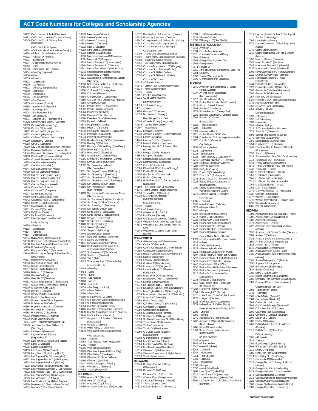\*0182 California Inst of Tech (Pasadena) \*0183 California Lutheran U (Thousand Oaks) \*6345 California Sch of Culinary Arts (Pasadena) California St Univ System: \*0184 –California Maritime Academy (Vallejo) \*0188 –Polytech St U–San Luis Obispo \*0202 –Polytech U–Pomona \*0201 –Bakersfield \*0204 –Channel Islands (Camarillo) \*0212 –Chico \*0203 –Dominguez Hills (Carson) \*0154 –East Bay (Hayward) \*0266 –Fresno \*0355 –Fullerton \*0302 –Long Beach \*0320 –Los Angeles \*0321 –Monterey Bay (Seaside) \*0400 –Northridge \*0382 –Sacramento \*0205 –San Bernardino \*0272 –San Marcos \*0435 –Stanislaus (Turlock) \*0286 –Humboldt St U (Arcata) \*0398 –San Diego St U \*0404 –San Francisco St U \*0410 –San Jose St U \*0431 –Sonoma St U (Rohnert Park) \*6428 Calvary Chapel Bible C (Murrieta) \*0213 Canada C (Redwood City) \*0206 Cerritos C (Norwalk) 0192 Cerro Coso CC (Ridgecrest) \*0207 Chabot C (Hayward) \*0208 Chaffey C (Rancho Cucamonga) \*0210 Chapman U (Orange) \*0218 Citrus C (Glendora) 0220 City C of San Francisco (San Francisco) \*0224 Claremont McKenna C (Claremont) \*6544 Cleveland Chiropractic C (Los Angeles) \*0193 Coastline CC (Fountain Valley) \*0228 Cogswell Polytechnical C (Sunnyvale) 0238 C of Alameda (Alameda) \*0232 C of Marin (Kentfield) \*0244 C of San Mateo (San Mateo) \*0419 C of the Canyons (Valencia) \*0229 C of the Desert (Palm Desert) \*0245 C of the Redwoods (Eureka) \*0246 C of the Sequoias (Visalia) \*0247 C of the Siskiyous (Weed) 0249 Columbia C (Sonora) 0248 Compton CC (Compton) \*0227 Concordia U (Irvine) \*0250 Contra Costa C (San Pablo) \*0242 Cosumnes River C (Sacramento) \*0415 Cuesta C (San Luis Obispo) \*0217 Cuyamaca C (El Cajon) \*0251 Cypress C (Cypress) \*0255 D–Q Univ (Davis) \*0253 De Anza C (Cupertino) \*0252 Deep Springs C (via Dyer NV) DeVry University: \*0196 –Fremont \*0195 –Long Beach \*0194 –Pomona \*0197 –Sherman Oaks \*0254 Diablo Valley C (Pleasant Hill) \*0256 Dominican U of California (San Rafael) \*0258 East Los Angeles C (Monterey Park) 0260 El Camino C (Torrance) 0234 Evergreen Valley C (San Jose) \*5146 Fashion Inst of Design & Merchandising (Los Angeles) \*0267 Feather River C (Quincy) \*0263 Foothill C (Los Altos Hills) \*0264 Fresno City C (Fresno) \*0357 Fresno Pacific U (Fresno) \*0270 Fullerton C (Fullerton) \*0390 Gavilan C (Gilroy) \*0274 Glendale CC (Glendale) \*0281 Golden State Baptist C (Santa Clara) \*0277 Golden West C (Huntington Beach) \*0279 Grossmont C (El Cajon) \*0280 Hartnell C (Salinas) \*0282 Harvey Mudd C (Claremont) 0283 Heald C (San Francisco) 0284 Hebrew Union C (Los Angeles) \*0230 Holy Names U (Oakland) \*0356 Hope International U (Fullerton) \*0286 Humboldt St U (Arcata) \*0288 Humphreys C (Stockton) \*0292 Imperial Valley C (Imperial) \*0293 Irvine Valley C (Irvine) 0291 John F Kennedy U (Pleasant Hill) \*0343 John Paul the Great Catholic U (San Diego) \*0294 La Sierra U (Riverside) \*0371 Laguna C of Art & Design (Laguna Beach) \*0308 Lake Tahoe CC (South Lake Tahoe) 0349 Laney C (Oakland) \*0296 Lassen C (Susanville) \*0489 Life Pacific C (San Dimas) \*0300 Long Beach City C (Long Beach) 0304 Los Angeles City C (Los Angeles) \*0312 Los Angeles Harbor C (Wilmington) 0314 Los Angeles Mission C (Sylmar) \*0318 Los Angeles Pierce C (Woodland Hills) \*0319 Los Angeles Southwest C (Los Angeles) 0322 Los Angeles Trade–Tech C (Los Angeles) 0324 Los Angeles Valley C (Van Nuys) 0325 Los Medanos C (Pittsburg) \*0326 Loyola Marymount U (Los Angeles) \*0316 Marymount C (Rancho Palos Verdes) \*0303 Master's C, The (Santa Clarita)

\*0273 Mendocino C (Ukiah) \*0330 Menlo C (Atherton) \*0333 Merced C (Merced) \*0348 Merritt C (Oakland) \*0332 Mills C (Oakland) \*0352 Mira Costa C (Oceanside) \*0323 Mission C (Santa Clara) 0336 Monterey Peninsula C (Monterey) 0335 Moorpark C (Moorpark) \*0338 Mount St Mary's C (Los Angeles) \*0340 Mount San Antonio C (Walnut) \*0341 Mount San Jacinto C (San Jacinto) \*6272 Musicians Institute (Hollywood) \*0342 Napa Valley C (Napa) \*0331 NewSchool of Architecture & Design (San Diego) \*0236 Notre Dame de Namur U (Belmont) \*6365 Oak Valley C (Yucaipa) \*0350 Occidental C (Los Angeles) \*0265 Ohlone C (Fremont) \*0354 Orange Coast C (Costa Mesa) \*0359 Otis C of Art & Design (Los Angeles) 0358 Oxnard C (Oxnard) \*0361 Pacific States U (Los Angeles) \*0362 Pacific Union C (Angwin) \*0364 Palo Verde C (Blythe) \*0366 Palomar C (San Marcos) \*0368 Pasadena City C (Pasadena) \*0369 Patten U (Oakland) \*0373 Pepperdine U (Malibu) \*0363 Pitzer C (Claremont) \*0370 Point Loma Nazarene U (San Diego) \*0372 Pomona C (Claremont) \*0374 Porterville C (Porterville) \*0416 Rancho Santiago CC Dist (Santa Ana) \*0376 Reedley C (Reedley) \*0297 Remington C–San Diego (San Diego) \*0379 Rio Hondo C (Whittier) \*0378 Riverside CC (Riverside) \*0383 Saddleback C (Mission Viejo) \*0386 St Mary's C of California (Moraga) \*0412 Samuel Merritt U (Oakland) \*0392 San Bernardino Valley C (San Bernardino) \*0211 San Diego Christian C (El Cajon) \*0396 San Diego City C (San Diego) \*0337 San Diego Mesa C (San Diego) \*0375 San Diego Miramar C (San Diego) \*0398 San Diego St U (San Diego) \*0186 San Francisco Art Institute (San Francisco) \*0403 San Francisco Conservatory of Music (San Francisco) \*0404 San Francisco St U (San Francisco) \*0436 San Joaquin Delta C (Stockton) \*0408 San Jose City C (San Jose) \*0410 San Jose St U (San Jose) \*0468 Santa Clara U (Santa Clara) \*0420 Santa Monica C (Santa Monica) \*0426 Scripps C (Claremont) \*0427 Shasta Bible C (Redding) \*0428 Shasta C (Redding) \*0429 Sierra C (Rocklin) \*0430 Simpson U (Redding) \*0440 Skyline C (San Bruno) \*0467 Soka U of America (Aliso Viejo) \*0474 Solano CC (Fairfield) \*0431 Sonoma St U (Rohnert Park) \*0423 Southern California Institute of Architecture (Los Angeles) \*0437 Southwestern C (Chula Vista) \*0434 Stanford U (Stanford) \*0438 Taft C (Taft) \*0425 Thomas Aquinas C (Santa Paula) Univ of California: \*0444 –Berkeley \*0454 –Davis \*0446 –Irvine -Los Angeles \*0450 –Merced \*0456 –Riverside \*0459 –San Diego (La Jolla) \*0452 –Santa Barbara \*0460 –Santa Cruz \*0295 U of La Verne (La Verne) \*0424 U of Northern California (Santa Rosa) \*0464 U of Redlands (Redlands) \*0394 U of San Diego (San Diego) \*0466 U of San Francisco (San Francisco) \*0470 U of Southern California (Los Angeles) \*0240 U of the Pacific (Stockton) \*0432 Vanguard U of Southern California (Costa Mesa) 0476 Ventura C (Ventura) \*0475 Victor Valley C (Victorville) \*0473 West Coast Baptist C (Lancaster) West Coast Univ: \*6085 –Anaheim \*0484 –Los Angeles (North Hollywood) \*6086 –Ontario \*0226 West Hills C (Coalinga) \*0483 West Los Angeles C (Culver City) \*0479 West Valley C (Saratoga) \*0478 Westmont C (Santa Barbara) \*0480 Whittier C (Whittier) \*0417 William Jessup U (Rocklin) \*0481 Woodbury U (Burbank) \*0482 Yuba C (Marysville) **COLORADO**<br>\*0496 Adams St C (Alamosa) \*0496 Adams St C (Alamosa) \*0505 Aims CC (Greeley) \*0497 Arapahoe CC (Littleton) \*0495 Art Inst of Colorado, The (Denver)

6672 Bel-Rea Inst of Animal Tech (Denver) \*0538 Boettcher Foundation (Denver) \*6347 CollegeAmerica–Ft Collins (Fort Collins) \*0523 Colorado Christian U (Lakewood) \*0498 Colorado C (Colorado Springs) Colorado Mtn Coll: -Alpine Cmp (Steamboat Springs) \*0501 –Spring Valley Cmp (Glenwood Springs) \*0503 –Timberline Cmp (Leadville) \*0551 –Vail Eagle Valley Cmp (Edwards) \*0525 Colorado Northwestern CC (Rangely) \*0500 Colorado Sch of Mines (Golden) \*0504 Colorado St U (Fort Collins) \*0524 Colorado St U–Pueblo (Pueblo) Colorado Tech Univ: \*0515 –Colorado Springs \*0541 –Denver Tech (Greenwood Village) \*5514 –North (Westminster) \*5515 –Pueblo \*0491 CC of Aurora (Aurora) \*0511 CC of Denver (Denver) DeVry University: \*4816 –Colorado Springs \*4811 –Denver \*4750 Everest C (Thornton) \*0510 Fort Lewis C (Durango) Front Range Comm Coll: \*0540 –Boulder County (Longmont) \*0539 –Larimer (Fort Collins) \*0507 –Westminster \*4715 Heritage C (Denver) \*0529 Johnson & Wales U–Denver (Denver) \*0514 Lamar CC (Lamar) \*4746 Lincoln C of Tech (Denver) \*0518 Mesa St C (Grand Junction) \*0519 Metropolitan St C of Denver, The (Denver) \*0544 Morgan CC (Fort Morgan) \*4853 Naropa U (Boulder) \*0487 Nazarene Bible C (Colorado Springs) \*0520 Northeastern J C (Sterling) \*0522 Otero J C (La Junta) \*0509 Pikes Peak CC (Colorado Springs) \*0492 Pueblo CC (Pueblo) \*0508 Red Rocks CC (Lakewood) \*0526 Regis U (Denver) \*5359 Rocky Mountain C of Art & Design (Lakewood) \*6109 T H Pickens Tech Ctr (Aurora) \*4945 Teikyo Loretto Heights U (Denver) \*0528 Trinidad St J C (Trinidad) \*0530 U S Air Force Academy (Colorado Springs) Univ of Colorado: \*0532 –Boulder \*0535 –Colorado Springs \*0533 –Denver & Hlth Sci Cntr \*0534 U of Denver (Denver) \*0502 U of Northern Colorado (Greeley) \*0536 Western St C of Colorado (Gunnison) \*4533 Westmoreland Coal Co and Penn VA Corp \*0545 Westwood C, Denver North Cmp (Denver) **CONNECTICUT** \*0549 Albertus Magnus C (New Haven) \*0561 Capital CC (Hartford) \*0596 Central Connecticut St U (New Britain) \*0556 Connecticut C (New London) \*0616 Eastern Connecticut St U (Willimantic) \*0560 Fairfield U (Fairfield) 0590 Gateway CC (New Haven) \*0565 Goodwin C (East Hartford) 0563 Housatonic CC (Bridgeport) \*0566 Lyme Academy C of Fine Arts (Old Lyme) 0569 Manchester CC (Manchester) 0584 Middlesex C–Tech C (Middletown) \*0572 Mitchell C (New London) \*0574 Mt Sacred Heart C (Hamden) 0570 Naugatuck Valley C Tech C (Waterbury) \*0571 New England Baptist C (Southington) 0578 Northwestern Connecticut CC (Winsted) 0577 Norwalk CC (Norwalk) \*0580 Post U (Waterbury) 0554 Quinebaug Valley CC (Danielson) \*0582 Quinnipiac U (Hamden) \*0589 Sacred Heart U (Fairfield) \*0588 St Joseph C (West Hartford) \*0592 St Vincent's C (Bridgeport) \*0593 Southern Connecticut St U (New Haven) \*0573 Three Rivers CC (Norwich) \*0598 Trinity C (Hartford) \*0608 Tunxis CC (Farmington) \*0600 U S Coast Guard Academy (New London) \*0602 U of Bridgeport (Bridgeport) \*0604 U of Connecticut (Storrs) \*0606 U of Hartford (West Hartford) \*0576 U of New Haven (West Haven) \*0614 Wesleyan U (Middletown) \*0558 Western Connecticut St U (Danbury) \*0618 Yale U (New Haven) **DELAWARE** \*0640 Delaware C of Art & Design (Wilmington) \*0630 Delaware St U (Dover) Delaware Tech & Comm Coll: \*0631 –Owens Cmp (Georgetown) \*0633 –Stanton/Wilmington (Newark) \*0637 –Terry Campus (Dover) \*0632 Goldey–Beacom C (Wilmington)

\*0636 Wesley C (Dover) \*0635 Wilmington C (New Castle) **DISTRICT OF COLUMBIA** \*0648 American U \*0654 Catholic U of America \*0671 Corcoran C of Art and Design \*0662 Gallaudet U \*0664 George Washington U, The \*0668 Georgetown U \*0674 Howard U \*0661 John H Lyons Sr Scholarship Fund, The \*0694 Strayer U \*0696 Trinity (Washington) U \*0695 U of the District of Columbia **FLORIDA** \*5145 American InterContinental U–South Florida (Weston) \*6037 Art Inst of Fort Lauderdale (Fort Lauderdale) \*6212 Ave Maria U (Ave Maria) \*6870 Baptist C of Florida, The (Graceville) \*0718 Barry U (Miami Shores) \*0704 Beacon C (Leesburg) \*4875 Berean Baptist C (Orange Park) \*0720 Bethune–Cookman U (Daytona Beach) \*0769 Brevard CC (Cocoa) Broward Coll: \*0768 –Fort Lauderdale \*0708 –Hollywood \*0699 –Pompano Beach \*0721 Central Florida CC (Ocala) \*6494 Chamberlain C of Nursing (Jacksonville) \*0722 Chipola C (Marianna) City College: \*4753 –Fort Lauderdale \*6224 –Gainesville \*6223 –South Miami \*6225 –ISTM dba City C (Casselberry) \*0715 Clearwater Christian C (Clearwater) \*0723 Daytona St C (Daytona Beach) \*0700 DeVry U (Miramar) \*0709 DeVry U (Orlando) \*0731 Eckerd C (St Petersburg) \*0727 Edison St C (Fort Myers) \*0724 Edward Waters C (Jacksonville) \*0725 Embry–Riddle Aeronautical U (Daytona Beach) \*5596 Embry–Riddle Aeronautical U– Worldwide (Daytona Beach) \*0712 Emmaus Baptist C (Brandon) Everest Univ: \*4885 –Lakeland -Edisciana<br>-North Orlando (Orlando) \*0775 – Pompano Beach<br>\*5147 – Tampa \*5147 –Tampa \*6055 Everglades U (Boca Raton) \*0772 Flagler C (St Augustine) \*0726 Florida A&M U (Tallahassee) \*0729 Florida Atlantic U (Boca Raton) \*6370 Florida Baptist C (Tampa) \*0742 Florida Christian C (Kissimmee) \*0728 Florida C (Temple Terrace) Florida Coll of Natural Health: \*4823 –Fort Lauderdale (Pompano Beach) \*4824 –Miami \*4826 –Orlando (Maitland) \*4825 –Sarasota (Bradenton) \*0733 Florida Gulf Coast U (Fort Myers) \*4907 Florida Hosp C of Health Sci (Orlando) \*0716 Florida Institute of Tech (Melbourne) \*0776 Florida International U (Miami) \*0747 Florida Keys CC (Key West) \*0730 Florida Memorial U (Miami Gardens) \*0732 Florida Southern C (Lakeland) \*0717 Florida St C at Jacksonville (Jacksonville) \*0734 Florida St U (Tallahassee) \*6611 Galen Sch of Nrsg–Tampa Bay (St Petersburg) \*0738 Gulf Coast CC (Panama City) \*6394 Hillsborough CC (Tampa) \*5471 Hobe Sound Bible C (Hobe Sound) \*4775 Hodges U (Naples) \*6225 ISTM dba City C (Casselberry) \*0774 Indian River St C (Fort Pierce) International Acad of Design & Tech: \*6295 –Orlando \*4791 –Tampa \*0740 Jacksonville U (Jacksonville) \*0767 Johnson & Wales U–North Miami (North Miami) \*0765 Jones C (Jacksonville) \*6053 Keiser Career C–Miami Lakes (Miami Lakes) Keiser University: \*6046 –Daytona \*4948 –Ft Lauderdale \*6047 –Kendall (Miami)<br>\*6048 –Lakeland -Lakeland \*6049 –Melbourne \*6054 –Port St Lucie \*6050 –Sarasota \*6051 –Tallahassee \*6058 –Tampa \*6052 –West Palm Beach \*0766 Lake City CC (Lake City) \*0737 Lake–Sumter CC (Leesburg) \*0751 Landmark Baptist C (Haines City) \*6600 Le Cordon Bleu C of Culinary Arts–Miami

(Miramar)

\*0634 U of Delaware (Newark)

\*5019 Ligonier Acad of Biblical & Theological Studies (Lake Mary) \*0706 Lynn U (Boca Raton) \*4774 Marion County Sch of Radiologic Tech (Ocala) \*0770 Miami Dade C (Miami) \*6118 Miami International U of Art & Design (Miami) \*0750 New C of Florida (Sarasota) \*0743 North Florida CC (Madison) \*0745 Northwest Florida St C (Niceville) \*6736 Northwood U (West Palm Beach) \*6706 Nova Southeastern U (Fort Lauderdale) \*6221 Orlando Culinary Acad (Orlando) \*0739 Palm Beach Atlantic U (West Palm Beach) \*0744 Palm Beach CC (Lake Worth) \*3021 Pasco–Hernando CC (Dade City) \*0707 Pensacola Christian C (Pensacola) \*0746 Pensacola J C (Pensacola) \*0757 Polk St C (All campuses) \*6724 Ringling C of Art and Design (Sarasota) \*0748 Rollins C (Winter Park) \*0753 St John's River CC (Palatka) \*0755 St Leo U (St Leo) St Petersburg Coll: \*0791 –Clearwater \*0752 –St Petersburg \*6039 –Seminole \*0793 –Tarpon Springs \*0719 St Thomas U (Miami Gardens) \*0778 Santa Fe C (Gainesville) \*4796 Schiller International U (Largo) \*0779 Seminole CC (Sanford) \*0759 South Florida CC (Avon Park) \*0754 Southeastern U (Lakeland) \*0741 State C of Florida, Manatee–Sarasota (Bradenton) \*0756 Stetson U (Deland) \*0714 Suwannee–Hamilton Tech Ctr (Live Oak) \*0713 Tallahassee CC (Tallahassee) \*4745 Trinity Baptist C (Jacksonville) \*4876 Trinity C of Florida (New Port Richey) \*0749 Trinity Intl U (Davie) \*0735 U of Central Florida (Orlando) \*0758 U of Florida (Gainesville) \*0760 U of Miami (Coral Gables) \*0711 U of North Florida (Jacksonville) \*0761 U of South Florida (Tampa) \*0762 U of Tampa (Tampa) \*0771 U of West Florida, The (Pensacola) \*0736 Valencia CC (Orlando) \*0777 Warner U (Lake Wales) \*0773 Webber International U (Babson Park) \*4797 Whitefield C (Lakeland) \*4886 Zoe U (Jacksonville) **GEORGIA** \*0781 Abraham Baldwin Agricultural C (Tifton) \*0780 Agnes Scott C (Atlanta/Decatur) \*0782 Albany St U (Albany) \*0871 Albany Tech C (Albany) \*6227 American InterContinental–Atlanta (Atlanta) \*0795 American U of Biblical Studies (Decatur) \*0784 Andrew C (Cuthbert) \*0786 Armstrong Atlantic St U (Savannah) \*0859 Art Inst of Atlanta, The (Atlanta) \*0823 Athens Tech C (Athens) \*1110 Atlanta Bible C (McDonough) \*0785 Atlanta Christian C (East Point) \*0835 Atlanta Med Ctr Sch of Radiologic Tech (Atlanta) \*0843 Atlanta Metropolitan C (Atlanta) \*0796 Augusta St U (Augusta) \*0797 Bainbridge C (Bainbridge) \*0827 Bauder C (Atlanta) \*0798 Berry C (Mount Berry) \*0842 Beulah Heights Bible C (Atlanta) \*0800 Brenau U, The Women's C (Gainesville) \*0801 Brewton–Parker C (Mount Vernon) Chattahoochee Tech Coll: \*0891 –Appalachian (Jasper) \*0841 –(Marietta) \*0863 –North Metro (Acworth) \*0804 Clark Atlanta U (Atlanta) \*0803 Clayton St U (Morrow) \*0802 C of Coastal Georgia (Brunswick) \*0807 Columbus St U (Columbus) \*5309 Columbus Tech C (Columbus) \*3951 Covenant C (Lookout Mountain) \*0809 Dalton St C (Dalton) \*0783 Darton C (Albany) \*6261 DeKalb Med Cntr Sch of Rad Tech (Decatur) \*0811 DeKalb Tech C (Clarkston) DeVry University: \*0805 –Alpharetta \*0812 –Decatur \*0799 East Georgia C (Swainsboro) \*0808 Emmanuel C (Franklin Springs) \*0810 Emory U (Atlanta) \*0882 Flint River Tech C (Thomaston) \*0814 Fort Valley St U (Fort Valley) \*0815 Gainesville C (Gainesville) \*0819 Georgia Baptist C of Nrsg of Mercer U (Atlanta) \*0828 Georgia C & St U (Milledgeville) \*5478 Georgia Gwinnett C (Lawrenceville) \*0879 Georgia Highlands C (Rome) \*0818 Georgia Institute of Technology (Atlanta) \*0822 Georgia Military C (Milledgeville) \*0869 Georgia Northwestern Tech C (Rome) \*0806 Georgia Perimeter C (Clarkston)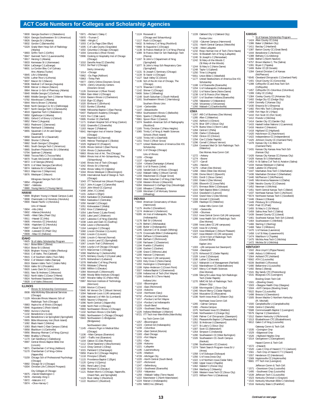\*0830 Georgia Southern U (Statesboro) \*0824 Georgia Southwestern St U (Americus) \*0826 Georgia St U (Atlanta) \*0832 Gordon C (Barnesville) \*5329 Grady Mem Hosp Sch of Radiology (Atlanta) \*0893 Griffin Tech C (Griffin) \*0847 Gwinnett Tech C (Lawrenceville) \*0817 Herzing C (Atlanta) \*0833 Kennesaw St U (Kennesaw) \*0834 LaGrange C (LaGrange) \*6601 Le Cordon Bleu C of Culinary Arts–Atlanta (Tucker) \*0845 Life U (Marietta) \*6256 Luther Rice U (Lithonia) \*0837 Macon St C (Macon) \*0836 Medical C of Georgia (Augusta) \*0838 Mercer U–Macon (Macon) 0864 Mercer U–Sch of Pharmacy (Atlanta) \*0840 Middle Georgia C (Cochran) \*4880 Middle Georgia Tech C (Warner Robins) \*0792 Morehouse C (Atlanta) \*0844 Morris Brown C (Atlanta) \*0848 North Georgia C & St U (Dahlonega) \*0877 North Georgia Tech C (Clarkesville) \*4819 Ogeechee Tech C (Statesboro) \*0850 Oglethorpe U (Atlanta) \*0851 Oxford C of Emory U (Oxford) \*0852 Paine C (Augusta) \*0853 Piedmont C (Demorest) \*0856 Reinhardt C (Waleska) \*0855 Savannah C of Art and Design (Savannah) \*0858 Savannah St U (Savannah) \*0860 Shorter C (Rome) \*0862 South Georgia C (Douglas) \*4861 South Georgia Tech C (Americus) \*0865 Southern Polytechnic St U (Marietta) \*0794 Spelman C (Atlanta) \*0868 Toccoa Falls C (Toccoa Falls) \*0870 Truett–McConnell C (Cleveland) \*0872 U of Georgia (Athens) \*0878 U of West Georgia (Carrollton) \*0874 Valdosta St U (Valdosta) \*0813 Waycross C (Waycross) \*0876 Wesleyan C (Macon) Wiregrass Georgia Tech Coll: \*0854 –Fitzgerald<br>\*0867 –Valdosta -Valdosta \*0880 Young Harris C (Young Harris) **HAWAII**<br>\*0899 **E** \*\*<br>Brigham Young U–Hawaii Campus (Laie) \*0898 Chaminade U of Honolulu (Honolulu) \*0900 Hawaii Pacific U (Honolulu) Univ of Hawaii: \*0904 –Hilo (Hilo) \*0902 –Manoa (Honolulu) \*6465 –West Oahu (Pearl City) \*0911 –Hawaii CC (Hilo) \*0905 –Honolulu CC (Honolulu) \*0906 –Kapiolani CC (Honolulu) \*0907 –Kauai CC (Lihue) \*0908 –Leeward CC (Pearl City) \*0909 –Maui CC (Kahului) **IDAHO** \*0925 St of Idaho Scholarship Program \*0917 Boise Bible C (Boise) \*0914 Boise St U (Boise) \*0926 Brigham Young U–Idaho (Rexburg) \*0916 C of Idaho, The (Caldwell) \*0915 C of Southern Idaho (Twin Falls) \*0932 C of Western Idaho (Nampa) 0919 Eastern Idaho Tech C (Idaho Falls) \*0918 Idaho St U (Pocatello) \*0920 Lewis Clark St C (Lewiston) \*0931 New St Andrews C (Moscow) \*0922 North Idaho C (Coeur D'Alene) \*0924 Northwest Nazarene U (Nampa) \*0928 U of Idaho (Moscow) **ILLINOIS** \* Illinois St Scholarship Commission 0938 Ada McKinley Educational Services (Chicago) \*1129 Advocate Illinois Masonic Sch of Radiologic Tech (Chicago) \*0983 Aspira Inc of Illinois (Chicago) \*0946 Augustana C (Rock Island) \*0950 Aurora U (Aurora) \*1132 Benedictine U (Lisle) \*1146 Benedictine U at Springfield (Springfield) \*0955 Bible Missionary Inst (Rock Island) \*1082 Black Hawk C (Moline) \*1083 Black Hawk C–East Campus (Galva) \*0958 Blackburn U (Carlinville) \*0956 Blessing–Rieman C of Nrsg (Quincy) \*0960 Bradley U (Peoria) \*1170 Carl Sandburg C (Galesburg) \*0997 Central Illinois Baptist Bible Inst (Lincoln) \*6871 Chamberlain C of Nrsg (Addison) \*5170 Chamberlain C of Nrsg–Online (Naperville) \*5159 Chicago Sch of Professional Psychology (Chicago) \*0992 Chicago St U (Chicago) \*6304 Christian Life C (Mount Prospect) City Colleges of Chicago: \*0975 –Harold Washington C \*0978 –Kennedy–King C  $*100$ <br> $*112$ 

- \*0974 –Olive–Harvey C
- \*0972 –Malcolm X C
- \*0970 –Truman C \*0980 –Wright C \*1003 C of Du Page (Glen Ellyn) \*1005 C of Lake County (Grayslake) \*1002 Columbia C Chicago (Chicago) \*1004 Concordia U (River Forest) \*0996 Cooking & Hospitality Inst of Chicago (Chicago) \*1010 Danville Area CC (Danville) \*1012 De Paul U (Chicago) DeVry University: \*1014 –Chicago \*0962 –Du Page (Addison) \*0963 –Tinley Park \*0977 –DeVry Online (Downers Grove) \*0979 –DeVry University Centers (Downers Grove) \*1126 Dominican U (River Forest) \*0984 East–West U (Chicago) \*1016 Eastern Illinois U (Charleston) \*1018 Elgin CC (Elgin) \*1020 Elmhurst C (Elmhurst) \*1022 Eureka C (Eureka) \*0998 Fellowship Baptist C (East Peoria) \*6407 Flashpoint Academy (Chicago) \*1023 Fox C (Oak Lawn) \*0995 Frontier CC (Fairfield) \*1032 Greenville C (Greenville) \*1163 Harper C (Palatine) \*6641 Harrington Inst of Interior Design (Chicago) \*1046 Heartland CC (Normal) \*1045 Hebrew Theological C (Skokie) \*1029 Highland CC (Freeport) \*1035 Illinois Central C (East Peoria) \*1034 Illinois C (Jacksonville) \*6863 Illinois Inst of Art, The (Chicago) \*6864 Illinois Inst of Art–Schaumburg, The (Schaumburg) \*1040 Illinois Inst of Tech (Chicago) \*1042 Illinois St U (Normal) \*1056 Illinois Valley CC (Oglesby) \*1044 Illinois Wesleyan U (Bloomington) \*1039 International Acad of Design & Tech (Chicago) \*1043 ITT Technical Inst (Mount Prospect) \*1017 John A Logan C (Carterville) \*1019 John Wood CC (Quincy) \*1048 Joliet J C (Joliet) \*1101 Judson U (Elgin) \*1053 Kankakee CC (Kankakee) \*0964 Kaskaskia C (Centralia) \*1050 Kendall C (Chicago) \*1051 Kishwaukee C (Malta) \*1052 Knox C (Galesburg) \*1054 Lake Forest C (Lake Forest) \*1055 Lake Land C (Mattoon) \*1057 Lakeview C of Nrsg (Danville) \*1038 Lewis and Clark CC (Godfrey) \*1058 Lewis U (Romeoville) \*1164 Lexington C (Chicago) \*1060 Lincoln Christian U (Lincoln) \*1062 Lincoln C (Lincoln) \*1066 Lincoln C–Normal (Normal) \*1061 Lincoln Land CC (Springfield) \*1067 Lincoln Trail C (Robinson) \*1064 Loyola U of Chicago (Chicago) \*1073 MacCormac C (Chicago) \*1068 MacMurray C (Jacksonville) \*1075 McHenry County C (Crystal Lake) \*1076 McKendree U (Lebanon) \*1078 Methodist C of Nrsg (Peoria) \*4755 Midstate C (Peoria) \*1080 Millikin U (Decatur) \*1084 Monmouth C (Monmouth) \*1088 Moody Bible Institute (Chicago) \*1087 Moraine Valley CC (Palos Hills) \*0987 Morrison Institute of Technology (Morrison) \*1090 Morton C (Cicero) \*0945 Mt Vernon Chr C (Mount Vernon) \*1094 National–Louis U (All campuses) \*1095 National U of Hlth Sci (Lombard) \*4959 Nauvoo U (Nauvoo) \*1096 North Central C (Naperville) \*1098 North Park U (Chicago) \*0993 Northeastern Illinois U (Chicago) \*1102 Northern Illinois U (De Kalb) \*0981 Northwestern C–Chicago (Chicago) \*0943 Northwestern C–Bridgeview (Bridgeview) Northwestern Univ: \*1145 –Honors Prgm in Medical Educ (Chicago) \*1106 –Main Campus (Evanston) \*1097 –Traffic Inst (Evanston) \*1104 Oakton CC (Des Plaines) \*1112 Olivet Nazarene U (Bourbonnais) \*1113 Olney Central C (Olney) \*1015 Parkland C (Champaign) \*0959 Prairie St C (Chicago Heights) \*1118 Principia C (Elsah) \*1116 Principia C (Eisan)<br>\*1115 Providence Baptist C (Elgin) \*1120 Quincy U (Quincy) \*1091 Rend Lake C (Ina)

| .<br>08 Richland CC (Decatur)            |
|------------------------------------------|
| 21 Robert Morris C (Chicago, Naperville, |

- \*1121 Robert Morris C (Chicago, Naperville, Orland Park, and Springfield) \*1123 Rock Valley C (Rockford) \*1122 Rockford C (Rockford)
- 
- 

\*0971 –Richard J Daley C \*1171 Graham Hospital Sch of Nrsg (Canton) \*1124 Roosevelt U **INDIANA**

| $*6432$            | *1117 Rush U (Chicago)<br>St Anthony C of Nrsg (Rockford)                                           |
|--------------------|-----------------------------------------------------------------------------------------------------|
|                    | *0968 St Augustine C (Chicago)                                                                      |
| $*1138$            | St Francis Medical Ctr C of Nrsg (Peoria)                                                           |
| *1089              | St Francis Med Ctr Sch Radiologic Tech                                                              |
| $*1167$            | (Peoria)<br>St John's C Department of Nrsg                                                          |
|                    | (Springfield)                                                                                       |
| *1077              | St John's Hosp Sch Respiratory Care                                                                 |
| *1131              | (Springfield)<br>St Joseph C Seminary (Chicago)                                                     |
|                    | *1134 St Xavier U (Chicago)                                                                         |
|                    | *1127 Sauk Valley CC (Dixon)                                                                        |
|                    | *1136 Sch of the Art Inst of Chicago, The                                                           |
|                    | (Chicago)<br>*1173 Shawnee C (Ullin)                                                                |
|                    | *1142 Shimer C (Chicago)<br>*6406 Solex C (Wheeling)                                                |
|                    |                                                                                                     |
| $*1161$            | *1148 South Suburban C (South Holland)<br>Southeastern Illinois C (Harrisburg)                      |
|                    | Southern Illinois Univ:                                                                             |
| *1144              |                                                                                                     |
| $*1147$            | -Carbondale<br>-Edwardsville                                                                        |
|                    | *0954 Southwestern Illinois C (Belleville)                                                          |
|                    | *5041 Sparks C (Shelbyville)<br>*0961 Spoon River C (Canton)                                        |
| $*1074$            | Swedish-American Sch of Radiography                                                                 |
| *1165              | (Rockford)                                                                                          |
| $*1065$            | Trinity Christian C (Palos Heights)<br>Trinity C of Nrsg & Health Sciences                          |
|                    | Schools (Rock Island)                                                                               |
| *1150              | Trinity Intl U (Deerfield)                                                                          |
| $*1151$<br>$*1177$ | Triton C (River Grove)<br>United Steelworkers of America Dist #31                                   |
|                    | Scholarship                                                                                         |
| *1152              | U of Chicago (Chicago)                                                                              |
|                    | Univ of Illinois:                                                                                   |
| *1155              | -Chicago<br>*1137 -Springfield                                                                      |
|                    | *1154 - Urbana Champaign (Urbana)                                                                   |
|                    | *1000 U of St Francis (Joliet)                                                                      |
|                    | *1156 VanderCook C of Music (Chicago)                                                               |
|                    | *1162 Wabash Valley C (Mount Carmel)<br>*1159 Waubonsee CC (Sugar Grove)                            |
|                    | *5032 West Suburban C of Nrsg (Oak Park)                                                            |
|                    | *1158 Western Illinois U (Macomb)<br>*6284 Westwood C-DuPage Cmp (Woodridge)                        |
|                    | *1160 Wheaton C (Wheaton)<br>*1160 Wheaton C (Wheaton)<br>*1169 Worsham C of Mortuary Science       |
|                    |                                                                                                     |
|                    | (Wheeling)                                                                                          |
| NDIANA<br>$*0944$  | American Conservatory of Music                                                                      |
|                    | (Hammond)                                                                                           |
|                    |                                                                                                     |
|                    | *1175 Ancilla C (Donaldson)                                                                         |
|                    | *1174 Anderson U (Anderson)                                                                         |
|                    | Art Inst of Indianapolis, The<br>(Indianapolis)                                                     |
|                    | Ball St U (Muncie)                                                                                  |
|                    | *1178 Bethel C (Mishawaka)                                                                          |
| $*6285$<br>$*1176$ | *1180 Butler U (Indianapolis)<br>*1245 Calumet C of St Joseph (Whiting)                             |
|                    | *1179 Crossroads Bible C (Indianapolis)                                                             |
|                    | *1184 DePauw U (Greencastle)                                                                        |
|                    | *1186 Earlham C (Richmond)<br>*1190 Fairhaven C (Chesterton)                                        |
|                    | *1194 Franklin C (Franklin)                                                                         |
|                    | *1196 Goshen C (Goshen)                                                                             |
|                    | *1198 Grace C (Winona Lake)<br>*1200 Hanover C (Hanover)                                            |
|                    | *5171 Harrison C (All campuses)                                                                     |
|                    | *1203 Holy Cross C (Notre Dame)                                                                     |
|                    | *1202 Huntington U (Huntington)                                                                     |
|                    | *1199 Hyles-Anderson C (Crown Point)<br>*3327 Indiana Baptist C (Greenwood)                         |
|                    | *1208 Indiana Inst of Tech (Fort Wayne)<br>Indiana St U (Terre Haute)                               |
|                    | Indiana Univ:                                                                                       |
| *1206<br>$*1210$   | -Bloomington                                                                                        |
| $*1216$            | -East (Richmond)                                                                                    |
| *1219              | -Kokomo                                                                                             |
| $*6732$            | *1218 -Northwest (Gary)                                                                             |
| $*1217$            | -Purdue U at Columbus<br>-Purdue U at Fort Wayne                                                    |
| *1225              | *1214 -Purdue U at Indianapolis<br>-South Bend                                                      |
|                    | -Southeast (New Albany)                                                                             |
|                    |                                                                                                     |
| *1229              | 1227<br>*1226 Indiana Wesleyan U (Marion)<br>*8721 ITT Tech Inst-Merrillville (Merrillville)        |
|                    | Ivy Tech Comm Coll:<br>*1257 -Bloomington                                                           |
|                    | *1223 -Central Ind (Indianapolis)                                                                   |
|                    | *1239 -Columbus                                                                                     |
|                    | *1234 -East Central (Muncie)<br>*1183 -East Chicago                                                 |
|                    | *1215 -Fort Wayne                                                                                   |
| *1251 -Gary        |                                                                                                     |
|                    | *1209 -Kokomo<br>*1221 -Lafayette                                                                   |
|                    | *1195 -Lawrenceburg                                                                                 |
|                    | *1235 -Madison                                                                                      |
|                    | *4728 -Michigan City<br>*1220 -North Central (South Bend)                                           |
|                    | *1227 -Richmond                                                                                     |
|                    | *1247 -Sellersburg                                                                                  |
|                    | *1213 -Southwest (Evansville)                                                                       |
|                    | *1253 -Valparaiso<br>*1259 - Wabash Valley (Terre Haute)                                            |
|                    | *1222 Manchester C (North Manchester)<br>*1224 Marian U (Indianapolis)<br>*1255 NIBCO Inc (Elkhart) |

(Chicago and Schaumburg)

|             | *1228 Oakland City U (Oakland City)                                          | KANSAS          | * St of Kansas Scholarship Program                                       |
|-------------|------------------------------------------------------------------------------|-----------------|--------------------------------------------------------------------------|
|             | Purdue Univ:                                                                 |                 | *1424 Allen County CC (Iola)                                             |
|             | *1233 -Calumet Campus (Hammond)<br>*1231 -North Central Campus (Westville)   |                 | *1386 Baker U (Baldwin City)                                             |
|             | *1230 -West Lafayette                                                        |                 | *1411 Barclay C (Haviland)                                               |
|             | *1232 Rose-Hulman Inst of Tech (Terre Haute)                                 |                 | *1387 Barton County CC (Great Bend)                                      |
|             | *1241 St Elizabeth Sch of Nrsg (Lafayette)                                   |                 | *1444 Benedictine C (Atchison)<br>*1388 Bethany C (Lindsborg)            |
|             | *1240 St Joseph's C (Rensselaer)                                             |                 | *1390 Bethel C (North Newton)                                            |
|             | *1242 St Mary-of-the-Woods C<br>(St Mary-of-the-Woods)                       |                 | *4757 Brown Mackie C, The (Salina)                                       |
|             | *1244 St Mary's C (Notre Dame)                                               |                 | *1391 Bryan C (Topeka)                                                   |
|             | *1248 Taylor U (Upland)                                                      |                 | *1406 Butler CC (El Dorado)                                              |
|             | *1250 Trine U (Angola)                                                       |                 | *1394 Central Christian C of Kansas<br>(McPherson)                       |
|             | *5551 Union Bible C (Westfield)                                              |                 | *6545 Cleveland Chiropractic C (Overland                                 |
|             | *1177 United Steelworkers of America Dist #31                                |                 | *1401 Cloud County CC (Concordia)                                        |
|             | Scholarship<br>*1188 U of Evansville (Evansville)                            |                 | *1398 Coffeyville CC and Area Tech Sch                                   |
|             | *1204 U of Indianapolis (Indianapolis)                                       |                 | (Coffeyville)                                                            |
|             | *1252 U of Notre Dame (Notre Dame)                                           |                 | *1457 Coffeyville CC-Columbus (Columb<br>*1399 Colby CC (Colby)          |
|             | *1238 U of St Francis (Fort Wayne)                                           |                 | *1384 Cowley County CC (Arkansas City)                                   |
|             | *1207 U of Southern Indiana (Evansville)                                     |                 | *1402 Dodge City CC (Dodge City)                                         |
|             | *1256 Valparaiso U (Valparaiso)<br>*1258 Vincennes U (Vincennes)             |                 | *1404 Donnelly C (Kansas City)                                           |
|             | *1260 Wabash C (Crawfordsville)                                              |                 | *1430 Emporia St U (Emporia)                                             |
| <b>IOWA</b> |                                                                              |                 | *1482 Flint Hills Tech C (Emporia)                                       |
|             | *1267 AIB C of Business (Des Moines)                                         |                 | *1408 Fort Hays St U (Hays)<br>*1410 Fort Scott CC (Fort Scott)          |
|             | *1285 Allen C (Waterloo)                                                     |                 | *1412 Friends U (Wichita)                                                |
|             | *1342 Ashford U (Clinton)                                                    |                 | *1414 Garden City CC (Garden City)                                       |
|             | *1276 Briar Cliff U (Sioux City)                                             |                 | *1415 Haskell Indian Nations U (Lawrenc                                  |
|             | *1278 Buena Vista U (Storm Lake)<br>*1284 Central C (Pella)                  |                 | *1416 Hesston C (Hesston)                                                |
|             | *1290 Clarke C (Dubuque)                                                     |                 | *1418 Highland CC (Highland)<br>*1420 Hutchinson CC (Hutchinson)         |
|             | *1292 Clinton CC (Clinton)                                                   |                 | *1422 Independence CC (Independence)                                     |
|             | *1294 Coe C (Cedar Rapids)                                                   |                 | *1425 Johnson County CC (Overland Par                                    |
|             | *1296 Cornell C (Mount Vernon)                                               |                 | *1478 Kansas City C & Bible Sch                                          |
|             | *1264 Covenant Med Ctr Sch Radiologic Tech<br>(Waterloo)                     |                 | (Overland Park)                                                          |
|             |                                                                              |                 | *1431 Kansas City Kansas Area Tech Sch                                   |
|             | Des Moines Area Comm Coll:<br>*1272 - Ankeny                                 |                 | (Kansas City)<br>*1426 Kansas City Kansas CC (Kansas Ci                  |
|             | *1274 -Boone                                                                 |                 | *1428 Kansas St U (Manhattan)                                            |
|             | *1277 -Carroll                                                               |                 | *1453 K-St Salina C of Tech & Aviation (                                 |
|             | *1281 -Newton                                                                |                 | *1434 Kansas Wesleyan U (Salina)                                         |
|             | *1279 - Urban (Des Moines)                                                   |                 | *1448 Labette CC (Parsons)                                               |
|             | *1268 -West (West Des Moines)                                                |                 | *1447 Manhattan Area Tech C (Manhatta                                    |
|             | *1286 Divine Word C (Epworth)<br>*1301 Dordt C (Sioux Center)                |                 | *1436 Manhattan Christian C (Manhattan)<br>*1440 McPherson C (McPherson) |
|             | *1302 Drake U (Des Moines)                                                   |                 | *1445 Mid-America Nazarene U (Olathe)                                    |
|             | *1306 Ellsworth CC (lowa Falls)                                              |                 | *1396 Neosho County CC (Chanute)                                         |
|             | *1371 Emmaus Bible C (Dubuque)                                               |                 | *1452 Newman U (Wichita)                                                 |
|             | *1315 Faith Baptist Bible C (Ankeny)                                         |                 | *1451 North Central Kansas Tech C (Belo                                  |
|             | *1314 Graceland U (Lamoni)                                                   |                 | *1437 Northeast Kansas Tech C (Atchisor                                  |
|             | *1316 Grand View U (Des Moines)<br>*1318 Grinnell C (Grinnell)               |                 | *5574 Northwest Kansas Tech C (Goodla<br>*1446 Ottawa U (Ottawa)         |
|             | *1309 Hawkeye CC (Waterloo)                                                  |                 | *1449 Pittsburg St U (Pittsburg)                                         |
|             | Indian Hills Comm Coll:                                                      |                 | *1450 Pratt CC (Pratt)                                                   |
|             | *1282 -Centerville                                                           |                 | *1455 St Mary's C (St Marys)                                             |
|             | *1269 - Ottumwa                                                              |                 | *1459 Salina Area Tech C (Salina)                                        |
|             | *1312 Iowa Central Comm Coll (All campuses)                                  |                 | *1439 Seward County CC (Liberal)                                         |
|             | *1289 Iowa Health Sch of Radiologic Tech                                     |                 | *1461 Southwest Kansas Tech Sch (Liber                                   |
|             | (Des Moines)                                                                 |                 | *1464 Southwestern C (Winfield)<br>*1466 Sterling C (Sterling)           |
|             | *1308 lowa Lakes CC (All campuses)                                           |                 | *1468 Tabor C (Hillsboro)                                                |
|             | *1320 Iowa St U (Ames)<br>*1324 Iowa Wesleyan C (Mount Pleasant)             |                 | *1470 U of Kansas (Lawrence)                                             |
|             |                                                                              |                 | *1458 U of St Mary (Leavenworth)                                         |
|             | *1327 Iowa Western CC (All campuses)<br>*1261 J E M H Sch of Radiologic Tech |                 | *1474 Washburn U (Topeka)                                                |
|             | (Council Bluffs)                                                             |                 | *1475 Wichita Area Tech C (Wichita)                                      |
|             | Kaplan Univ:                                                                 |                 | *1472 Wichita St U (Wichita)                                             |
|             | *1303 -(All campuses but Davenport)                                          | <b>KENTUCKY</b> |                                                                          |
|             | *5184 -Davenport                                                             |                 | *1502 Alice Lloyd C (Pippa Passes)                                       |
|             | *1275 Kirkwood CC (Cedar Rapids)<br>*1328 Loras C (Dubuque)                  |                 | *1486 Asbury U (Wilmore)<br>*1564 Ashland CTC (Ashland)                  |
|             | *1330 Luther C (Decorah)                                                     |                 | *6562 ATA C (Louisville)                                                 |
|             | *1317 Maharishi U of Management (Fairfield)                                  |                 | *6339 Beckfield C (Florence)                                             |
|             | *1332 Marshalltown CC (Marshalltown)                                         |                 | *1490 Bellarmine U (Louisville)                                          |
|             | *1347 Mercy C of Health Sciences                                             |                 | *1492 Berea C (Berea)                                                    |
|             | (Des Moines)                                                                 |                 | *1541 Big Sandy CTC (Prestonburg)<br>*1531 Bluegrass CTC (Lexington)     |
|             | *1339 Mercy/St Lukes Hosp Sch Radiologic<br>Tech (Cedar Rapids)              |                 |                                                                          |
|             | *1270 MMC-NI Sch of Radiologic Tech                                          |                 | Bowling Green Tech Coll:<br>*1501 -(Bowling Green)                       |
|             | (Mason City)                                                                 |                 | *1503 -Glasgow Health Cmp (Glasgow)                                      |
|             | *1338 Morningside C (Sioux City)                                             |                 | *1504 -KATI Campus (Bowling Green)                                       |
|             | *1340 Mount Mercy C (Cedar Rapids)                                           |                 | *5522 Boyce C (Louisville)                                               |
|             | *1344 Muscatine CC (Muscatine)<br>*1336 North Iowa Area CC (Mason City)      |                 | *1498 Brescia U (Owensboro)                                              |
|             |                                                                              |                 | *1505 Brown Mackie C-Northern Kentucl                                    |
|             | Northeast Iowa Comm Coll:<br>*1265 -Calmar Campus                            |                 | (Ft. Mitchell)<br>*1500 Campbellsville U (Campbellsville)                |
|             | *1365 - Peosta Campus                                                        |                 | *1506 Centre C (Danville)                                                |
|             | 1375 Northwest Iowa CC (Sheldon)                                             |                 | *5588 Commonwealth Baptist C (Lexingt                                    |
|             | *1346 Northwestern C (Orange City)                                           |                 | *5579 Daymar C (Owensboro)                                               |
|             | *1349 Palmer C of Chiropractic (Davenport)                                   |                 | *1512 Eastern Kentucky U (Richmond)                                      |
|             | *1351 Pleasantville Baptist C (Pleasantville)                                |                 | *1513 Elizabethtown CTC (Elizabethtown)                                  |
|             | *1352 St Ambrose U (Davenport)<br>*1377 St Luke's C (Sioux City)             |                 | *6612 Galen C of Nrsg (Louisville)                                       |
|             |                                                                              |                 | Gateway Comm & Tech Coll:                                                |
|             | *1307 Scott CC (Bettendorf)<br>*1354 Simpson C (Indianola)                   |                 | *1535 -Covington Cmp<br>*1529 -Edgewood Cmp                              |
|             | *1280 Southeastern CC (West Burlington)                                      |                 | *1526 - Highland Heights Cmp                                             |
|             | *1326 Southeastern CC-South Campus                                           |                 | *1514 Georgetown C (Georgetown)                                          |
|             | (Keokuk)                                                                     |                 | Hazard Comm & Tech Coll:                                                 |
|             | *1298 Southwestern CC (Creston)                                              |                 | *1572 - (Hazard)                                                         |
|             | *1374 Talent Search Program-Iowa St U                                        |                 | *1520 -Lees C Cmp of Hazard C T C (Jac                                   |
|             | (Ames)<br>*1358 U of Dubuque (Dubuque)                                       |                 | *1561 - Tech Cmp of Hazard C T C (Hazar                                  |
|             | *1356 U of Iowa (Iowa City)                                                  |                 | *1557 Henderson CC (Henderson)                                           |
|             | *1322 U of Northern Iowa (Cedar Falls)                                       |                 | *1569 Hopkinsville CC (Hopkinsville)                                     |
|             | *1360 Upper Iowa U (Fayette)                                                 |                 | *8681 ITT Tech Inst (Lexington)                                          |
|             | *1362 Waldorf C (Forest City)                                                |                 | Jefferson Comm & Tech Coll:                                              |
|             | *1364 Wartburg C (Waverly)                                                   |                 | *1571 -Downtown Cmp (Louisville)                                         |
|             | *1369 Western Iowa Tech CC (Sioux City)<br>*1372 William Penn U (Oskaloosa)  |                 | *1495 -Southwest Cmp (Louisville)<br>*1539 Jefferson Tech C (Louisville) |
|             |                                                                              |                 |                                                                          |

**KANSAS** 

\*1391 Bryan C (Topeka) \*1406 Butler CC (El Dorado) \*1394 Central Christian C of Kansas (rson nd Chiropractic C (Overland Park) \*1401 Cloud County CC (Concordia) \*1398 Coffeyville CC and Area Tech Sch ville) \*ille CC–Columbus (Columbus) \*1399 Colby CC (Colby) \*1384 Cowley County CC (Arkansas City) \*1402 Dodge City CC (Dodge City) \*1404 Donnelly C (Kansas City) \*1430 Emporia St U (Emporia) ills Tech C (Emporia) \*1408 Fort Hays St U (Hays) \*1410 Fort Scott CC (Fort Scott) \*1412 Friends U (Wichita) City CC (Garden City) \*1415 Haskell Indian Nations U (Lawrence) \*1416 Hesston C (Hesston) ad CC (Highland) \*1420 Hutchinson CC (Hutchinson) \*1422 Independence CC (Independence) \*1425 Johnson County CC (Overland Park) City C & Bible Sch (Overland Park) \*1431 Kansas City Kansas Area Tech Sch s City) City Kansas CC (Kansas City) \*1428 Kansas St U (Manhattan) \*1453 K–St Salina C of Tech & Aviation (Salina) Wesleyan U (Salina) \*1448 Labette CC (Parsons) \*1447 Manhattan Area Tech C (Manhattan) \*1436 Manhattan Christian C (Manhattan) son C (McPherson) \*1445 Mid-America Nazarene U (Olathe) County CC (Chanute) \*1452 Newman U (Wichita) \*1451 North Central Kansas Tech C (Beloit) \*1437 Northeast Kansas Tech C (Atchison) \*5574 Northwest Kansas Tech C (Goodland) U (Ottawa) \*1449 Pittsburg St U (Pittsburg) \*1450 Pratt CC (Pratt) \*1455 St Mary's C (St Marys) .<br>Area Tech C (Salina) \*1439 Seward County CC (Liberal) \*1461 Southwest Kansas Tech Sch (Liberal) \*1464 Southwestern C (Winfield) <sup>1</sup>C (Sterling) \*1468 Tabor C (Hillsboro) \*1470 U of Kansas (Lawrence) Mary (Leavenworth) \*1474 Washburn U (Topeka) \*1475 Wichita Area Tech C (Wichita) \*1472 Wichita St U (Wichita) **Iovd C (Pippa Passes)** \*1486 Asbury U (Wilmore) \*1564 Ashland CTC (Ashland) (Louisville) \*6339 Beckfield C (Florence) ta e (Florence)<br>line U (Louisville) \*1492 Berea C (Berea) \*1541 Big Sandy CTC (Prestonburg) iss CTC (Lexington) Bowling Green Tech Coll: \*1501 –(Bowling Green) \*1503 –Glasgow Health Cmp (Glasgow) .<br>Campus (Bowling Green) \*5522 Boyce C (Louisville) \*1498 Brescia U (Owensboro) \*1505 Brown Mackie C–Northern Kentucky (chell) \*\*\*\*\*\*,<br>ellsville U (Campbellsville) \*1506 Centre C (Danville) \*5588 Commonwealth Baptist C (Lexington) \*5579 Daymar C (Owensboro) \*1512 Eastern Kentucky U (Richmond) \*1513 Elizabethtown CTC (Elizabethtown) : of Nrsg (Louisville) y Comm & Tech Coll: .<br>4535 Cmp \*1529 –Edgewood Cmp \*1526 –Highland Heights Cmp \*1514 Georgetown C (Georgetown) Comm & Tech Coll: \*1572 –(Hazard) e)<br>: Cmp of Hazard C T C (Jackson) \*1561 –Tech Cmp of Hazard C T C (Hazard) son CC (Henderson) \*1569 Hopkinsville CC (Hopkinsville) \*8681 ITT Tech Inst (Lexington) on Comm & Tech Coll: \*1571 –Downtown Cmp (Louisville) \*1495 –Southwest Cmp (Louisville) Jefferson Tech C (Louisville) \*1523 Kentucky Christian U (Grayson) \*1515 Kentucky Mountain Bible C (Vancleve) \*1516 Kentucky State U (Frankfort)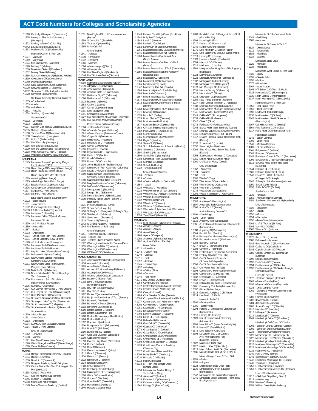**LOUISIANA**  $*1595$  Louisian

**MAINE** 1633 Bangor

|                 | *1518 Kentucky Wesleyan C (Owensboro)                                                                                                                                                                             |                 | *1651 New England                                                |
|-----------------|-------------------------------------------------------------------------------------------------------------------------------------------------------------------------------------------------------------------|-----------------|------------------------------------------------------------------|
|                 | 1525 Lexington Theological Seminary<br>(Lexington)                                                                                                                                                                |                 | (Bangor)<br>*1659 St Joseph's C                                  |
|                 | *1522 Lindsey Wilson C (Columbia)<br>*6442 Louisville Bible C (Louisville)<br>*1533 Madisonville CC (Madisonville)                                                                                                |                 | *1663 Thomas C (W<br>*1665 Unity C (Unity                        |
|                 | Maysville Comm & Tech Coll:                                                                                                                                                                                       |                 | Univ of Maine<br>*1641 $-Augusta$                                |
|                 | *1527 -Maysville<br>*1549 -Morehead                                                                                                                                                                               |                 | *1640 -Farmington<br>*1642 -Fort Kent                            |
|                 | *1524 Mid-Continent U (Mayfield)                                                                                                                                                                                  |                 | *1666 -Machias                                                   |
|                 | *1528 Midway C (Midway)                                                                                                                                                                                           |                 | *1664 -(Main campr                                               |
|                 |                                                                                                                                                                                                                   |                 | *1630 -Presque Isle<br>*1660 U of New Eng                        |
|                 | "1528 miniway c (minuway)<br>"1532 Morehead State U (Morehead)<br>"1532 Murray State U (Murray)<br>"1566 Morthern Kentucky U (Highland Heights)<br>"1540 Pikeville C (Pikeville)<br>"1540 Pikeville C (Pikeville) |                 | *1644 U of Southern                                              |
|                 |                                                                                                                                                                                                                   | <b>MARYLAND</b> |                                                                  |
|                 | <sup>194</sup> 9 Saint Catharine C (Saint Catharine)<br>*5529 Shawnee Baptist C (Louisville)<br>*6232 Simmons C of Kentucky (Louisville)<br>*1570 Somerset CC (Somerset)                                          |                 | *0298 Maryland St S                                              |
|                 |                                                                                                                                                                                                                   |                 | *1679 Allegany C (C<br>*1678 Anne Arundel                        |
|                 |                                                                                                                                                                                                                   |                 | *1693 Antietam Bible                                             |
|                 | Southeast Kentucky Comm & Tech Coll:                                                                                                                                                                              |                 | *1682 Baltimore City<br>*1680 Baltimore Intl                     |
|                 | *1555 -Cumberland                                                                                                                                                                                                 |                 | *1712 Bowie St U (B                                              |
|                 | *1553 - Harlan<br>*1558 -Middlesboro                                                                                                                                                                              |                 | *1683 Capitol C (Lau<br>*1697 Carroll CC (W                      |
|                 | *1551 -Pineville                                                                                                                                                                                                  |                 | *1681 Cecil CC (Nor                                              |
|                 | *1534 Spalding U (Louisville)                                                                                                                                                                                     |                 | *1691 Chesapeake C                                               |
|                 | Spencerian Coll:                                                                                                                                                                                                  |                 | *1727 C of Notre Da<br>*1685 C of Southern                       |
|                 | *5532 -Lexington<br>*5533 -Louisville                                                                                                                                                                             |                 | Comm Coll of                                                     |
|                 | *6097 Sullivan C of Tech & Design (Louisville)<br>*5535 Sullivan U (Louisville)                                                                                                                                   |                 | *1684 -Catonsville O                                             |
|                 | *1560 Thomas More C (Crestview Hills)                                                                                                                                                                             |                 | *1686 -Dundalk Can<br>*1692 -Essex Camp                          |
|                 | *1550 Transylvania U (Lexington)                                                                                                                                                                                  |                 |                                                                  |
|                 | *1552 Union C (Barbourville)<br>*1554 U of Kentucky (Lexington)                                                                                                                                                   |                 | *1688 Coppin St U (<br>*1694 Frederick CC                        |
|                 | *1556 U of Louisville (Louisville)                                                                                                                                                                                |                 | *1714 Frostburg St I                                             |
|                 | *1510 U of the Cumberlands (Williamsburg)                                                                                                                                                                         |                 | *1695 Garrett C (Mc<br>*1696 Goucher C (To<br>*1698 Hagerstown C |
|                 | *1538 West Kentucky C Tech C (Paducah)<br>*1562 Western Kentucky U (Bowling Green)                                                                                                                                |                 | *1700 Harford CC (B                                              |
| <b>OUISIANA</b> |                                                                                                                                                                                                                   |                 | *1702 Hood C (Fred                                               |
|                 | *1595 Louisiana Tuition Opportunity Program                                                                                                                                                                       |                 | *1703 Howard CC (O                                               |
|                 | for Students (TOPS)<br>*1656 Baton Rouge C/Paralegal (Baton Rouge)                                                                                                                                                |                 | *1704 Johns Hopkin<br>*1707 Lincoln C of T                       |
|                 | *1603 Baton Rouge CC (Baton Rouge)                                                                                                                                                                                |                 | *1708 Loyola U Mar                                               |
|                 | Baton Rouge Gen Med Ctr Sch of:                                                                                                                                                                                   |                 | *1709 Maple Spring:                                              |
|                 | *1619 -Nursing (Baton Rouge)<br>*1625 -Radiologic Tech (Baton Rouge)<br>*1573 Bossier Parish CC (Bossier City)                                                                                                    |                 | Seminary (Ca<br>*1690 Maryland Bap                               |
|                 |                                                                                                                                                                                                                   |                 | *1710 Maryland Inst                                              |
|                 |                                                                                                                                                                                                                   |                 | *1756 McDaniel C (\<br>*1723 Montgomery                          |
|                 | *1576 Centenary C of Louisiana (Shreveport)<br>*1576 Centenary C of Louisiana (Shreveport)<br>*1578 Dillard U (New Orleans)                                                                                       |                 | *1722 Morgan St U                                                |
|                 | Educ Talent Search-Southern Univ:                                                                                                                                                                                 |                 | *1726 Mount St Mar                                               |
|                 | *1622 -Baton Rouge                                                                                                                                                                                                |                 | *1730 Peabody Inst<br>(Baltimore)                                |
|                 | *1631 -New Orleans<br>*1582 Grambling St U (Grambling)                                                                                                                                                            |                 | 1731 Prince George                                               |
|                 | *5033 L E Fletcher Tech CC (Houma)                                                                                                                                                                                |                 | *1732 St John's C (/<br>*1736 St Mary's C o                      |
|                 | *1586 Louisiana C (Pineville)<br>*1655 Louisiana Delta CC (West Monroe)                                                                                                                                           |                 | *1716 Salisbury U (9                                             |
|                 | Louisiana St Univ:                                                                                                                                                                                                | *1718           | *1753 Stevenson U                                                |
|                 | *1590 -A & M (Baton Rouge)                                                                                                                                                                                        | 1742            | Towson U (To<br>U S Naval Aca                                    |
|                 | *1589 - Alexandria                                                                                                                                                                                                |                 | *1744 U of Baltimore                                             |
|                 | *1587 -Eunice<br>*1593 -Shreveport                                                                                                                                                                                |                 | Univ of Maryl                                                    |
|                 | *1624 -Sch of Allied Hlth (New Orleans)                                                                                                                                                                           |                 | *1751 -Baltimore Co<br>*1746 -College Park                       |
|                 | *1601 - Sch of Dentistry (New Orleans)<br>*1620 - Sch of Medicine (Shreveport)                                                                                                                                    |                 | *1752 -Eastern Shor                                              |
|                 |                                                                                                                                                                                                                   |                 | *1687 Washington A<br>*1755 Washington B                         |
|                 |                                                                                                                                                                                                                   |                 | *1754 Washington C                                               |
|                 | <sup>1</sup> 5014 Louisiana Tech C (All campuses)<br><sup>1</sup> 588 Louisiana Tech U (Ruston)<br><sup>1</sup> 1592 Loyola U New Orleans (New Orleans)<br><sup>1</sup> 1594 McNeese St U (Lake Charles)          |                 | *1760 WOR-WIC CO                                                 |
|                 | *1596 New Orleans Baptist Theological                                                                                                                                                                             |                 | <b>MASSACHUSETTS</b>                                             |
|                 | Seminary (New Orleans)<br>*1581 New Orleans Educ Talent Search                                                                                                                                                    |                 | 1772 American Inte<br>*1774 Amherst C (A                         |
|                 | Program (New Orleans)                                                                                                                                                                                             |                 | *1769 Anna Maria C                                               |
|                 | *1580 Nicholls St U (Thibodaux)                                                                                                                                                                                   |                 | *1781 Art Inst of Bos<br>*1782 Assumption C                      |
|                 | *1606 North Oaks Med Ctr Sch of Radiologic<br>Tech (Hammond)                                                                                                                                                      |                 | *1784 Atlantic Unior                                             |
|                 | *1600 Northwestern St U of Louisiana                                                                                                                                                                              |                 | *1780 Babson C (Ba<br>*1893 Bard C at Sim                        |
|                 | (Natchitoches & Shreveport)<br>*1605 Nunez CC (Chalmette)                                                                                                                                                         |                 | (Great Barring                                                   |
|                 | *1574 Our Lady of Holy Cross C (New Orleans)                                                                                                                                                                      |                 | *1785 Bay Path C (L                                              |
|                 | *1621 Our Lady of the Lake C (Baton Rouge)                                                                                                                                                                        |                 | *1791 Bay St C (Bos<br>*1787 Becker C (Wo                        |
|                 | *1607 River Parishes CC (Sorrento)<br>*1604 St Joseph Seminary C (Saint Benedict)                                                                                                                                 |                 | *1834 Benjamin Frar                                              |
|                 | *1623 Shreveport Job Corp Ctr (Shreveport)                                                                                                                                                                        |                 | *1783 Bentley U (Wa                                              |
|                 | *1615 South Louisiana CC (Lafayette)<br>*1608 Southeastern Louisiana U (Hammond)                                                                                                                                  |                 | *1789 Berklee C of M<br>*1792 Berkshire CC                       |
|                 | Southern Univ:                                                                                                                                                                                                    |                 | *2680 Boston Baptis                                              |
|                 | *1610 -Baton Rouge                                                                                                                                                                                                |                 | *1788 Boston C (Ch<br>*1790 Boston Conse                         |
|                 | *1611 -New Orleans                                                                                                                                                                                                |                 | *1794 Boston U (Bo                                               |
|                 | *1613 -Shreveport<br>*5064 SOWELA Tech CC (Lake Charles)                                                                                                                                                          |                 | *1802 Brandeis U (V                                              |
|                 | *1614 Tulane U (New Orleans)                                                                                                                                                                                      |                 | *1900 Bridgewater S<br>*1803 Bristol CC (Fa                      |
|                 | Univ. of Louisiana at:                                                                                                                                                                                            |                 | 1799 Bunker Hill CO                                              |
|                 | *1612 -Lafayette<br>*1598 -Monroe                                                                                                                                                                                 |                 | *1807 Cape Cod CC                                                |
|                 | *1591 U of New Orleans (New Orleans)                                                                                                                                                                              |                 | *1808 Clark U (Word<br>*1810 C of the Holy                       |
|                 | *1626 World Evangelism Bible C (Baton Rouge)<br>*1618 Xavier U (New Orleans)                                                                                                                                      |                 | *1814 Curry C (Milto                                             |
|                 |                                                                                                                                                                                                                   |                 | *1816 Dean C (Frank<br>*1818 Eastern Nazar                       |
| MAINE           | 1633 Bangor Theological Seminary (Bangor)                                                                                                                                                                         |                 | *1812 Elms C (Chico                                              |
|                 | *1634 Bates C (Lewiston)                                                                                                                                                                                          |                 | *1820 Emerson C (B                                               |
|                 | *1636 Bowdoin C (Brunswick)<br>*1635 Bridgton Academy (North Bridgton)                                                                                                                                            |                 | *1822 Emmanuel C<br>*1824 Endicott C (Be                         |
|                 | *1673 Central Maine Med Cntr C of Nrsg & Hlth                                                                                                                                                                     |                 | 1828 Fisher C (Bos                                               |
|                 | Prof (Lewiston)                                                                                                                                                                                                   |                 | *1902 Fitchburg St (<br>*1904 Framingham!                        |
|                 | *1638 Colby C (Waterville)<br>*1637 C of the Atlantic (Bar Harbor)                                                                                                                                                |                 | *1806 Gibbs C-Bost                                               |
|                 | *1646 Husson II (Bangor)                                                                                                                                                                                          |                 | *1838 Gordon C (We                                               |

| *1646 Husson U (Bangor) |  |
|-------------------------|--|
|                         |  |

- \*1646 Husson U (Bangor) \*6908 Maine C of Art (Portland) \*1648 Maine Maritime Academy (Castine)
	-

\*1842 Hampshire C (Amherst) \*1840 Harvard C (Cambridge)

d Sch of Communications C (Standish) \*1663 Thomas C (Waterville) \*1665 Unity C (Unity) าe: hpus)(Orono) \*1660 U of New England (Biddeford) \*1644 U of Southern Maine (Gorham) \*0298 Maryland St Scholarship Agency \*1679 Allegany C (Cumberland) \*1678 Anne Arundel CC (Arnold) ble C (Hagerstown) ity CC (Baltimore) \*1680 Baltimore Intl C (Baltimore) \*1712 Bowie St U (Bowie) \*1683 Capitol C (Laurel) .......<br>Wastminster) \*1681 Cecil CC (North East) \*1691 Chesapeake C (Wye Mills) \*1727 C of Notre Dame of Maryland (Baltimore) fri Maryland (La Plata) of Baltimore County: \*1684 –Catonsville Campus \*1686 –Dundalk Campus (Baltimore) pus (Baltimore County)<br>L(Baltimore) \*1688 Coppin St U (Baltimore) \*1694 Frederick CC (Frederick) \*1714 Frostburg St U (Frostburg) .<br>1695 Garrett C \*\*\*\*\*\*\*\*\*\*\*\*\*\*<br>Towson' \*1698 Hagerstown CC (Hagerstown) (Bel Air) .<br>derick) -------,<br>(Columbia) (columbia)<br>ins U, The (Baltimore) \*1707 Lincoln C of Tech–Columbia (Columbia) \*1708 Loyola U Maryland (Baltimore) \*1709 Maple Springs Baptist Bible C & Seminary (Capitol Heights) saphor rieigins)<br>antist Bible C (Elkton) \*1710 Maryland Institute C of Art (Baltimore) \*1756 McDaniel C (Westminster) \*1723 Montgomery C (Rockville) .<br>J (Baltimore) \*1726 Mount St Mary's U (Emmitsburg) \*1730 Peabody Inst of Johns Hopkins U ne's CC (Largo) \*1732 St John's C (Annapolis) \*1736 St Mary's C of Maryland (St Mary's City) (Salisbury)<br>U (Stevenson) \*1753 Stevenson U (Stevenson) \*1718 Towson U (Towson) \*\*\*\*\*\*\*\*,<br>cademy (Annapolis) ore (Baltimore) vland: , .......<br>County (Baltimore)<br>rk \*\*<br>1076 (Princess Anne) \*1687 Washington Adventist U (Takoma Park) \*1755 Washington Bible C (Lanham) \*1754 Washington C (Chestertown) CC (Salisbury) -<br>ternational C (Springfield) Amherst) C (Paxton) \*1781 Art Inst of Boston at Lesley U (Boston) \*1782 Assumption C (Worcester) on C (South Lancaster) ahson Park) \*\*\*\*\*\*\*\*\*\*\*\*\*\*\* ngton) ...<sub>g.c.</sub>.<sub>,</sub><br>(Longmeadow) .<br>1510 B \*1787 Becker C (Worcester/Leicester) \*1834 Benjamin Franklin Inst of Tech (Boston) Waltham) \*1789 Berklee C of Music (Boston) \*1792 Berkshire CC (Pittsfield) \*2680 Boston Baptist C (Boston) \*<br>hestnut Hill) \*1790 Boston Conservatory, The (Boston) \*1794 Boston U (Boston) (Waltham) St C (Bridgewater) \*1803 Bristol CC (Fall River) 1799 Bunker Hill CC (Boston) C (West Barnstable) .<br>rcester) \* \*\*\*\*\*\*/<br>y Cross (Worcester) ton)  $nklin$ \*\*\*\*\*\*\*,<br>arene C (Quincy) icopee) (Boston) .<br>C (Boston) Beverly) 1828 oston \*\*\*\* /<br>t C (Fitchburg) 1 St C (Framingham) \*1806 Gibbs C–Boston (Boston) Wenham) \*1839 Greenfield CC (Greenfield) \*1843 Hellenic C and Holy Cross (Brookline)  $\overline{N}$ 

|                 | *1844 Holyoke CC (Holyoke)                                                                                                                                                                                                                                                        |
|-----------------|-----------------------------------------------------------------------------------------------------------------------------------------------------------------------------------------------------------------------------------------------------------------------------------|
|                 | *1848 Lasell C (Newton)                                                                                                                                                                                                                                                           |
|                 | *1850 Lesley U (Cambridge)                                                                                                                                                                                                                                                        |
|                 | 1852 Longy Sch of Music (Cambridge)<br>1861 Massachusetts Bay CC (Wellesley Hills)                                                                                                                                                                                                |
|                 | *1846 Massachusetts C of Art (Boston)                                                                                                                                                                                                                                             |
|                 | *1908 Massachusetts C of Liberal Arts                                                                                                                                                                                                                                             |
|                 | (North Adams)                                                                                                                                                                                                                                                                     |
|                 | *1860 Massachusetts C of Pharm/Hlth Sci                                                                                                                                                                                                                                           |
|                 | (Boston)                                                                                                                                                                                                                                                                          |
|                 | *1858 Massachusetts Inst of Tech (Cambridge)                                                                                                                                                                                                                                      |
|                 | *1856 Massachusetts Maritime Academy                                                                                                                                                                                                                                              |
|                 | (Buzzards Bay)<br>1862 Massasoit CC (Brockton)                                                                                                                                                                                                                                    |
|                 | *1864 Merrimack C (North Andover)                                                                                                                                                                                                                                                 |
|                 |                                                                                                                                                                                                                                                                                   |
|                 | 1865 Middlesex CC (Lowell)<br>1865 Middlesex CC (Lowell)<br>1847 Montserrat C of Art (Beverly)<br>1866 Mount Holyoke C (South Hadley)                                                                                                                                             |
|                 |                                                                                                                                                                                                                                                                                   |
|                 | *1868 Mount Ida C (Newton)                                                                                                                                                                                                                                                        |
|                 | 1867 Mount Wachusett CC (Gardner)                                                                                                                                                                                                                                                 |
|                 | *1874 New England C of Optometry (Boston)                                                                                                                                                                                                                                         |
|                 | *1872 New England Conservatory of Music                                                                                                                                                                                                                                           |
|                 | (Boston)                                                                                                                                                                                                                                                                          |
|                 | *1768 New England Inst of Art (Brookline)<br>*1871 Newbury C (Brookline)                                                                                                                                                                                                          |
|                 | *1878 Nichols C (Dudley)                                                                                                                                                                                                                                                          |
|                 | *1875 North Shore CC (Danvers)                                                                                                                                                                                                                                                    |
|                 | *1880 Northeastern U (Boston)                                                                                                                                                                                                                                                     |
|                 | 1877 Northern Essex CC (Haverhill)                                                                                                                                                                                                                                                |
|                 | *1883 Olin C of Engineering (Needham)<br>*1882 Pine Manor C (Chestnut Hill)<br>1888 Quincy C (Quincy)                                                                                                                                                                             |
|                 |                                                                                                                                                                                                                                                                                   |
|                 |                                                                                                                                                                                                                                                                                   |
|                 | 1885 Quinsigamond CC (Worcester)                                                                                                                                                                                                                                                  |
|                 | *1886 Regis C (Weston)                                                                                                                                                                                                                                                            |
|                 |                                                                                                                                                                                                                                                                                   |
|                 |                                                                                                                                                                                                                                                                                   |
|                 |                                                                                                                                                                                                                                                                                   |
|                 |                                                                                                                                                                                                                                                                                   |
|                 |                                                                                                                                                                                                                                                                                   |
|                 | *1886 Regis C (weston)<br>*1910 Salem St C (Salem)<br>*1995 Sch of the Museum of Fine Arts (Boston)<br>*1992 Simmons C (Boston)<br>*1994 Smith C (Northampton)<br>*1996 Springfield C (Scringfield)<br>*1998 Springfield Tech CC (Springfield)<br>*                               |
|                 |                                                                                                                                                                                                                                                                                   |
|                 | *1920 Suffolk U (Boston)<br>*1922 Tufts U (Medford)                                                                                                                                                                                                                               |
|                 | Univ of Massachusetts:                                                                                                                                                                                                                                                            |
|                 | *1924 - Amherst                                                                                                                                                                                                                                                                   |
|                 | *1925 - Boston                                                                                                                                                                                                                                                                    |
|                 |                                                                                                                                                                                                                                                                                   |
|                 |                                                                                                                                                                                                                                                                                   |
|                 |                                                                                                                                                                                                                                                                                   |
|                 |                                                                                                                                                                                                                                                                                   |
|                 |                                                                                                                                                                                                                                                                                   |
|                 |                                                                                                                                                                                                                                                                                   |
|                 |                                                                                                                                                                                                                                                                                   |
|                 |                                                                                                                                                                                                                                                                                   |
|                 |                                                                                                                                                                                                                                                                                   |
|                 |                                                                                                                                                                                                                                                                                   |
|                 |                                                                                                                                                                                                                                                                                   |
|                 |                                                                                                                                                                                                                                                                                   |
|                 | *1925 - Boston<br>1*1906 - Darhmouth (North Dartmouth)<br>*1854 - Lowell<br>*1926 Wellesley C (Wellesley)<br>*1928 Wentworth Inst of Tech (Boston)<br>*1932 Westfern New England C (Springfield)<br>*1932 Wheaton C (Norton)<br>*1932 Wheaton C (No                               |
| <b>IICHIGAN</b> |                                                                                                                                                                                                                                                                                   |
|                 |                                                                                                                                                                                                                                                                                   |
|                 |                                                                                                                                                                                                                                                                                   |
|                 |                                                                                                                                                                                                                                                                                   |
|                 |                                                                                                                                                                                                                                                                                   |
|                 |                                                                                                                                                                                                                                                                                   |
|                 |                                                                                                                                                                                                                                                                                   |
|                 | <b>ntu-missine Christian Scholarship Program<br/>*1954 Adrian C (Adrian)<br/>*1956 Albion C (Albion)<br/>*1956 Albion C (Albion)<br/>*1958 Alma C (Alma)<br/>*1960 Alpena CC (Alpena)<br/>*1962 Aquinas C (Grand Rapids)<br/>*1962 Aquinas C (Grand Rapids)</b><br>Baker Coll of: |
|                 | *5012 -Allen Park                                                                                                                                                                                                                                                                 |
|                 | *1948 -Auburn Hills                                                                                                                                                                                                                                                               |
|                 | *1949 -Cadillac                                                                                                                                                                                                                                                                   |
| $*5011 - Flint$ |                                                                                                                                                                                                                                                                                   |
|                 | *1997 -Jackson                                                                                                                                                                                                                                                                    |
|                 | *1945 -Clinton Twp                                                                                                                                                                                                                                                                |
|                 | *1957 -Muskegon<br>*5010 -Online (Flint)                                                                                                                                                                                                                                          |
|                 |                                                                                                                                                                                                                                                                                   |
|                 | *6690 -Owosso<br>*1946 -Port Huron                                                                                                                                                                                                                                                |
|                 | *2071 Bay De Noc CC (Escanaba)                                                                                                                                                                                                                                                    |
|                 | *1968 Calvin C (Grand Rapids)                                                                                                                                                                                                                                                     |
|                 | *1972 Central Michigan U (Mount Pleasant)                                                                                                                                                                                                                                         |
|                 |                                                                                                                                                                                                                                                                                   |
|                 |                                                                                                                                                                                                                                                                                   |
|                 | *1996 Charles Stewart Mott CC (Flint)<br>*1974 Cleary U (Howell)<br>*1989 C for Creative Studies (Detroit)                                                                                                                                                                        |
|                 |                                                                                                                                                                                                                                                                                   |
|                 | *6098 Compass Film Academy (Grand Rapids)<br>*1977 Concordia U-Ann Arbor (Ann Arbor)<br>*2002 Cornerstone U (Grand Rapids)                                                                                                                                                        |
|                 | *1981 Davenport U (All campuses)                                                                                                                                                                                                                                                  |
|                 | *1966 Delta C (University Center)                                                                                                                                                                                                                                                 |
|                 | *1990 Eastern Michigan U (Ypsilanti)                                                                                                                                                                                                                                              |
|                 | *1994 Ferris St U (Big Rapids)                                                                                                                                                                                                                                                    |
|                 | *2058 Finlandia U (Hancock)                                                                                                                                                                                                                                                       |
|                 | *1999 Glen Oaks CC (Centreville)                                                                                                                                                                                                                                                  |
|                 | *2000 Gogebic CC (Ironwood)                                                                                                                                                                                                                                                       |
|                 | *2073 Grace Baptist C (Gaylord)                                                                                                                                                                                                                                                   |
|                 | *2001 Grace Bible C (Grand Rapids)                                                                                                                                                                                                                                                |
|                 | *2004 Grand Rapids CC (Grand Rapids)                                                                                                                                                                                                                                              |
|                 | *2005 Grand Valley St U (Allendale)<br>*2009 Great Lakes Christian C (Lansing)                                                                                                                                                                                                    |
|                 | *1978 Great Lakes Maritime Academy                                                                                                                                                                                                                                                |
|                 | (Traverse City)                                                                                                                                                                                                                                                                   |
|                 | *2077 Great Lakes U (Auburn Hills)                                                                                                                                                                                                                                                |
|                 | *2006 Henry Ford CC (Dearborn)                                                                                                                                                                                                                                                    |
|                 | *2010 Hillsdale C (Hillsdale)                                                                                                                                                                                                                                                     |
|                 | *2012 Hope C (Holland)                                                                                                                                                                                                                                                            |
|                 | *8633 ITT Tech Inst-Swartz Creek                                                                                                                                                                                                                                                  |
|                 | (Swartz Creek)                                                                                                                                                                                                                                                                    |
|                 | *1950 International Acad of Design &                                                                                                                                                                                                                                              |
|                 | Tech-Detroit (Troy)                                                                                                                                                                                                                                                               |
|                 | *2014 Jackson CC (Jackson)                                                                                                                                                                                                                                                        |
|                 | *2018 Kalamazoo C (Kalamazoo)<br>*2016 Kalamazoo Valley CC (Kalamazoo)<br>*1964 Kellogg CC (Battle Creek)                                                                                                                                                                         |

\*1983 Kendall C of Art & Design of Ferris St U (Grand Rapids) \*1998 Kettering U (Flint) \*2017 Kirtland CC (Roscommon) \*2049 Kuyper C (Grand Rapids) \*1976 Lake Michigan C (Benton Harbor) \*2031 Lake Superior St U (Sault Sainte Marie) \*2019 Lansing CC (Lansing) \*2020 Lawrence Tech U (Southfield) \*2054 Macomb CC (Warren) \*2022 Madonna U (Livonia) \*1969 Marquette Gen Hosp Sch of Radiography (Marquette) \*2024 Marygrove C (Detroit) \*2023 Michigan Jewish Inst (Southfield) \*2032 Michigan St U (East Lansing) \*2030 Michigan Tech U (Houghton) \*1973 Mid Michigan CC (Harrison) \*2039 Monroe County CC (Monroe) \*2029 Montcalm CC (Sidney) \*2034 Muskegon CC (Muskegon) \*2059 New Tribes Bible Inst (Jackson) \*2037 North Central Michigan C (Petoskey) \*2038 Northern Michigan U (Marquette) \*2040 Northwestern Michigan C (Traverse City) \*2041 Northwood U–Midland (Midland) \*2043 Oakland CC (All campuses) \*2033 Oakland U (Rochester) \*2042 Olivet C (Olivet) \*2072 Rochester C (Rochester Hills) \*2048 Sacred Heart Major Seminary (Detroit) \*2057 Saginaw Valley St U (University Center) \*2046 St Clair County CC (Port Huron) \*2047 St John Hospital Sch of Radiologic Tech (Detroit) \*2070 Schoolcraft C (Livonia) \*2052 Siena Heights U (Adrian) \*2069 Sinai-Grace Hosp Sch of Rad Tech (Detroit) \*2055 Southwestern Michigan C (Dowagiac) \*2056 Spring Arbor U (Spring Arbor) \*2060 U of Detroit Mercy (Detroit) Univ of Michigan: \*2062 –Ann Arbor \*2074 –Dearborn \*2063 –Flint \*2065 Walsh C (Troy) \*2067 Washtenaw CC (Ann Arbor) \*2068 Wayne County CC (Detroit) \*2064 Wayne St U (Detroit) \*2075 West Shore CC (Scottville) \*2066 Western Michigan U (Kalamazoo) **MINNESOTA** \*6685 Academy C (Bloomington) \*2807 Alexandria Tech C (Alexandria) \*0666 Anoka Tech C (Anoka) Anoka–Ramsey Comm Coll: \*2109 –Cambridge \*2093 –Coon Rapids \*5119 Argosy U/Twin Cities (Eagan) \*6561 Art Institutes International of Minnesota (Minneapolis) \*2080 Augsburg C (Minneapolis) \*2084 Bemidji St U (Bemidji) \*2110 Bethany C of Missions (Bloomington) \*2086 Bethany Lutheran C (Mankato) \*2088 Bethel U (St Paul) \*4777 Brown C (Mendota Heights) \*2092 Carleton C (Northfield) \*2090 Central Lakes C (Brainerd & Staples) \*2959 Century C (White Bear Lake) \*2140 C of St Benedict/St John's U (St Joseph/Collegeville) \*2098 C of St Scholastica (Duluth) \*6117 C of Visual Arts (St Paul) \*2104 Concordia C–Moorhead (Moorhead) \*2106 Concordia U–St Paul (St Paul) \*2132 Crossroads C (Rochester) \*2152 Crown C (St Bonifacius) \*2949 Dakota County Tech C (Rosemount) \*6281 Dunwoody C of Tech (Minneapolis) \*6697 Globe U (Woodbury) \*2112 Gustavus Adolphus C (St Peter) \*2114 Hamline U (St Paul) Hennepin Tech Coll: \*2902 –Brooklyn Park \*2901 –Eden Prairie \*6704 Herzing C–Minneapolis Drafting Sch (Minneapolis) \*2116 Hibbing CC (Hibbing) \*2120 Inst of Production & Recording (Minneapolis) \*2103 Inver Hills CC (Inver Grove Heights) \*2118 Itasca CC (Grand Rapids) \*5573 Lake Superior C (Duluth) \*6604 Le Cordon Bleu C of Culinary Arts–Minneapolis/St Paul (Mendota Heights) \*2122 Macalester C (St Paul) \*2127 Martin Luther C (New Ulm) \*2113 Mayo Sch of Health Sci (Rochester) \*2135 McNally Smith C of Music (St Paul) Mesabi Range Comm & Tech Coll: \*3553 –Eveleth \*2158 –Virginia \*2124 Metropolitan State U (St Paul) \*2130 Minneapolis C of Art & Design (Minneapolis) \*2147 Minneapolis C & Tech C (Minneapolis) \*5046 Minnesota Sch of Business (Richfield & Brooklyn Center)

Minnesota St Coll–Southeast Tech: \*5084 –Red Wing \*2163 –Winona Minnesota St Comm & Tech C: \*3624 –Detroit Lakes \*2111 –Fergus Falls \*3585 –Moorhead \*2924 –Wadena Minnesota State Univ: \*2126 –Mankato \*2134 –Moorhead Minnesota West Comm & Tech Coll: \*2836 –Canby \*1831 –Granite Falls \*2798 –Jackson \*2577 –Pipestone \*2164 –Worthington \*2105 NTI Sch of CAD Tech (St Paul) \*2123 Normandale CC (Bloomington) \*2136 North Central U (Minneapolis) \*2137 North Hennepin CC (Minneapolis) Northland Comm & Tech Coll: \*5150 –East Grand Forks \*2159 –Thief River Falls \*0698 Northwest Tech C (Bemidji) \*2138 Northwestern C (St Paul) \*2143 Northwestern Health Sciences U (Bloomington) \*2167 Oak Hills Christian C (Bemidji) \*2564 Pine Technical C (Pine City) \*2117 Rainy River CC (International Falls) Rasmussen College: \*5143 –Eagan Campus \*6709 –Eden Prairie \*6141 –Mankato Campus \*4781 –St Cloud Campus \*2161 Ridgewater C (Willmar) \*2082 Riverland CC (Austin) \*2142 Rochester Comm & Tech C (Rochester) \*2096 St Catherine U (St Paul/Minneapolis) \*6515 St Cloud Hosp Sch of Rad Tech (St Cloud) \*2144 St Cloud St U (St Cloud) \*2160 St Cloud Tech CC (St Cloud) \*2140 St John's U/C of St Benedict (Collegeville/St Joseph) \*2148 St Mary's U of Minnesota (Winona) \*2150 St Olaf C (Northfield) \*2856 St Paul C–CTC (St Paul) South Central Coll: \*0639 –Faribault \*2355 –Mankato (North Mankato) \*2151 Southwest Minnesota St U (Marshall) Univ of Minnesota: \*2129 –Crookston \*2157 –Duluth \*2155 –Morris \*2154 –Rochester \*2156 –Twin Cities (Minneapolis) \*2102 U of St Thomas (St Paul) \*2108 Vermilion CC (Ely) \*2162 Winona St U (Winona) **MISSISSIPPI** \*2176 Alcorn St U (Lorman) \*2180 Belhaven U (Jackson) \*2182 Blue Mountain C (Blue Mountain) \*2186 Coahoma CC (Clarksdale) \*2188 Copiah–Lincoln CC (Wesson) \*2189 Copiah–Lincoln CC–Natchez Ctr (Natchez) \*2190 Delta St U (Cleveland) \*2192 East Central CC (Decatur) \*2194 East Mississippi CC (Scooba) \*2196 East Mississippi CC–Golden Triangle Campus (Mayhew) Hinds CC District: \*2177 –Jackson Campus (Jackson) \*2262 –Rankin Branch (Pearl) \*2198 –Raymond Campus (Raymond) \*2223 –Utica Campus (Utica) \*2261 –Vicksburg–Warren County Branch (Vicksburg) \*2200 Holmes CC (Goodman) \*2202 Itawamba CC (Fulton) \*2204 Jackson St U (Jackson) \*2206 Jones County J C (Ellisville) \*2210 Meridian CC (Meridian) \*2212 Millsaps C (Jackson) \*2214 Mississippi C (Clinton) \*2244 Mississippi Delta CC (Moorhead) Mississippi Gulf Coast CC District: \*2203 –Jackson County Campus (Gautier) \*2205 –Jefferson Davis Campus (Gulfport) \*2234 –Perkinston Campus (Perkinston) \*2220 Mississippi St U (Mississippi St) \*2222 Mississippi U for Women (Columbus) \*2224 Mississippi Valley St U (Itta Bena) \*2226 Northeast Mississippi CC (Booneville) \*2228 Northwest Mississippi CC (Senatobia) \*2232 Pearl River CC (Poplarville) \*2240 Rust C (Holly Springs) \*2241 Southeastern Baptist C (Laurel) \*2242 Southwest Mississippi CC (Summit) \*2248 Tougaloo C (Tougaloo) \*2250 U of Mississippi (University) \*2251 U of Mississippi Medical Ctr (Jackson) Univ of Southern Mississippi: \*2217 –Gulf Park Cmp (Long Beach) \*2218 –Hattiesburg \*2253 Wesley C (Florence) \*2254 William Carey U (Hattiesburg)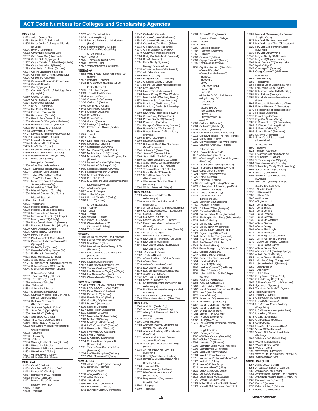**MISSOURI** \*2278 Avila U (Kansas City) \*2283 Baptist Bible C (Springfield) \*2305 Barnes-Jewish C of Nrsg & Allied Hlth (St Louis)<br>
2266 Bryan C (Springfield)<br>
22312 Calvary Bible C (Kansas City)<br>
22397 Cass Career Cntr (Harrisonville)<br>
2297 Cass Career Cntr (Harrisonville)<br>
2268 Central Bible C (Springfield)<br>
2270 Central Methodist U (Faye \*5516 Colorado Tech U (North Kansas City) \*2276 Columbia C (Columbia) \*2280 Conception Seminary C (Conception) \*2286 Cottey C (Nevada) \*2367 Cox C (Springfield) \*2351 Cox Health Sys Sch of Radiologic Tech (Springfield) \*2289 Crowder C (Neosho) \*2290 Culver–Stockton C (Canton) \*2274 DeVry U (Kansas City) \*2292 Drury U (Springfield)<br>\*2294 East Central C (Union)<br>\*2296 Evangel U (Springfield)<br>\*2298 Fontbonne U (St Louis)<br>\*2369 Franklin Tech Center (Joplin)<br>\*2303 Gateway C of Evangelism (Florissant)<br>\*2302 Harris–Stowe St C (St \*2313 Jefferson C (Hillsboro) \*2277 Kansas City Art Institute (Kansas City) \*2402 L'Ecole Culinaire (St. Louis) \*2322 Lincoln U (Jefferson City) \*2324 Lindenwood U (St Charles) \*5105 Linn St Tech C (Linn) \*2318 Logan C of Chiropractic (Chesterfield) \*2310 Lutheran Sch of Nrsg (St Louis) \*2326 Maryville U of St Louis (St Louis) \*2327 Messenger C (Joplin) Metropolitan Comm Coll: \*2288 –Blue River (Independence) \*2273 –Business & Tech (Kansas City) \*2307 –Longview (Lee's Summit) \*2331 –Maple Woods (Kansas City) \*2341 –Penn Valley (Kansas City) \*2321 Midwestern Baptist Theological Seminary (Kansas City) \*2306 Mineral Area C (Park Hills) \*2323 Missouri Baptist U (St Louis) \*2304 Missouri Southern St U (Joplin) Missouri State Univ: \*2370 –Springfield \*2401 –West Plains \*2353 Missouri Tech (St Charles) \*2398 Missouri U of Sci & Tech (Rolla) \*2330 Missouri Valley C (Marshall) \*2344 Missouri Western St U (St Joseph) \*2332 Moberly Area CC (Moberly) \*2378 North Central Missouri C (Trenton) \*2338 Northwest Missouri St U (Maryville) \*2279 Ozark Christian C (Joplin) \*2335 Ozarks Tech CC (Springfield) \*2340 Park U (Parkville) \*2387 Pike-Lincoln Tech Center (Eolia) \*2385 Professional Massage Training Cntr (Springfield) \*5367 Ranken Tech C (St Louis) \*2347 Research C of Nrsg (Kansas City) \*2342 Rockhurst U (Kansas City) \*6693 Rolla Tech Inst/Center (Rolla) \*2281 St Charles CC (Cottleville) \*2271 St John's Sch of Radiology (Springfield) \*2334 St Louis Christian C (Florissant) \*2346 St Louis C of Pharmacy (St Louis) St Louis Comm Coll at: \*2297 –Florissant Valley (St Louis) \*2299 –Forest Park (St Louis) \*2328 –Meramec (St Louis) \*2360 –Wildwood \*2352 St Louis U (St Louis) \*2357 St Luke's C (Kansas City) \*2375 Southeast Missouri Hosp C of Nrsg & Hlth Sci (Cape Girardeau) \*2366 Southeast Missouri St U (Cape Girardeau) \*2368 Southwest Baptist U (Bolivar) \*2371 Springfield C (Springfield) \*2356 State Fair CC (Sedalia) \*2374 Stephens C (Columbia) \*2372 Three Rivers CC (Poplar Bluff) \*2336 Truman State U (Kirksville) \*2272 U of Central Missouri (Warrensburg) Univ of Missouri: \*2382 –Columbia \*2380 – Kansas City<br>\*2383 – St Louis \*2383 –St Louis \*2386 Washington U in St Louis (St Louis) \*2388 Webster U (St Louis) \*2390 Wentworth Military Academy (Lexington) \*2392 Westminster C (Fulton) \*2394 William Jewell C (Liberty) \*2396 William Woods U (Fulton) **MONTANA**<br>\*2408 Carroll C (Helena)<br>\*2403 Chief Dull Knife C (Lame Deer)<br>\*2414 Dawson CC (Glendive)<br>\*2417 Flathead Valley CC (Kalispell) \*2432 –C of Tech–Great Falls

- 
- 
- \*2412 Miles CC (Miles City) \*2421 Montana Bible C (Bozeman) Montana State Univ:
- \*2416 –Billings
- \*2420 –Bozeman

\*2424 –Northern (Havre) \*2418 Montana Tech of the U of Montana (Butte) \*2426 Rocky Mountain C (Billings) \*2410 U of Great Falls (Great Falls) Univ of Montana: \*2422 –Missoula \*2425 –Helena C of Tech (Helena) \*2428 –Western (Dillon) \*2427 Yellowstone Baptist C (Billings) **NEBRASKA** \*6568 Alegent Health Sch of Radiologic Tech (Omaha) \*2437 Bellevue U (Bellevue) \*2438 BryanLGH C of Health Sci (Lincoln) Central Comm Coll: \*2475 –Columbus Campus \*6369 –Grand Island Campus \*6214 –Hastings Campus \*2466 Chadron St C (Chadron) \*2436 Clarkson C (Omaha) \*2440 C of St Mary (Omaha) \*2442 Concordia U (Seward) \*2444 Creighton U (Omaha) \*2446 Dana C (Blair) \*2448 Doane C (Crete) \*2454 Grace U (Omaha) \*2456 Hastings C (Hastings) \*2451 ITT Tech Inst–Omaha (Omaha) Kaplan Univ:  $*4788$  –Lincoln \*5572 –Omaha \*2457 Little Priest Tribal C (Winnebago) \*2460 McCook CC (McCook) \*2447 Metropolitan CC (Omaha) \*2491 Mid–Plains CC (North Platte) \*2462 Midland Lutheran C (Fremont) \*2434 Nebraska Byrd Scholars Program, The (Lincoln) \*2473 Nebraska Christian C (Papillion) \*2458 Nebraska C Tech Ag (Curtis) \*2465 Nebraska Methodist C (Omaha) \*2474 Nebraska Wesleyan U (Lincoln)<br>\*2476 Northeast CC (Norfolk)<br>\*2470 Peru St C (Peru)<br>\*2471 St Gregory the Great Seminary (Seward) Southeast Comm Coll: \*2441 –Beatrice Campus \*4787 –Lincoln Campus \*4789 –Milford Campus \*2463 Summit Christian C (Gering) \*2480 Union C (Lincoln) Univ of Nebraska at: \*2468 –Kearney \*2482 –Lincoln \*2464 –Omaha \*6429 Vatterott C (Omaha) \*2472 Wayne St C (Wayne) \*2478 Western Nebraska CC (Scottsbluff & Sidney) \*2484 York C (York) **NEVADA** \*2488 Art Inst of Las Vegas, The (Henderson) \*2498 C of Southern Nevada (Las Vegas) \*2493 Great Basin C (Elko) \*4898 International Acad of Design & Tech (Henderson) \*6603 Le Cordon Bleu C of Culinary Arts (Las Vegas) 2500 Morrison U (Reno) \*2486 Nevada St C (Henderson) \*2497 Sierra Nevada C (Incline Village) \*2499 Truckee Meadows CC (Reno) \*2496 U of Nevada–Las Vegas (Las Vegas) \*2494 U of Nevada–Reno (Reno) \*2495 Western Nevada CC (Carson City) **NEW HAMPSHIRE** \*2528 Chester C of New England (Chester) \*2506 Colby–Sawyer C (New London) \*2525 Daniel Webster C (Nashua) \*2508 Dartmouth C (Hanover) \*2509 Franklin Pierce C (Rindge) 2530 Great Bay CC (Stratham) \*2503 Hesser C (Manchester) \*2510 Keene St C (Keene) \*2527 Lakes Region CC (Laconia) \*2511 Magdalen C (Warner) \*2507 Manchester CC (Manchester) 2523 Nashua CC (Nashua) \*2513 New England C (Henniker) 2516 NHTI-Concord's CC (Concord) \*2518 Plymouth St U (Plymouth) \*2529 River Valley CC (Claremont) \*2520 Rivier C (Nashua) \*2522 St Anselm C (Manchester) \*2514 Southern New Hampshire U (Manchester) \*2531 Thomas More C of Liberal Arts (Merrimack) \*2524 U of New Hampshire (Durham) 2517 White Mountains CC (Berlin) **NEW JERSEY** 2539 Atlantic Cape CC (Mays Landing) 2541 Bergen CC (Paramus)

> Berkeley College: \*2578 –Bergen (Paramus) \*2576 –West Paterson

\*2579 –Woodbridge \*2540 Bloomfield C (Bloomfield) 2553 Brookdale CC (Lincroft) 2543 Burlington County C (Pemberton)

2542 Caldwell C (Caldwell) \*2545 Camden County C (Blackwood) \*2544 Centenary C (Hackettstown) \*2535 Cittone Inst, The–Edison (Edison) \*2614 C of New Jersey, The (Ewing) \*2546 C of St Elizabeth (Morristown) 2549 County C of Morris (Randolph) \*2558 DeVry C of Tech (North Brunswick) \*2550 Drew U (Madison) \*2551 Essex County C (Newark) Fairleigh Dickinson Univ: \*2574 –Edward Williams C (Hackensack) \*2552 –All Other Campuses \*2559 Felician C (Lodi) \*2562 Georgian Court U (Lakewood) \*2561 Gloucester County C (Sewell) \*2575 Helene Fuld Sch of Nrsg (Blackwood) \*2582 Kean U (Union) \*2536 Lincoln Tech Inst (Mahwah) 2568 Mercer County CC (West Windsor) \*2571 Monmouth U (West Long Branch) \*2572 Montclair St U (Upper Montclair) %%%% Versey City U (Jersey City)<br>%%% New Jersey Garden St Scholarship<br>%2580 New Jersey Inst of Tech (Newark)<br>%2585 Ocean County C (Toms River)<br>%2585 Passaic County C (Cherson)<br>%2588 Parinceton U (Princeton) \*2591 Ramapo C of New Jersey (Mahwah) 2609 Raritan Valley CC (Somerville) \*2589 Richard Stockton C of New Jersey (Pomona) \*2590 Rider U (Lawrenceville) \*2560 Rowan U (Glassboro) \*2592 Rutgers U, The St U of New Jersey (New Brunswick) \*2604 St Peter's C (Jersey City) \*2602 Salem CC (Carneys Point) \*2606 Seton Hall U (South Orange) \*2599 Somerset Christian C (Zarephath) \*2538 Steno Tech Career Inst (Piscataway) \*2610 Stevens Inst of Tech (Hoboken) \*2612 Thomas A Edison St C (Trenton) \*2616 Union County C (Cranford) \*9597 U S Military Acad Prep Sch (Fort Monmouth) \*2619 Westminster Choir C of Rider U (Princeton) \*2584 William Paterson U (Wayne) **NEW MEXICO**<br>\*2629 Albuquerque Job Corps Ctr<br>6 (Albuquerque)<br>\*5090 Armand Hammer United World C<br>\*5090 Armand Hammer United World C<br>\*2631 Clovis CC (Clovis)<br>\*2638 C of Santa Fe (Santa Fe)<br>\*2648 C of Santa Fe (Santa Fe) \*2636 Eastern New Mexico U (Portales) \*2647 Eastern New Mexico U–Roswell CC (Roswell) \*2654 Inst of American Indian Arts (Santa Fe) \*2628 Luna CC (Las Vegas) \*2641 Mesalands CC (Tucumcari) \*2640 New Mexico Highlands U (Las Vegas) \*2643 New Mexico J C (Hobbs) \*2644 New Mexico Military Inst (Roswell) New Mexico St Univ: \*2630 –Alamogordo Branch \*2632 –Carlsbad Branch \*2651 –Dona Ana Branch CC (Las Cruces) \*2645 –Grants Branch \*2638 –Main Campus (Las Cruces) \*2642 New Mexico Tech (Socorro) \*2639 Northern New Mexico C (Espanola) \*2649 St John's C (Santa Fe) \*2637 San Juan C (Farmington) \*2660 Santa Fe CC (Santa Fe) \*6961 Southwestern Indian Polytechnic Inst (Albuquerque) \*2650 U of New Mexico (Albuquerque and All Branches) \*2633 U of the Southwest (Hobbs) \*2646 Western New Mexico U (Silver City) **NEW YORK** \*2664 Adelphi U (Garden City) \*2667 Adirondack CC (Queensbury) \*2672 Albany C of Pharmacy & Health Sci (Albany) \*2910 Alfred St C (Alfred) \*2666 Alfred U (Alfred) \*2669 American Academy McAllister Inst Funeral Serv (New York) \*2663 American Academy of Dramatic Arts (New York) \*2671 American Musical and Dramatic Academy (New York) \*2670 Arnot Ogden Medical Ctr Sch Nrsg (Elmira) \*2834 Art Inst of New York City, The (New York) \*2674 Bard C (Annandale–on–Hudson) \*2718 Barnard C–Columbia U (New York) Berkeley College: \*2688 –New York City \*2695 –Westchester (White Plains) \*2677 Bible Baptist Institute and C (Hudson Falls) \*2956 Binghamton U (Binghamton) Briarcliffe Coll: \*2708 –Bethpage

\*2661 –Albany \*2676 –Buffalo \*2681 –Greece (Rochester) \*2682 –Henrietta (Rochester) \*2861 –Syracuse \*2690 Canisius C (Buffalo) \*2668 Cayuga County CC (Auburn) \*2696 Cazenovia C (Cazenovia) \*2950 City U of New York: (New York) –Bernard Baruch C –Borough of Manhattan CC –Bronx CC –Brooklyn C –City C –C of Staten Island –Hostos CC –Hunter C –John Jay C of Criminal Justice –Kingsborough CC –LaGuardia CC –Lehman C –Medger Evers C –New York City Tech C –Queens C –Queensborough CC –York C \*2698 Clarkson U (Potsdam) \*2694 Clinton CC (Plattsburgh) \*2702 Colgate U (Hamilton) \*2823 C of Mount St Vincent (Riverdale) \*2712 C of New Rochelle, The (New Rochelle) \*2714 C of St Rose (Albany) \*2986 C of Westchester, The (White Plains) \*2715 Columbia–Greene CC (Hudson) Columbia Univ: \*2718 –Barnard C (New York) \*2717 –Columbia C (New York) \*2721 –Continuing Educ & Special Programs (New York) \*2719 –S of Engn & App Sci (New York) \*2716 –S of General Studies (New York) \*2722 Concordia C (Bronxville) \*2724 Cooper Union (New York) \*2726 Cornell U (Ithaca) \*2727 Corning CC (Corning) \*2865 Crouse Hosp Sch Nrsg (Syracuse) \*2728 Culinary Inst of America (Hyde Park) \*2874 Daemen C (Amherst) \*2710 Davis C (Johnson City) \*2733 DeVry C of New York (Long Island City) \*2730 Dominican C (Orangeburg) \*2665 Dowling C (Oakdale) \*2731 Dutchess CC (Poughkeepsie) \*2732 D'Youville C (Buffalo) \*2734 Eastman Sch of Music (Rochester) \*2739 Ellis Hospital Sch of Nrsg (Schenectady) \*2736 Elmira C (Elmira) \*2742 Erie CC–City (Buffalo) \*2740 Erie CC–North (Williamsville) \*2741 Erie CC–South (Orchard Park) \*2828 Eugene Lang C (New York) \*2744 Fashion Inst of Tech (New York) \*2704 Finger Lakes CC (Canandaigua) \*2745 Five Towns C (Dix Hills) \*2748 Fordham U (Bronx) \*2749 Fulton–Montgomery CC (Johnstown) \*2751 Genesee CC (Batavia) \*2747 Global C of LIU (Brooklyn) \*2755 Globe Inst of Tech (New York) \*2754 Hamilton C (Clinton) \*2756 Hartwick C (Oneonta) \*2765 Herkimer County CC (Herkimer) \*2759 Hilbert C (Hamburg) \*2758 Hobart & William Smith Colleges (Geneva) \*2760 Hofstra U (Hempstead) \*2766 Houghton C (Houghton) \*2768 Hudson Valley CC (Troy) \*2762 Inst of Design & Construction (Brooklyn) \*2770 Iona C (New Rochelle) \*2772 Ithaca C (Ithaca) \*2774 Jamestown CC (Jamestown) \*2775 Jefferson CC (Watertown) \*2787 Katharine Gibbs Sch (Melville) \*2700 Katharine Gibbs Sch (New York) \*2782 Keuka C (Keuka Park) \*2784 King's C, The (New York) \*2790 Le Moyne C (Syracuse) \*4807 LIM C (New York) \*2776 List C–Jewish Theological Seminary (New York) Long Island Univ: -Brooklyn Campus \*2687 –CW Post Campus (Brookville) \*2747 –Global C (Brooklyn) \*2796 Manhattan C (Riverdale) \*2809 Manhattan Sch of Music (New York) \*2800 Manhattanville C (Purchase) \*2803 Maria C of Albany (Albany) \*2804 Marist C (Poughkeepsie) \*2811 Marymount Manhattan C (New York) \*2822 Medaille C (Buffalo) \*2814 Mercy C (Dobbs Ferry) \*2818 Mohawk Valley CC (Utica) \*2820 Molloy C (Rockville Centre) \*2821 Monroe CC (Rochester) \*2819 Mount St Mary C (Newburgh) \*2825 Nassau CC (Garden City) \*2824 National Inst for the Deaf (Rochester)

\*2826 Nazareth C of Rochester (Rochester)

\*2684 Broome CC (Binghamton) Bryant and Stratton College:

\*2881 New York Conservatory for Dramatic Arts (New York) \*2837 New York Film Acad (New York) \*2832 New York Inst of Tech (Old Westbury) \*2829 New York Sch of Interior Design (New York)<br>\*2838 New York U (New York) \*2838 New York U (New York) \*2843 Niagara County CC (Sanborn) \*2842 Niagara U (Niagara University) \*2864 North Country CC (Saranac Lake) \*2846 Nyack C (Nyack) \*2847 Onondaga CC (Syracuse) \*2848 Orange County CC (Middletown) Pace Univ at: \*2852 –New York City \*2855 –Pleasantville \*2854 Parsons Sch of Design (New York) \*2858 Paul Smith's C (Paul Smiths) \*2860 Polytechnic Inst of NYU (Brooklyn) \*2862 Pratt Institute (Brooklyn) \*2863 Pratt at Munson-Williams–Proctor (Utica) \*2866 Rensselaer Polytechnic Inst (Troy) \*2868 Roberts Wesleyan C (Rochester) \*2870 Rochester Inst of Tech (Rochester) \*2873 Rockland CC (Suffern) \*2876 Russell Sage C (Troy) \*2779 Sage C of Albany (Albany) \*2882 St Bonaventure U (St Bonaventure) \*2989 St Elizabeth C of Nrsg (Utica) \*2884 St Francis C (Brooklyn) \*2886 St John Fisher C (Rochester) \*2888 St John's U (Jamaica) \*2844 St John's U of Staten Island (Staten Island) St Joseph's Coll: \*2890 –Brooklyn \*2923 –Suffolk (Patchogue) \*2835 St Joseph's C of Nrsg (Syracuse) \*2896 St Lawrence U (Canton) \*2897 St Thomas Aquinas C (Sparkill) \*2904 Sarah Lawrence C (Bronxville) \*2892 Schenectady County CC (Schenectady) \*2895 Sch of Visual Arts (New York) \*2878 Siena C (Loudonville) \*2905 Simmons Inst of Funeral Srvc (Syracuse) \*2906 Skidmore C (Saratoga Springs) State Univ of New York: \*2910 –Alfred St C (Alfred) \*2918 –at Farmingdale \*2938 –at New Paltz \*2946 –at Potsdam \*2956 –Binghamton U \*2928 –Coll at Brockport \*2930 –Coll at Buffalo \*2932 –Coll at Cortland \*2934 –Coll at Fredonia \*2936 –Coll at Geneseo \*2939 –Coll at Old Westbury \*2940 –Coll at Oneonta \*2942 –Coll at Oswego \*2944 –Coll at Plattsburgh \*2931 –Coll at Purchase \*2914 –Coll of Ag/Tech at Cobleskill \*2920 –Coll of Ag/Tech at Morrisville \*2948 –C Envir Sci/Forestry (Syracuse) \*2912 –Coll of Tech at Canton \*2916 –Coll of Tech at Delhi \*2737 –Empire St Coll (Saratoga Springs) \*2996 –Health Sci Ctr (Brooklyn) \*2953 –Inst of Tech at Utica/Rome \*2954 –Maritime College (Throggs Neck) \*2981 –Upstate Medical U (Syracuse) \*2952 –Stony Brook U \*2926 –U at Albany \*2978 –U at Buffalo \*2952 Stony Brook U (Stony Brook) \*2965 Suffolk County CC (Selden) \*2967 Sullivan County CC (Loch Sheldrake) \*2968 Syracuse U (Syracuse) \*2963 Tompkins–Cortland CC (Dryden) \*2961 Touro C (Brooklyn) \*2964 Trocaire C (Buffalo) \*2971 Ulster County CC (Stone Ridge) \*2970 Union C (Schenectady) \*2974 U S Merchant Marine Academy (Kings Point) \*2976 U S Military Academy (West Point) \*2926 U at Albany (Albany) \*2978 U at Buffalo (Buffalo) \*2980 U of Rochester (Rochester) \*2973 Utica C (Utica) \*6361 Utica Sch of Commerce (Utica) \*2982 Vassar C (Poughkeepsie) \*2699 Vaughn C of Aeronautics & Tech (Flushing) \*2983 Villa Maria C–Buffalo (Buffalo) \*2984 Wagner C (Staten Island)<br>\*2987 Webb Inst (Glen Cove) \*2987 Webb Inst (Glen Cove) \*2988 Wells C (Aurora) \*2990 Westchester CC (Valhalla) \*2991 Word of Life Bible Institute (Pottersville) \*2992 Yeshiva U (New York) **\*3157 Alamance CC (Graham)**<br>\*3053 Ambassador Baptist C (Lattimore)<br>\*3062 Appalachian St U (Boone)<br>\*3064 Art Institute of Charlotte, The (Charlotte)<br>\*3064 Art Institute of Charlotte, The (Charlotte)<br>\*3063 Asheville Buncomb \*3068 Barber–Scotia C (Concord) \*3066 Barton C (Wilson) \*3070 Belmont Abbey C (Belmont) \*3072 Bennett C (Greensboro)

\*2709 –Patchogue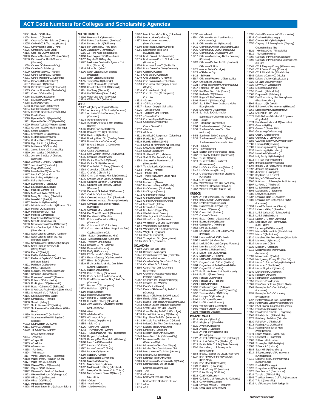\*3071 Bladen CC (Dublin) \*3074 Brevard C (Brevard) \*3121 Cabarrus C of Hlth Sciences (Concord) \*3075 Caldwell CC & Tech Inst (Hudson) \*3091 Calvary Baptist Bible C (King) \*3076 Campbell U (Buies Creek) \*3185 Cape Fear CC (Wilmington) \*3180 Carolina Christian C (Winston–Salem) \*3056 Carolinas C of Health Sciences (Charlotte) 3078 Carteret CC (Morehead City) \*3080 Catawba C (Salisbury) \*3079 Catawba Valley CC (Hickory) \*3082 Central Carolina CC (Sanford) \*3081 Central Piedmont CC (Charlotte) \*3084 Chowan U (Murfreesboro) 6637 Cleveland CC (Shelby) \*3083 Coastal Carolina CC (Jacksonville) \*3085 C of the Albemarle (Elizabeth City) \*3182 Craven CC (New Bern) \*3086 Davidson C (Davidson) \*3087 Davidson County CC (Lexington) \*3088 Duke U (Durham) 5563 Durham Tech CC (Durham) \*3094 East Carolina U (Greenville)<br>\*3095 Elizabeth City St U (Elizabeth City)<br>\*3096 Elon U (Elon)<br>\*3098 Fayetteville St U (Fayetteville)<br>\*3098 Faryetteville Tech CC (Vayetteville)<br>\*3099 Forsyth Tech CC (Winston-Salem)<br>\*310 \*3165 Gaston C (Dallas) \*3104 Greensboro C (Greensboro) \*3106 Guilford C (Greensboro) \*5134 Guilford Tech CC (Jamestown) \*3108 High Point U (High Point) \*3109 Isothermal CC (Spindale) \*3111 James Sprunt CC (Kenansville) \*3110 John Wesley C (High Point) \*3051 Johnson & Wales U–Charlotte (Charlotte) \*3112 Johnson C Smith U (Charlotte) \*3107 Johnston CC (Smithfield) \*3114 King's C (Charlotte) \*3116 Lees–McRae C (Banner Elk) \*3117 Lenoir CC (Kinston) \*3118 Lenoir–Rhyne U (Hickory) \*6528 Living U (Charlotte) \*3120 Livingstone C (Salisbury) \*3122 Louisburg C (Louisburg) \*3124 Mars Hill C (Mars Hill) \*3125 McDowell Tech CC (Marion) \*3188 Mercy Sch of Nrsg (Charlotte) \*3126 Meredith C (Raleigh) \*3127 Methodist U (Fayetteville) \*3153 Mid-Atlantic Christian U (Elizabeth City) 3128 Mitchell CC (Statesville) \*3129 Montgomery CC (Troy) \*3130 Montreat C (Montreat) \*3131 Mount Olive C (Mount Olive) \*3105 Nash CC (Rocky Mount) \*3050 Native American Bible C (Shannon) \*3060 North Carolina Agric & Tech St U (Greensboro) \*3132 North Carolina Central U (Durham) \*3133 North Carolina Sch of the Arts (Winston–Salem) \*3164 North Carolina St U at Raleigh (Raleigh) \*3135 North Carolina Wesleyan C (Rocky Mount) \*3136 Peace C (Raleigh) \*3140 Pfeiffer U (Misenheimer) \*3142 Piedmont Baptist C & Grad School (Winston–Salem) \*3101 Piedmont CC (Roxboro) \*3141 Pitt CC (Greenville) \*3148 Queens U of Charlotte (Charlotte) \*3147 Randolph CC (Asheboro) \*3144 Roanoke–Chowan CC (Ahoskie) \*3139 Robeson CC (Lumberton) \*3143 Rockingham CC (Wentworth) \*3145 Rowan–Cabarrus CC (Salisbury) \*3146 St Andrews Presbyterian C (Laurinburg) \*3152 St Augustine's C (Raleigh) \*3156 Salem C (Winston–Salem) \*3149 Sandhills CC (Pinehurst) \*3158 Shaw U (Raleigh) \*3061 South Piedmont CC (Polkton) \*3092 Southeastern C at Wake Forest (Wake Forest) \*3159 Southeastern CC (Whiteville) \*4327 Southeastern Free Will Baptist C (Wendell) \*6892 Southwestern CC (Sylva) \*3161 Surry CC (Dobson) \*3059 Tri–County CC (Murphy) Univ of North Carolina: \*3064 –Asheville \*3162 –Chapel Hill \*3163 –Charlotte \*3166 –Greensboro \*3138 –Pembroke \*3174 –Wilmington 3167 Vance–Granville CC (Henderson) \*3168 Wake Forest U (Winston–Salem) \*3177 Wake Tech CC (Raleigh) \*3170 Warren Wilson C (Asheville) \*3171 Wayne CC (Goldsboro) \*3172 Western Carolina U (Cullowhee) **NORTH DAKOTA** \*3196 Bismarck St C (Bismarck) \*3204 Dakota C at Bottineau (Bottineau) \*3210 Dickinson St U (Dickinson) \*3194 Fort Berthold CC (New Town) \*3200 Jamestown C (Jamestown) **OHIO**

6555 JZ Trend Acad Inc (Bismarck) \*3198 Lake Region St C (Devils Lake) \*3212 Mayville St U (Mayville) \*3197 Medcenter One Health Systems C of Nrsg (Bismarck) \*3214 Minot St U (Minot) \*3206 North Dakota St C of Science (Wahpeton) \*3202 North Dakota St U (Fargo) \*3215 Trinity Bible C (Ellendale) \*3191 Turtle Mountain CC (Belcourt) \*3193 United Tribes Tech C (Bismarck) \*3201 U of Mary (Bismarck) \*3218 U of N Dakota (Grand Forks) \*3216 Valley City St U (Valley City) \*3219 Williston St C (Williston) \*3227 Allegheny Wesleyan C (Salem) \*5592 Art Academy of Cincinnati (Cincinnati) \*6312 Art Inst of Ohio–Cincinnati, The (Cincinnati) \*3234 Ashland U (Ashland) \*3228 Aultman C of Nrsg & Hlth Sciences (Canton) \*3236 Baldwin–Wallace C (Berea) \*3230 Belmont Tech C (St Clairsville) \*3238 Bluffton U (Bluffton) \*3240 Bowling Green St U (Bowling Green) \*3253 Brown Mackie C (Cincinnati) \*3257 Bryant & Stratton C–Downtown (Cleveland) \*3242 Capital U (Columbus) \*3244 Case Western Reserve U (Cleveland) \*3245 Cedarville U (Cedarville) \*3365 Central Ohio Tech C (Newark) \*3246 Central St U (Wilberforce) \*6380 Chamberlain C of Nrsg (Columbus) \*3268 Chancellor U (Cleveland) \*3221 Chatfield C (St Martin) \*3252 Christ C of Nrsg & Hlth Sci (Cincinnati) \*3376 Christian Union Bible C (Greenfield) \*3248 Cincinnati Christian U (Cincinnati) \*3251 Cincinnati C of Mortuary Science (Cincinnati) \*5570 Cincinnati St Tech & CC (Cincinnati) \*3247 Clark St CC (Springfield) \*3243 Cleveland Institute of Art (Cleveland) \*3250 Cleveland Institute of Music (Cleveland) \*3358 Cleveland Scholarship Program (Cleveland) \*3270 Cleveland St U (Cleveland) \*3254 C of Mount St Joseph (Cincinnati) \*3260 C of Wooster (Wooster) \*3281 Columbus C of Art and Design (Columbus) \*3261 Columbus St CC (Columbus) \*3333 Comm Hospital Sch of Nrsg (Springfield) Cuyahoga Comm Coll: \*3259 –Eastern Cmp (Highland Hills) \*3263 –Metropolitan Cmp (Cleveland) \*3265 –Western Cmp (Parma) \*3264 Defiance C, The (Defiance) \*3266 Denison U (Granville) \*3309 DeVry U (Columbus) \*3269 ETI Technical C of Niles (Niles) \*3373 Eastern Gateway CC (Steubenville) \*3377 Edison St CC (Piqua) \*3319 Firelands Regional Med Cntr Sch of Nursing (Sandusky) \*3275 Franklin U (Columbus) \*6613 Galen C of Nrsg (Cincinnati) \*3325 God's Bible Sch and C (Cincinnati) \*3375 Good Samaritan C of Nrsg/Health Sci (Cincinnati) \*5171 Harrison C (All campuses) \*3278 Heidelberg U (Tiffin) \*3280 Hiram C (Hiram) \*3352 Hocking C (Nelsonville) \*4897 Hondros C (Westerville) \*3369 Huron Sch of Nrsg (Cleveland) \*3282 John Carroll U (University Heights) Kent State Univ: \*3284 –Kent \*3773 –Ashtabula Cmp \*3225 –E Liverpool Cmp \*3224 –Geauga Cmp (Burton) \*3354 –Salem Cmp \*3226 –Stark Cmp (Canton) \*3343 –Trumbull Cmp (Warren) \*3361 –Tuscarawas Cmp (New Philadelphia) \*3286 Kenyon C (Gambier) \*3279 Kettering C of Medical Arts (Kettering) \*3288 Lake Erie C (Painesville) \*3277 Lakeland CC (Kirtland) \*3287 Lorain County CC (Elyria) \*3598 Lourdes C (Sylvania) \*3289 Malone U (Canton) \*3599 Marietta Bible C (Marietta) \*3290 Marietta C (Marietta) \*3351 Marion Tech C (Marion) \*3292 MedCentral C of Nrsg (Mansfield) \*6321 Mercy C of Northwest Ohio (Toledo) \*3296 Miami–Jacobs Career C (Dayton) Miami Univ:

(Mount Vernon) \*3300 Muskingum C (New Concord) \*3255 National Inst Tech–Ohio (Cuyahoga Falls) \*3374 North Central St C (Mansfield) \*3315 Northeastern Ohio U C of Medicine (Rootstown) \*3356 Northwest State CC (Archbold) \*3302 Notre Dame C of Ohio (Cleveland) \*3304 Oberlin C (Oberlin) \*3273 Ohio Bible C (Conneaut) \*3249 Ohio Christian U (Circleville) \*3256 Ohio Dominican U (Columbus) \*6290 Ohio Inst of Photography & Tech (Dayton) \*3310 Ohio Northern U (Ada) \*3312 Ohio St U, The (All campuses) Ohio Univ: \*3314 –Athens \*3313 –Chillicothe Cmp \*3317 –Eastern Cmp (St Clairsville) \*3326 –Lancaster Cmp \*3370 –Southern Cmp (Ironton) \*3322 –Zanesville Cmp \*3316 Ohio Wesleyan U (Delaware) \*3318 Otterbein C (Westerville) Owens Comm Coll: \*3337 –Findlay \*3323 –Toledo \*3321 Pontifical C Josephinum (Columbus) \*3359 Rhodes St C (Lima) \*6619 Rosedale Bible C (Irwin) \*6578 School of Advertising Art (Kettering) \*3336 Shawnee St U (Portsmouth) \*3332 Sinclair CC (Dayton) \*3276 Southern St CC (Hillsboro) \*3345 Stark St C of Tech (Canton) \*3258 Steubenville, Franciscan U of (Steubenville) \*3347 Temple Baptist C (Cincinnati) \*3353 Terra CC (Fremont) \*3334 Tiffin U (Tiffin) \*3329 Trinity Hlth System Sch of Nrsg (Steubenville) \*3338 U of Akron (Akron) \*3267 U of Akron–Wayne C (Orrville) \*3340 U of Cincinnati (Cincinnati) \*3342 U of Dayton (Dayton) \*3272 U of Findlay (Findlay) \*6323 U of Northwestern Ohio (Lima) \*3324 U of Rio Grande (Rio Grande) \*3344 U of Toledo (Toledo) \*3346 Urbana U (Urbana) \*3348 Ursuline C (Pepper Pike) \*3349 Walsh U (North Canton) \*3367 Washington St CC (Marietta) \*3360 Wilberforce U (Wilberforce) \*3362 Wilmington C of Ohio (Wilmington) \*3364 Wittenberg U (Springfield) \*4899 World Harvest Bible C (Columbus) \*3295 Wright St U (Dayton) \*3366 Xavier U (Cincinnati) \*3368 Youngstown St U (Youngstown) \*3305 Zane St C (Zanesville) **OKLAHOMA** \*3389 Autry Tech Cntr (Enid) \*3380 Bacone C (Muskogee) \*5441 Caddo Kiowa Tech Cntr (Fort Cobb) \*3386 Cameron U (Lawton) \*5460 Canadian Valley Tech Cntr (El Reno) \*3430 Carl Albert St C (Poteau) \*3395 Central Tech Cntr–Drumright (Drumright) 6900 Cheyenne–Arapahoe Higher Educ Program (Concho) \*5457 Chisholm Trail Tech Cntr (Omega) \*3392 Connors St C (Warner) \*3394 East Central U (Ada) \*5442 Eastern Oklahoma Cnty Tech Cntr (Choctaw) \*3396 Eastern Oklahoma St C (Wilburton) \*3399 Family of Faith C (Shawnee) \*3391 Francis Tuttle Tech Cntr (Oklahoma City) \*5443 Gordon Cooper Tech Cntr (Shawnee) \*5444 Great Plains Tech Cntr (Lawton) \*5459 Green Country Tech Cntr (Okmulgee) \*4870 Herbert W Armstrong C (Edmond) \*5461 High Plains Tech Cntr (Woodward) \*3413 Hillsdale Free Will Baptist C (Moore) \*5446 Indian Capitol Tech Cntr (Muskogee) \*5447 Kiamichi Tech Cntr (Durant) \*3400 Langston U (Langston) \*5448 Meridian Tech Cntr (Stillwater) \*5449 Metro Tech Cntr (Oklahoma City)<br>\*4097 Mid-America Christian II \*4097 Mid-America Christian U (Oklahoma City) \*3401 Mid-America Tech Cntr (Wayne) \*5451 Mid-Del Tech Cntr (Midwest City) \*3405 Moore Norman Tech Cntr (Norman) \*3402 Murray St C (Tishomingo) \*5450 Northeast Tech Cntr (Afton) \*3406 Northeastern Oklahoma A&M C (Miami) \*3408 Northeastern St U (Tahlequah) Northern Oklahoma Coll: \*3409 –Enid \*3410 –Tonkawa \*5445 Northwest Tech Cntr (Alva) Northwestern Oklahoma St Univ:

\*3297 Mount Carmel C of Nrsg (Columbus) \*3298 Mount Union C (Alliance) \*3372 Mount Vernon Nazarene U

-Woodward \*3381 Oklahoma Baptist C and Institute (Oklahoma City) \*3414 Oklahoma Baptist U (Shawnee) \*3415 Oklahoma Christian U (Oklahoma City) \*3431 Oklahoma City CC (Oklahoma City)

\*3416 Oklahoma City U (Oklahoma City) \*3417 Oklahoma Missionary Baptist Seminary (Choctaw) \*3426 Oklahoma Panhandle St U (Goodwell) Oklahoma St Univ: \*3425 –Inst of Tech (Okmulgee) \*3423 –Oklahoma City \*3424 –Stillwater \*3387 Oklahoma Wesleyan U (Bartlesville) \*3427 Oral Roberts U (Tulsa) \*6624 Pioneer Technology Cntr (Ponca City) \*3447 Pontotoc Tech Cntr (Ada) \*5452 Red River Tech Cntr (Duncan) \*3398 Redlands CC (El Reno) \*3420 Rogers St U (Claremore) \*3403 Rose St C (Midwest City) \*6297 Sac & Fox Tribe of Oklahoma Higher Educ (Stroud) \*3432 St Gregory's U (Shawnee) \*3436 Seminole St C (Seminole) Southeastern Oklahoma St Univ: \*3438 –Durant -McCurtain Cnty (Idabel) \*3384 Southern Nazarene U (Bethany) \*3453 Southern Oklahoma Tech Cntr (Ardmore) \*5454 Southwest Tech Cntr (Altus) \*3439 Southwestern Christian U (Bethany) Southwestern Oklahoma St Univ: \*3434 –at Sayre<br>\*3440 –at Weath -at Weatherford \*6124 Spartan Sch of Aeronautics (Tulsa) \*5462 Tri County Tech Cntr (Bartlesville) \*3441 Tulsa CC (Tulsa) \*3419 Tulsa Tech Cntr–Southeast (Broken Arrow) \*3390 U of Central Oklahoma (Edmond) \*3442 U of Oklahoma (Norman) \*3418 U of Science and Arts of Oklahoma (Chickasha) \*3444 U of Tulsa (Tulsa) \*5455 Wes Watkins Tech Cntr (Wetumka) \*3378 Western Oklahoma St C (Altus) \*5467 Western Tech Cntr (Burns Flat) **OREGON**<br>\*3509 Art Inst of Portland, The (Portland)<br>\*3455 Blue Mountain CC (Pendleton)<br>\*3455 Clackamas CC (Oregon City) \*3461 Clatsop CC (Astoria) \*3458 Concordia U (Portland) \*0477 Corban C (Salem) \*3460 Eastern Oregon U (La Grande) \*3468 Eugene Bible C (Eugene) \*3462 George Fox U (Newberg) \*3463 Lane CC (Eugene) \*3503 Le Cordon Bleu C of Culinary Arts (Portland) \*3464 Lewis and Clark C (Portland) \*3466 Linfield C (McMinnville) \*3510 Linfield C–Portland Campus (Portland) \*3469 Linn–Benton CC (Albany) \*3470 Marylhurst U (Marylhurst) \*3473 Mount Hood CC (Gresham) \*3476 Multnomah U (Portland) \*3478 Northwest Christian U (Eugene) \*3471 Oregon C of Art & Craft (Portland) \*3484 Oregon Inst of Tech (Klamath Falls) \*3482 Oregon St U (Corvallis) \*3477 Pacific Northwest C of Art (Portland) \*3488 Pacific U (Forest Grove) 3489 Portland CC (Portland) \*3492 Portland St U (Portland) \*3494 Reed C (Portland) \*3496 Southern Oregon U (Ashland) \*3495 Southwestern Oregon CC (Coos Bay) \*3497 Treasure Valley CC (Ontario) 3502 Umpqua CC (Roseburg) \*3498 U of Oregon (Eugene) \*3500 U of Portland (Portland) \*3486 Warner Pacific C (Portland) \*3480 Western Oregon U (Monmouth) \*3504 Willamette U (Salem) **PENNSYLVANIA** \*3518 Albright C (Reading) \*3520 Allegheny C (Meadville) \*3521 Alvernia C (Reading) \*3524 Arcadia U (Glenside) \*3519 Art Inst of Philadelphia, The (Philadelphia) \*3522 Art Inst of Pittsburgh, The (Pittsburgh) \*5129 Art Inst Online, The (Pittsburgh) \*3523 Baptist Bible C of PA (Clarks Summit) \*3692 Bloomsburg U of Pennsylvania (Bloomsburg) \*3584 Bradley Acad for the Visual Arts (York) \*3727 Bryn Athyn C of the New Church (Bryn Athyn) \*3526 Bryn Mawr C (Bryn Mawr) \*3528 Bucknell U (Lewisburg) \*3529 Bucks County CC (Newtown) \*3527 Butler County CC (Butler) \*3532 Cabrini C (Radnor) \*3694 California U of Pennsylvania (California) \*3638 Carlow U (Pittsburgh) \*3534 Carnegie Mellon U (Pittsburgh) \*3536 Cedar Crest C (Allentown)

\*3535 Central Pennsylvania C (Summerdale) \*3538 Chatham U (Pittsburgh) \*3540 Chestnut Hill C (Philadelphia) \*3696 Cheyney U of Pennsylvania (Cheyney) Cittone Institute, The: \*3621 –Northeast Cmp (Philadelphia) \*3619 –Plymouth Meeting \*3698 Clarion U of Pennsylvania (Clarion) \*3699 Clarion U of Pennsylvania–Venango Cmp (Oil City) \*3541 CC of Allegheny County (All campuses) \*3545 CC of Beaver County (Monaca) \*3543 CC of Philadelphia (Philadelphia) \*3542 Delaware County CC (Media) \*3551 Delaware Valley C (Doylestown) \*3525 De Sales U (Center Valley) \*3623 DeVry U (Ft Washington) \*3550 Dickinson C (Carlisle) \*3556 Drexel U (Philadelphia) \*3560 Duquesne U (Pittsburgh) \*3700 East Stroudsburg U of Pennsylvania (East Stroudsburg) \*3562 Eastern U (St Davids) \*3702 Edinboro U of Pennsylvania (Edinboro) \*3568 Elizabethtown C (Elizabethtown) 6263 Erie Inst of Tech (Erie) \*3571 Faith Builders Educational Programs (Guys Mills) \*3574 Franklin and Marshall C (Lancaster) \*3576 Gannon U (Erie) \*3578 Geneva C (Beaver Falls) \*3580 Gettysburg C (Gettysburg) 3581 Gratz C (Melrose Park) \*3582 Grove City C (Grove City) \*3583 Gwynedd–Mercy C (Gwynedd Valley) \*3588 Harcum C (Bryn Mawr) \*3589 Harrisburg Area CC (Harrisburg) \*3637 Harrisburg U (Harrisburg) \*3590 Haverford C (Haverford) \*3592 Holy Family U (Philadelphia) \*3613 ITT Tech Inst (Pittsburgh) \*3596 Immaculata U (Immaculata) \*3704 Indiana U of Pennsylvania (Indiana) \*3597 Johnson C (Scranton) \*3600 Juniata C (Huntingdon) \*3602 Keystone C (La Plume) \*3604 King's C (Wilkes–Barre) \*3706 Kutztown U of Pennsylvania (Kutztown) \*3607 La Roche C (Pittsburgh) \*3608 La Salle U (Philadelphia) \*3605 Lackawanna C (Scranton) \*3606 Lafayette C (Easton) \*3707 Lancaster Bible C (Lancaster) \*3609 Lancaster Gen C of Nrsg & Hlth Sci (Lancaster) \*6294 Laurel Technical Inst (Sharon) \*3610 Lebanon Valley C (Annville) \*3611 Lehigh Carbon CC (Schnecksville) \*3612 Lehigh U (Bethlehem) \*3614 Lincoln U (Lincoln University) \*3708 Lock Haven U of Pennsylvania (Lock Haven) \*3622 Lycoming C (Williamsport) \*3625 Manna Bible Institute (Philadelphia) \*3628 Manor C (Jenkintown) \*3710 Mansfield U of Pennsylvania (Mansfield) \*3626 Marywood U (Scranton) \*3629 Mercyhurst C (Erie) \*3630 Messiah C (Grantham) \*3712 Millersville U of Pennsylvania (Millersville) \*3539 Misericordia U (Dallas) \*3641 Montgomery County CC (Blue Bell) \*3632 Moore C of Art & Design (Philadelphia) \*3634 Moravian C (Bethlehem) \*3635 Mount Aloysius C (Cresson) \*3640 Muhlenberg C (Allentown) \*3649 Neumann U (Aston) \*3645 Northampton CC (Bethlehem) \*3659 Peirce C (Philadelphia) \*3661 Penn View Bible Inst (Penns Creek) 3569 Pennsylvania C of Art & Design (Lancaster) \*3654 Pennsylvania C of Optometry (Philadelphia) \*3757 Pennsylvania C of Tech (Williamsport) \*3651 Pennsylvania Culinary Inst (Pittsburgh) \*3667 PA St Council Knights of Columbus \*3656 Penn State (All campuses) \*3658 Philadelphia Biblical U (Langhorne) \*3668 Philadelphia U (Philadelphia) \*3672 Pittsburgh Tech Inst (Oakdale) \*3530 Point Park U (Pittsburgh) \*3718 Reading Area CC (Reading) \*3719 Reading Hosp Sch of Nrsg (West Reading) \*3674 Robert Morris U (Moon Twp) \*3676 Rosemont C (Rosemont) \*3682 St Francis U (Loretto) \*3684 St Joseph's U (Philadelphia) \*3686 St Vincent C (Latrobe) \*3688 Seton Hill U (Greensburg) \*3714 Shippensburg U of Pennsylvania (Shippensburg) \*3716 Slippery Rock U of Pennsylvania (Slippery Rock) \*3728 South U (Pittsburgh) \*3720 Susquehanna U (Selinsgrove) \*3722 Swarthmore C (Swarthmore) \*3724 Temple U (Philadelphia)

\*3176 Wingate U (Wingate) \*3178 Winston–Salem St U (Winston–Salem)

\*3173 Western Piedmont CC (Morganton) \*3175 Wilkes CC (Wilkesboro) \*3179 Wilson CC (Wilson)

\*3294 –Oxford \*3303 –Hamilton Cmp \*3299 –Middletown Cmp

**16** Continued on next page

\*6546 Thaddeus Stevens C of Tech (Lancaster) \*3730 Thiel C (Greenville) \*3732 U of Pennsylvania (Philadelphia)

\*3412 –Alva \*3433 –Enid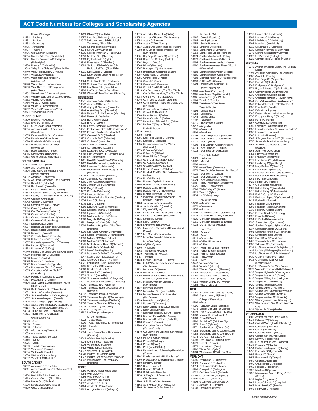\*3731 –Bradford \*3733 –Greensburg \*3735 –Johnstown \*3737 –Titusville \*3736 U of Scranton (Scranton) \*3664 U of the Arts, The (Philadelphia) \*3671 U of the Sciences in Philadelphia (Philadelphia) \*3738 Ursinus C (Collegeville) \*3643 Valley Forge Christian C (Phoenixville) \*3740 Valley Forge Military C (Wayne) \*3744 Villanova U (Villanova) \*3746 Washington and Jefferson C (Washington) \*3748 Waynesburg U (Waynesburg) \*3750 West Chester U of Pennsylvania (West Chester) \*3752 Westminster C (New Wilmington) \*3754 Westmoreland County CC (Youngwood) \*3652 Widener U (Chester) \*3756 Wilkes U (Wilkes–Barre) \*3758 Wilson C (Chambersburg) \*3762 York C of Pennsylvania (York) \*3764 YTI Career Inst (York) **RHODE ISLAND** \*3800 Brown U (Providence) \*3802 Bryant U (Smithfield) \*3811 CC of Rhode Island (Warwick) \*3804 Johnson & Wales U–Providence (Providence) \*3805 Katharine Gibbs Sch (Cranston) \*3806 Providence C (Providence) \*3810 Rhode Island C (Providence) \*3812 Rhode Island Sch of Design (Providence) \*3814 Roger Williams U (Bristol) \*3816 Salve Regina U (Newport) \*3818 U of Rhode Island (Kingston) **SOUTH CAROLINA** \*3824 Aiken Tech C (Aiken) \*3830 Allen U (Columbia) \*3826 American C of the Building Arts (North Charleston) \*3832 Anderson U (Anderson) \*6066 Art Inst of Charleston, The (Charleston) \*3834 Benedict C (Columbia) \*3836 Bob Jones U (Greenville) \*3877 Central Carolina Tech C (Sumter) \*3833 Charleston Southern U (Charleston) \*3838 Citadel, The Military C of SC (Charleston) \*3840 Claflin U (Orangeburg) \*3842 Clemson U (Clemson) \*3843 Coastal Carolina U (Conway) \*3844 Coker C (Hartsville) \*3846 C of Charleston (Charleston) \*3850 Columbia C (Columbia) \*3848 Columbia International U (Columbia) \*3852 Converse C (Spartanburg) \*3854 Erskine C (Due West) \*3857 Florence Darlington Tech C (Florence) \*3856 Francis Marion U (Florence) \*3858 Furman U (Greenville) \*3827 Greenville Tech C (Greenville) \*3863 Holmes Bible C (Greenville) \*3867 Horry–Georgetown Tech C (Conway) \*3860 Lander U (Greenwood) \*3862 Limestone C (Gaffney) \*6440 Medical U of South Carolina (Charleston) \*3869 Midlands Tech C (Columbia) \*3868 Morris C (Sumter) \*3870 Newberry C (Newberry) \*3872 North Greenville U (Tigerville) \*3839 Northeastern Tech C (Cheraw) \*3865 Orangeburg–Calhoun Tech C (Orangeburg) \*3829 Piedmont Tech C (Greenwood) \*3874 Presbyterian C (Clinton) \*6326 South Carolina Commission on Higher Ed (Columbia) \*3876 South Carolina St U (Orangeburg) \*3831 South U–Columbia (Columbia) \*3893 Southern Methodist C (Orangeburg) \*3837 Southern Wesleyan U (Central) \*3825 Spartanburg CC (Spartanburg) \*3878 Spartanburg Methodist C (Spartanburg) \*6114 Tech C of the Lowcountry (Beaufort) \*3883 Tri–County Tech C (Pendleton) \*3871 Trident Tech C (Charleston) Univ of S Carolina: \*3879 –Aiken \*3835 –Beaufort \*3880 –Columbia -Solumbia<br>-Fort Jackson (Columbia) \*3859 –Lancaster \*3881 –Salkehatchie (Allendale) \*3885 –Sumter \*3875 –Union \*3889 –Upstate (Spartanburg) \*3882 Voorhees C (Denmark) \*3884 Winthrop U (Rock Hill) \*3886 Wofford C (Spartanburg) \*3887 York Tech C (Rock Hill) **SOUTH DAKOTA** \*3902 Augustana C (Sioux Falls) \*3911 Avera Sacred Heart Sch Radiologic Tech (Yankton) \*3904 Black Hills St U (Spearfish) **TEXAS**

\*3913 Colorado Tech U (Sioux Falls) \*3910 Dakota St U (Madison) \*3906 Dakota Wesleyan U (Mitchell) \*6529 Globe U (Sioux Falls)

Univ of Pittsburgh: \*3734 –Pittsburgh

3903 Kilian CC (Sioux Falls) \*4957 Lake Area Tech Inst (Watertown) \*3917 McKennan Hosp Sch Radiologic Technology (Sioux Falls) \*4958 Mitchell Tech Inst (Mitchell) \*3914 Mount Marty C (Yankton) \*3915 National American U (Rapid City) \*3916 Northern St U (Aberdeen) \*3909 Ogalala Lakota C (Kyle) \*3918 Presentation C (Aberdeen) \*3899 Sanford USD Med Center Sch Radiological Tech (Sioux Falls) \*3921 Sinte Gleska U (Mission) \*3922 South Dakota Sch of Mines & Tech (Rapid City) \*3924 South Dakota St U (Brookings) \*6909 Southeast Tech Inst (Sioux Falls) \*3920 U of Sioux Falls (Sioux Falls) \*3928 U of South Dakota (Vermillion) \*4960 Western Dakota Tech Inst (Rapid City) **TENNESSEE** \*3941 American Baptist C (Nashville) \*3942 Aquinas C (Nashville) \*3943 Argosy U–Nashville (Nashville) \*3944 Austin Peay St U (Clarksville) \*3949 Baptist C of Hlth Sciences (Memphis) \*3946 Belmont U (Nashville) \*3948 Bethel U (McKenzie) \*4038 Bryan C (Dayton) \*3950 Carson–Newman C (Jefferson City) \*4041 Chattanooga St Tech CC (Chattanooga) \*3952 Christian Brothers U (Memphis) \*3955 Cleveland St CC (Cleveland) \*3953 Columbia St CC (Columbia) \*3995 Crichton C (Memphis) \*3959 Crown C of the Bible (Powell) \*3954 Cumberland U (Lebanon) \*3969 Dyersburg St CC (Dyersburg) \*3958 East Tennessee St U (Johnson City) \*3960 Fisk U (Nashville) \*3961 Free Will Baptist Bible C (Nashville) \*3962 Freed–Hardeman U (Henderson) \*3966 Hiwassee C (Madisonville) \*4040 International Acad of Design & Tech (Nashville) \*6279 ITT Technical Inst (Knoxville) \*3967 Jackson St CC (Jackson) \*3965 John A Gupton C (Nashville) \*3968 Johnson Bible C (Knoxville) \*3970 King C (Bristol) \*3972 Knoxville C (Knoxville) \*3974 Lambuth U (Jackson) \*3936 L'Ecole Culinaire–Memphis (Cordova) \*3976 Lane C (Jackson) \*3978 Lee U (Cleveland) \*3980 Le Moyne–Owen C (Memphis) \*3982 Lincoln Memorial U (Harrogate) \*3956 Lipscomb U (Nashville) \*3986 Martin Methodist C (Pulaski) \*3988 Maryville C (Maryville) \*3991 Memphis C of Art (Memphis) \*4009 Methodist Hosp Sch of Rad Tech (Memphis) \*2230 Mid–South Christian C (Memphis) \*3994 Middle Tennessee St U (Murfreesboro) \*3996 Milligan C (Milligan College) \*4003 Motlow St CC (Tullahoma) \*3945 Nashville Auto–Diesel C (Nashville) \*3983 Nashville St CC (Nashville) \*4033 New C Franklin (Franklin) \*4019 Northeast St Tech CC (Blountville) 3947 Nossi C of Art (Goodlettsville) \*3981 O'More C of Design (Franklin) \*4021 Pellissippi St Tech CC (Knoxville) 6435 Remington C (Memphis) \*4008 Rhodes C (Memphis) \*3985 Roane St CC (Harriman) \*5559 South C (Knoxville) \*4006 Southern Adventist U (Collegedale) \*4011 Southwest Tennessee CC (Memphis) \*4010 Tennessee St U (Nashville) \*4015 Tennessee Student Assistance Corp (Nashville) \*4012 Tennessee Tech U (Cookeville) \*4013 Tennessee Temple U (Chattanooga) \*4014 Tennessee Wesleyan C (Athens) \*4016 Trevecca Nazarene U (Nashville) \*4018 Tusculum C (Greeneville) \*4020 Union U (Jackson) \*3992 U of Memphis (Memphis) Univ of Tennessee: \*4022 –Chattanooga \*4030 –Health Science Center (Memphis) \*4026 –Knoxville \*4032 –Martin \*5554 –Med Center/Sch of Radiography (Knoxville) \*4043 –Talent Search (Knoxville) \*4024 U of the South (Sewanee) \*4036 Vanderbilt U (Nashville) \*6452 Visible School (Lakeland) \*4037 Volunteer St CC (Gallatin) \*4028 Walters St CC (Morristown) \*4027 Watkins C of Art & Design (Nashville) \*4042 Wm R Moore C of Technology (Memphis) \*4050 Abilene Christian U (Abilene) \*4054 Alvin CC (Alvin) \*4056 Amarillo C (Amarillo) \*4073 Amberton U (Garland) \*4057 Angelina C (Lufkin) \*4164 Angelo St U (San Angelo) \*4163 Arlington Baptist C (Arlington)

\*4075 Art Inst of Dallas, The (Dallas) \*4052 Art Inst of Houston, The (Houston) \*4058 Austin C (Sherman) \*4059 Austin CC Dist (Austin) \*4117 Austin Grad Sch of Theology (Austin) \*6088 BHS Sch of Medical Imaging Tech (San Antonio) \*4061 Bay Ridge Christian C (Kendleton) \*4063 Baylor C of Dentistry (Dallas) \*4062 Baylor U (Waco) \*4068 Blinn C (Brenham) \*4067 Brazosport C (Lake Jackson) \*4053 Brookhaven C (Farmers Branch) \*4087 Cedar Valley C (Lancaster) \*4081 Central Texas C (Killeen) \*4074 Cisco J C (Cisco) \*4076 Clarendon C (Clarendon) \*4064 Coastal Bend C (Beeville) \*4213 C at Southwestern, The (Fort Worth) \*4211 C of St Thomas More, The (Fort Worth) \*4084 C of the Mainland (Texas City) \*4046 Collin County CC Dist (McKinney) \*4069 Commonwealth Inst of Funeral Service (Houston) \*4124 Concordia U–Austin (Austin) \*4091 Criswell C, The (Dallas) \*4080 Dallas Baptist U (Dallas) \*6064 Dallas Christian C (Dallas) \*4077 Dallas Inst of Funeral Srvc (Dallas) \*4082 Del Mar C (Corpus Christi) DeVry University: \*4219 –Houston \*4083 –Irving \*4086 East Texas Baptist U (Marshall) \*4085 Eastfield C (Mesquite) \*4235 Education America–Fort Worth (Fort Worth) \*4079 El Centro C (Dallas) \*4090 El Paso CC (El Paso) \*4092 Frank Phillips C (Borger) \*6614 Galen C of Nrsg (San Antonio) \*4103 Galveston C (Galveston) \*4095 Grayson County C (Denison) \*4096 Hardin–Simmons U (Abilene) \*4047 Hendrick Med Cntr Sch Radiologic Tech (Abilene) \*4099 Hill C (Hillsboro) \*4101 Houston Baptist U (Houston) \*4105 Houston CC System (Houston) \*4100 Howard C (Big Spring) \*4102 Howard Payne U (Brownwood) \*4104 Huston–Tillotson U (Austin) \*4072 Industrial Distribution Scholars–U of Houston (Houston) \*4108 Jacksonville C (Jacksonville) \*4110 Jarvis Christian C (Hawkins) \*4112 Kilgore C (Kilgore) \*6551 Lamar St C–Port Arthur (Port Arthur) \*4114 Lamar U–Beaumont (Beaumont) \*4116 Laredo CC (Laredo) \*4118 Lee C (Baytown) \*4120 LeTourneau U (Longview) \*6751 Lincoln C of Tech–Grand Prairie (Grand Prairie) \*4122 Lon Morris C (Jacksonville) \*6422 Lone Star Baptist C (Mesquite) Lone Star College: \*4786 –CyFair (Cypress) \*4260 –Kingwood \*4262 –Montgomery (Conroe) \*4139 –North Harris (Houston) \*4261 –Tomball \*4123 Lubbock Christian U (Lubbock) \*4161 LULAC Rey Feo Scholarship Committee (San Antonio) \*4131 McLennan CC (Waco) \*4130 McMurry U (Abilene) \*4066 Memorial Hermann Baptist Beaumont Sch of Rad Tech (Beaumont) \*4265 Mexican American Catholic C (San Antonio) \*4127 Midland C (Midland) \*4132 Midwestern St U (Wichita Falls) \*4065 Minnie Stevens Piper Foundation (San Antonio) \*4089 Mountain View C (Dallas) \*4134 Navarro C (Corsicana) \*4094 North Central Texas C (Gainesville) \*4141 North Lake C (Irving) \*4147 Northeast Texas CC (Mount Pleasant) \*4126 Northwest Vista C (San Antonio) \*4135 Northwood U of Texas (Cedar Hill) \*4138 Odessa C (Odessa) \*5590 Our Lady of Corpus Christi (Corpus Christi) \*4140 Our Lady of the Lake U of San Antonio (San Antonio) \*4263 Palo Alto C (San Antonio) \*4144 Panola C (Carthage) \*4146 Paris J C (Paris) \*4151 Paul Quinn C (Dallas) \*4143 Permian Honor Scholarship Foundation (Odessa) \*4202 Prairie View A & M U (Prairie View) \*4060 Project STAY Scholarship (San Antonio) \*4150 Ranger C (Ranger) \*4152 Rice U (Houston) \*4153 Richland C (Dallas) \*4156 St Edward's U (Austin) \*4158 St Mary's U of San Antonio (San Antonio) \*4160 St Philip's C (San Antonio) \*4162 Sam Houston St U (Huntsville) \*4166 San Antonio C (San Antonio)

San Jacinto Coll: \*4167 –Central (Pasadena) \*4165 –North (Houston) \*4154 –South (Houston) \*4168 Schreiner U (Kerrville) \*4169 South Plains C (Levelland) \*5352 South Texas College (McAllen) \*4174 Southern Methodist U (Dallas) \*4176 Southwest Texas J C (Uvalde) \*4184 Southwestern Adventist U (Keene) \*4182 Southwestern Assemblies of God U (Waxahachie) \*4183 Southwestern Christian C (Terrell) \*4186 Southwestern U (Georgetown) \*4188 Stephen F Austin St U (Nacogdoches) \*4190 Sul Ross St U (Alpine) \*4204 Tarleton St U (Stephenville) Tarrant County Coll: \*4193 –Northeast Cmp (Hurst) \*4195 –Northwest Cmp (Fort Worth) \*4191 –South Cmp (Fort Worth) \*4192 Temple C (Temple) \*4194 Texarkana C (Texarkana) Texas A&M Univ: \*4198 –College Station \*4088 –Commerce \*4045 –Corpus Christi \*6592 –Galveston \*4215 –International (Laredo) \*4212 –Kingsville \*5350 –San Antonio \*4203 –Texarkana \*4205 Texas Chiropractic C (Pasadena) \*4206 Texas Christian U (Fort Worth) \*4210 Texas C (Tyler) \*4208 Texas Culinary Academy (Austin) \*4214 Texas Lutheran U (Seguin) \*4216 Texas Southern U (Houston) Texas State Tech Coll: \*4229 –Harlingen \*4207 –Marshall \*4109 –Waco \*5156 –West Texas (Sweetwater) \*4178 Texas St U–San Marcos (San Marcos) \*4220 Texas Tech U (Lubbock) \*4222 Texas Wesleyan U (Fort Worth) \*4224 Texas Woman's U (Denton) \*4181 Trinity Baptist Bible C (Arlington) \*4226 Trinity U (San Antonio) \*4098 Trinity Valley CC (Athens) \*4228 Tyler J C (Tyler) \*4234 U of Dallas (Irving) Univ. of Houston: \*4236 –Main Campus \*4170 –Downtown \*4255 –Victoria \*4106 U of Incarnate Word (San Antonio) \*4128 U of Mary Hardin–Baylor (Belton) \*4136 U of North Texas (Denton) \*6366 U of North Texas Dallas (Dallas) \*4238 U of St Thomas (Houston) Univ of Texas: \*4200 –Arlington \*4240 –Austin \*4218 –Brownsville \*4243 –Dallas (Richardson) \*4223 –El Paso \*4247 –Health Sci Ctr (San Antonio) \*4142 –Pan American (Edinburg) \*4225 –Permian Basin (Odessa) \*4239 –San Antonio \*4231 –Tyler \*4242 Vernon C (Vernon) \*4244 Victoria C (Victoria) \*4246 Wayland Baptist U (Plainview) \*4248 Weatherford C (Weatherford) \*4250 West Texas A&M U (Canyon) \*4172 Western Texas C (Snyder) \*4252 Wharton County J C (Wharton) \*4254 Wiley C (Marshall) **UTAH** \*4287 Argosy U–Salt Lake City (Draper) \*4266 Brigham Young U (Provo) College of Eastern Utah: \*4268 –Price \*4295 –San Juan Center (Blanding) \*4272 Dixie St C of Utah (St George) \*4270 LDS Business C (Salt Lake City) \*4283 Neumont U (South Jordan) \*4269 Provo C (Provo) \*4290 Salt Lake CC (Salt Lake City) \*4273 Snow C (Ephraim) \*4271 Southern Utah U (Cedar City) \*4286 Stevens Henager C–Ogden (Ogden) \*4288 Stevens Henager C–Orem (Orem) \*4274 U of Utah (Salt Lake City) \*4293 Utah Career C–Layton (Layton) \*4276 Utah St U (Logan) \*4278 Utah Valley U (Orem) \*4282 Weber St U (Ogden) \*4284 Westminster C (Salt Lake City) **VERMONT** \*4296 Bennington C (Bennington) \*4329 Burlington C (Burlington) \*4314 Castleton St C (Castleton) \*4298 Champlain C (Burlington) \*4320 C of Saint Joseph (Rutland) \*4299 CC of Vermont (Montpelier) \*4300 Goddard C (Plainfield) \*4302 Green Mountain C (Poultney) \*4316 Johnson St C (Johnson) \*4333 Landmark C (Putney)

\*4318 Lyndon St C (Lyndonville) \*4304 Marlboro C (Marlboro) \*4306 Middlebury C (Middlebury) \*4308 Norwich U (Northfield) \*4312 St Michael's C (Colchester) \*4310 Southern Vermont C (Bennington) \*6946 Sterling C (Craftsbury Common) \*4322 U of Vermont (Burlington) \*4323 Vermont Tech C (Randolph Center) **VIRGINIA** \*5345 Art Inst of Virginia Beach, The (Virginia Beach) \*4404 Art Inst of Washington, The (Arlington) \*4338 Averett U (Danville) 4341 Blue Ridge CC (Weyers Cave) \*4340 Bluefield C (Bluefield) \*4342 Bridgewater C (Bridgewater) \*4371 Bryant & Stratton C (Virginia Beach) 4354 Central Virginia CC (Lynchburg) \*4339 Christendom C (Front Royal) \*4345 Christopher Newport U (Newport News) \*4344 C of William and Mary (Williamsburg) 4349 Dabney S Lancaster CC (Clifton Forge) 4355 Danville CC (Danville) \*4408 DeVry U (Arlington) \*4348 Eastern Mennonite U (Harrisonburg) \*4350 Emory and Henry C (Emory) \*4352 Ferrum C (Ferrum) \*4357 George Mason U (Fairfax) \*4359 Germanna CC (Fredericksburg) \*4356 Hampden–Sydney C (Hampden–Sydney) \*4358 Hampton U (Hampton) \*4360 Hollins U (Roanoke) \*4362 J Sargeant Reynolds CC (Richmond) \*4370 James Madison U (Harrisonburg) \*4367 Jefferson C of Health Sciences (Roanoke) 4363 John Tyler CC (Chester) \*4364 Liberty U (Lynchburg) \*4366 Longwood U (Farmville) 4377 Lord Fairfax CC (Middletown) \*4368 Lynchburg C (Lynchburg) \*4374 Mary Baldwin C (Staunton) \*4378 Marymount U (Arlington) 4376 Mountain Empire CC (Big Stone Gap) \*4382 National Business C (Roanoke) 4361 New River CC (Dublin) \*4425 Norfolk St U (Norfolk) \*4347 Old Dominion U (Norfolk) \*4383 Patrick Henry C (Purcellville) \*4415 Patrick Henry CC (Martinsville) \*4385 Paul D. Camp CC (Franklin) \*4384 Piedmont Virginia CC (Charlottesville) \*4422 Radford U (Radford) \*4388 Randolph C (Lynchburg) \*4386 Randolph–Macon C (Ashland) \*6738 Regent U (Virginia Beach) \*4346 Richard Bland C (Petersburg) \*4392 Roanoke C (Salem) \*4394 St Paul's C (Lawrenceville) \*4396 Shenandoah U (Winchester) \*4400 Southern Virginia U (Buena Vista) 4337 Southside Virginia CC (Alberta) \*4401 Southwest Virginia CC (Richlands) \*4423 Stratford U (Falls Church) \*4406 Sweet Briar C (Sweet Briar) \*4407 Thomas Nelson CC (Hampton) \*4353 Tidewater CC (Portsmouth) \*4334 U of Management & Tech (Arlington) \*4414 U of Mary Washington (Fredericksburg) \*6752 U of Northern Virginia (Manassas) \*4410 U of Richmond (Richmond) \*4412 U of Virginia–Main Campus (Charlottesville) \*4343 U of Virginia's C at Wise (Wise) \*4379 Virginia Commonwealth U (Richmond) \*4433 Virginia Highlands CC (Abingdon) \*4416 Virginia Intermont C (Bristol) \*4418 Virginia Military Inst (Lexington) \*4424 Virginia St U (Petersburg) \*4420 Virginia Tech (Blacksburg) \*4428 Virginia Union U (Richmond) \*4426 Virginia U of Lynchburg (Lynchburg) \*4429 Virginia Wesleyan C (Norfolk) 4351 Virginia Western CC (Roanoke) \*4430 Washington and Lee U (Lexington) \*4533 Westmoreland Coal Co and Penn VA Corp 4431 Wytheville CC (Wytheville) **WASHINGTON** \*4503 Art Inst of Seattle, The (Seattle) \*4441 Bellevue CC (Bellevue) \*4444 Central Washington U (Ellensburg) \*4446 Centralia C (Centralia) \*4448 Clark C (Vancouver) \*4452 Columbia Basin C (Pasco) \*4501 Cornish C of the Arts (Seattle) \*4504 DeVry U (Federal Way) \*6659 DigiPen Inst of Tech (Redmond) \*4449 Dominion C (Seattle) \*4454 Eastern Washington U (Cheney) \*4455 Edmonds CC (Lynnwood) \*4456 Everett CC (Everett) \*4457 Evergreen St C (Olympia) \*4458 Gonzaga U (Spokane) 4460 Grays Harbor C (Aberdeen) \*4462 Heritage U (Toppenish) \*6626 Interface C (Spokane) \*6296 International Acad of Design & Tech (Seattle)

- \*4439 Kepler C (Lynnwood) 4464 Lower Columbia C (Longview)
- 4467 North Seattle CC (Seattle) \*4466 Northwest U (Kirkland)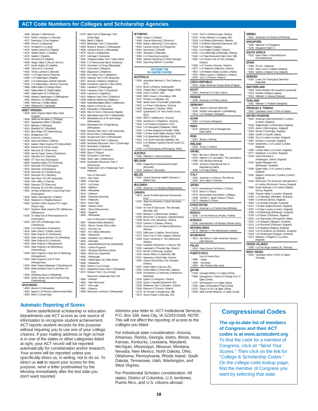4468 Olympic C (Bremerton) \*4470 Pacific Lutheran U (Tacoma) 4472 Peninsula C (Port Angeles) \*4469 Pierce C (Lakewood) \*4474 St Martin's U (Lacey) \*4475 Seattle Central CC (Seattle) \*4476 Seattle Pacific U (Seattle) Seattle U (Seattle) \*4479 Shoreline CC (Seattle) \*4480 Skagit Valley C (Mount Vernon) 4473 South Seattle CC (Seattle) \*4485 Tacoma CC (Tacoma) \*4453 Trinity Lutheran C (Everett) \*4450 U of Puget Sound (Tacoma) \*4484 U of Washington (Seattle) \*4497 U of Washington–Bothell (Bothell) \*4493 U of Washington–Tacoma (Tacoma) \*4486 Walla Walla U (College Place) \*4487 Walla Walla CC (Walla Walla) \*4482 Washington St U (Pullman) \*4490 Western Washington U (Bellingham) 4491 Whatcom CC (Bellingham) \*4492 Whitman C (Walla Walla) \*4494 Whitworth U (Spokane) **WEST VIRGINIA** \*4539 West Virginia Higher Educ Grant Program \*4508 Alderson Broaddus C (Philippi) \*4507 Appalachian Bible C (Bradley) \*4512 Bethany C (Bethany) \*4514 Bluefield St C (Bluefield) \*4523 Blue Ridge CTC (Martinsburg) \*5561 Bridgemont CTC \*4516 Concord U (Athens) \*4518 Davis and Elkins C (Elkins) \*4521 Eastern West Virginia CTC (Moorefield) \*4550 Everest Inst (Cross Lanes) \*4520 Fairmont St U (Fairmont) \*4555 Garnet Career Center (Charleston) \*4522 Glenville St C (Glenville) \*8699 ITT Tech Inst (Huntington) \*6628 Kanawha Valley CTC (Institute) \*4513 Marshall CTC (Huntington) \*4526 Marshall U (Huntington) \*6248 Mountain St C (Parkersburg) \*4510 Mountain St U (Beckley) \*5580 New River CTC (All campuses) \*4548 Ohio Valley U (Vienna) \*5565 Pierpont CTC (Fairmont) \*4529 Potomac St C of WVU (Keyser) \*4551 St Mary's/Marshall U Coop Nrsg Prgm (Huntington) \*4530 Salem International U (Salem) \*4532 Shepherd U (Shepherdstown) \*4525 Southern West Virginia CTC–Logan (Mount Gay) \*4527 Southern West Virginia CTC–Williamson (Williamson) \*6245 Tri-State Inst of Pharmaceutical Sci (Huntington) \*6430 UHC Sch of Radiologic Tech (Clarksburg) \*4528 U of Charleston (Charleston) \*4534 West Liberty U (West Liberty) \*4537 West Virginia JC (Charleston) \*4535 West Virginia Northern CC (Wheeling) \*4538 West Virginia St U (Institute) \*4540 West Virginia U (Morgantown) \*4542 West Virginia U at Parkersburg (Parkersburg) \*4549 West Virginia U Hosp Sch of Radiology (Morgantown) \*4536 West Virginia U Inst of Tech (Montgomery) \*4544 West Virginia Wesleyan C (Buckhannon) \*4533 Westmoreland Coal Co and Penn VA \*4546 Wheeling Jesuit U (Wheeling) \*4553 Wood County Voc Sch Practical Nrsg (Parkersburg) \*4558 Alverno C (Milwaukee) \*4562 Baptist C of Ministry (Menomonee Falls) \*4563 Bellin C (Green Bay) \*4661 –Superior \*4699 Wisconsin Lutheran C (Milwaukee)

#### **Automatic Reporting of Scores**

Corp

**WISCONSIN**

Some state/federal scholarship or education departments use ACT scores as one source of information to recognize student achievement. ACT reports student records for this purpose without requiring you to use one of your college choices. If your mailing address or high school is in one of the states or other categories listed at right, your ACT record will be reported automatically for consideration and/or research. Your scores will be reported unless you specifically direct us, in writing, not to do so. To direct us **not** to report your scores for this purpose, send a letter postmarked by the Monday immediately after the test date you don't want reported.

\*4579 Bellin Sch of Radiologic Tech (Green Bay) \*4564 Beloit C (Beloit) \*4593 Blackhawk Tech C (Janesville) \*4628 Bryant & Stratton C (Milwaukee) \*4568 Cardinal Stritch U (Milwaukee) \*4570 Carroll U (Waukesha) \*4571 Carthage C (Kenosha) \*4581 Chippewa Valley Tech C (Eau Claire) \*4580 C of Menominee Nation (Keshena) \*4575 Columbia C of Nrsg (Milwaukee) \*4574 Concordia U (Mequon) \*4582 Edgewood C (Madison) \*4556 Fox Valley Tech C (Appleton) \*4633 Gateway Tech C (All campuses) \*4557 Herzing U Madison (Madison) \*4589 Immanuel Lutheran C (Eau Claire) \*4592 Lakeland C (Sheboygan) \*4618 Lakeshore Tech C (Cleveland) \*4596 Lawrence U (Appleton) \*4615 Madison Area Tech C (Madison) \*4598 Madison Media Inst (Madison) \*4604 Maranatha Baptist Bible C (Watertown) \*4606 Marian U (Fond du Lac) \*4610 Marquette U (Milwaukee) \*4683 Mid–St Tech C (Wisconsin Rapids) \*4614 Milwaukee Area Tech C (Milwaukee) \*4701 Milwaukee Inst of Art and Design (Milwaukee) \*4616 Milwaukee Sch of Engineering (Milwaukee) \*4583 Moraine Park Tech C (All campuses) \*4620 Mount Mary C (Milwaukee) \*4646 Nicolet Area Tech C (Rhinelander) \*4663 Northcentral Tech C (Wausau) \*4585 Northeast Wisconsin Tech C (Green Bay) \*4624 Northland C (Ashland) \*4623 Northland Intl U (Dunbar) \*4636 Ripon C (Ripon) \*4644 St Norbert C (De Pere) \*4586 Silver Lake C (Manitowoc) \*4639 Southwest Wisconsin Tech C (Fennimore) \*4648 Theda Clark Sch of Radiologic Tech (Neenah) Univ of Wisconsin: \*4670 –Eau Claire \*4688 –Green Bay \*4672 –La Crosse \*4656 –Madison \*4658 –Milwaukee \*4674 –Oshkosh \*4690 –Parkside (Kenosha) \*4676 –Platteville \*4678 –River Falls \*4680 –Stevens Point \*4652 –Stout (Menomonie) \*4682 –Superior \*4684 –Whitewater Univ of Wisconsin Colleges: \*4657 –Baraboo/Sauk (Baraboo) \*4653 –Barron County (Rice Lake) \*4673 –Fond du Lac \*4687 –Fox Valley (Menasha) \*4692 –Manitowoc \*4696 –Marathon Cty (Wausau) \*4693 –Marinette \*4697 –Marshfield/Wood Cty (Marshfield) \*4675 –Online Programs \*4634 –Richland (Richland Center) \*4689 –Rock Cty (Janesville) \*4695 –Sheboygan \*4659 –Washington Cty (West Bend) \*4698 –Waukesha \*4662 Viterbo U (La Crosse) \*4671 Waukesha County Tech C (Pewaukee) \*4573 Western Tech C (La Crosse) Wisconsin Indianhead Tech Coll: \*4560 –Ashland \*4665 –New Richmond \*4677 –Rice Lake

#### **WYOMING**

- \*4998 Casper C (Casper) \*4999 Central Wyoming C (Riverton) \*5000 Eastern Wyoming C (Torrington) \*5003 Laramie County CC (Cheyenne)
- \*5004 Northwest C (Powell)
- 
- \*5002 Sheridan C (Sheridan) \*5006 U of Wyoming (Laramie) \*5005 Western Wyoming CC (Rock Springs) \*5001 Wyoming Catholic C (Lander)
	-

#### **OUTSIDE THE**

**50 UNITED STATES AUSTRALIA** \*5429 Australian National U, The (Canberra, ACT) \*5370 Bond U (Robina, Queensland) \*5431 Charles Sturt U (Wagga Wagga, NSW) \*5368 Curtin U (Perth, WA) \*5438 Edith Cowan U (Joondalup, WA) \*5427 Flinders U (Adelaide, SA) \*5430 James Cook U (Townsville, Queensville) \*5421 La Trobe U (Bundoora, Victoria) \*5436 Macquarie U (Sydney, NSW) \*5437 Queensland U of Tech (Kelvin Grove, QLD) \*5425 RMIT U (Melbourne, Victoria) \*5426 Swinburne U (Hawthorn, Victoria) \*5434 U of Canberra (Canberra, ACT) \*5424 U of Newcastle (Callaghan, NSW) \*5432 U of New England (Armidale, NSW) \*5369 U of New South Wales (Sydney, NSW) \*5468 U of Queensland (Brisbane, QLD) \*5422 U of South Australia (Adelaide, SA) \*5423 U of Western Sydney (Penrith South DC, NSW) \*5428 U of Wollongong (Wollongong, NSW) **AUSTRIA** bster U–Vienna (Vienna) **BELGIUM** \*5393 Hogeschool-Universiteit Brussels (Brussels) \*5243 Vesalius C (Brussels) **BELIZE** \*5294 Central American Health Sciences U (Belize City) **BULGARIA** \*5465 American U in Bulgaria (Blagoevgrad) **CANADA** \*0670 James R Hoffa Memorial Scholarship Fund \*5200 Algoma University C (Sault Ste Marie, Ontario) \*5194 Art Inst of Vancouver, The–Burnaby (Burnaby, BC) \*5168 Bishop's U (Sherbrooke, Quebec) \*5206 Briercrest C (Caronport, Saskatchewan) \*5189 Brock U (St Catharines, Ontario) \*5376 Carleton U (Ottawa, Ontario) \*5253 Concordia U–C of Alberta (Edmonton, Alberta) \*5373 Dalhousie U (Halifax, Nova Scotia) \*5197 Devry Inst of Tech–Calgary (Alberta) \*5209 King's University C, The (Edmonton, Alberta) \*5182 Kwantlen Polytechnic U (Surrey, BC) \*5190 Lakehead U (Thunder Bay, Ontario) \*5231 McGill U (Montreal, Quebec) \*5192 Mount Allison U (Sackville, NB) \*5167 Nipissing U (North Bay, Ontario) \*5266 Ontario Dental Educ Inst (Ancaster, Ontario) \*5207 Pacific Bible C (Surrey, BC) \*5203 Prairie Bible C (Three Hills, Alberta) \*5204 Providence C & Seminary (Otterburne, Manitoba) \*5236 Queen's U (Kingston, Ontario) \*5293 Quest U Canada (Squamish, BC) \*5218 Redeemer Univ C (Ancaster, Ontario) \*5166 Ryerson U (Toronto, Ontario) \*5179 St Thomas U (Fredericton, NB) \*5374 Simon Fraser U (Burnaby, BC)

Address your letter to: ACT Institutional Services, P.O. Box 168, Iowa City, IA 52243-0168. NOTE: This will not affect the reporting of scores to the colleges you listed.

For individual state consideration: Arizona, Arkansas, Florida, Georgia, Idaho, Illinois, Iowa, Kansas, Kentucky, Louisiana, Maryland, Michigan, Mississippi, Missouri, Montana, Nevada, New Mexico, North Dakota, Ohio, Oklahoma, Pennsylvania, Rhode Island, South Dakota, Tennessee, Utah, Washington, and West Virginia.

For Presidential Scholars consideration: All states, District of Columbia, U.S. territories, Puerto Rico, and U.S. citizens abroad.

| $*5191$          | Trent U (Peterborough, Ontario)                                                 |
|------------------|---------------------------------------------------------------------------------|
| $*5242$          | Trinity Western U (Langley, BC)                                                 |
| *5324            | U of Alberta (Edmonton, Alberta)                                                |
| *5259<br>$*5169$ | U of British Columbia (Vancouver, BC)                                           |
| *5201            | U of Calgary (Calgary)<br>U of Guelph (Guelph, Ontario)                         |
| *5202            | U of Lethbridge (Lethbridge, Alberta)                                           |
| $*5180$          | U of New Brunswick (Saint John, NB)                                             |
| $*5265$          | U of Ontario Inst of Tech (Oshawa,                                              |
|                  | Ontario)                                                                        |
| *5366            | U of Toronto (Toronto, Ontario)                                                 |
| *5377            | U of Waterloo (Waterloo, Ontario)                                               |
| *4837<br>*5375   | U of Western Ontario (London, Ontario)<br>Wilfrid Laurier U (Waterloo, Ontario) |
| $*5250$          | York U (Toronto, Ontario)                                                       |
|                  |                                                                                 |
| \$5281           | <b>CZECH REPUBLIC</b>                                                           |
|                  | Anglo-Americka Vysoka Skola (Prague)                                            |
| <b>EGYPT</b>     |                                                                                 |
| 5303             | American U in Cairo (Cairo)                                                     |
| <b>FRANCE</b>    |                                                                                 |
| *5295            | American U of Paris (Paris)                                                     |
| GERMANY          |                                                                                 |
| 5249             | Jacobs U Bremen (Bremen)                                                        |
| $*5248$          | Schiller International U (Heidelberg)                                           |
| $*5313$          | U of Stuttgart (Stuttgart)                                                      |
| <b>GUAM</b>      |                                                                                 |
| 0892             | U of Guam (Mangilao)                                                            |
| INDIA            |                                                                                 |
| \$5222           | Maharishi Inst of Management                                                    |
|                  | (New Delhi)                                                                     |
| <b>IRAN</b>      |                                                                                 |
| 5267             | Shiraz U (Shiraz)                                                               |
| <b>IRELAND</b>   |                                                                                 |
| *5230            | Trinity C (Dublin)                                                              |
| <b>ISRAEL</b>    |                                                                                 |
| 0967             | Bar-Ilan U (Ramat-Gan)                                                          |
| *5229            | Hebrew U of Jerusalem, The (Jerusalem)                                          |
| *5385            | IDC Herzliya (Herzliya)                                                         |
| *5339            | Technion International Sch of                                                   |
|                  | Engineering (Haifa)                                                             |
| *5289            | U of Haifa (Haifa)                                                              |
| <b>ITALY</b>     |                                                                                 |
| *5392<br>*5283   | American U of Rome, The (Rome)                                                  |
|                  | John Cabot U (Rome)                                                             |
| <b>JAPAN</b>     |                                                                                 |
| \$5279           | International Christian U (Tokyo)                                               |
| *5278            | Nihon U (Tokyo)                                                                 |
| $*5475$          | Ritsumeikan Asia Pacific U (Beppu)                                              |
| *5298<br>$*5473$ | Temple U, Japan Campus (Tokyo)<br>Waseda U (Tokyo)                              |
|                  |                                                                                 |
|                  | KYRGYZSTAN                                                                      |
| 5479             | American U of Central Asia (Bishkek)                                            |
| <b>MEXICO</b>    |                                                                                 |
| \$5260           | U of the Americas (Puebla, Puebla)                                              |
| <b>MONACO</b>    |                                                                                 |
| *5158            | International U of Monaco (Monte Carlo)                                         |
|                  | <b>NETHERLANDS</b>                                                              |
| *5175            | Webster U-The Netherlands (Leiden)                                              |
| NICARAGUA        |                                                                                 |
| 4813             | Ave Maria U-Latin American Campus                                               |
|                  | (San Marcos)                                                                    |
| PALAU            |                                                                                 |
|                  |                                                                                 |
|                  |                                                                                 |
|                  | *6316 Palau Comm Coll (Koror)                                                   |
|                  | PUERTO RICO                                                                     |
| *4895            | Univ of Puerto Rico:                                                            |
| *4896            | -Cayey<br>-Humacao                                                              |
| $*4894$          | -Rio Piedras (San Juan)                                                         |
|                  |                                                                                 |
| *5269            | Carnegie Mellon U in Qatar (Doha)                                               |
| QATAR<br>*0669   | Georgetown U School of Foreign Srvc in                                          |
| *1107            | Qatar (Doha)<br>Northwestern U in Oatar (Doha)                                  |

\*5305 Qatar U/Foundation Prgm (Doha) \*5270 Texas A & M U at Qatar (Doha) \*5268 Weill Cornell Medical C in Qatar (Doha)

#### \*5262 Caribbean Union C (Port-of-Spain) **UNITED KINGDOM** \*5280 American InterContinental U–London (London, England) \*5418 Anglia Ruskin U (Chelmsford, England) \*5379 Aston U (Birmingham, England) \*5381 Brunel U (Uxbridge, England) \*5389 Cardiff U (Cardiff, Wales) \*5396 City U–London (London, England) \*5387 Durham U (Durham, England) \*5310 Goldsmiths, U of London (London, England) \*5395 London Metro U (London, England) \*5277 Middlesex U (London, England) \*5246 Oxford Brookes U (Headington, Oxford, England) \*5245 Queen Margaret Univ (Edinburgh, Scotland) \*5398 Queen Mary, U of London (London, England) \*5282 Regent's American C London (London, England) \*5244 Richmond, The American International U in London (Richmond, Surrey, England) \*5394 Royal Holloway U of London (Egham, Surrey, England) \*5399 Thames Valley U (London, England) \*5364 U of Aberdeen (Aberdeen, Scotland) \*5388 U of Bristol (Bristol, England) \*5400 U of Dundee (Dundee, Scotland) \*5317 U of East Anglia (Norwich, England) \*5397 U of East London (London, England) \*5390 U of Edinburgh (Edinburgh, Scotland) \*5378 U of Essex (Colchester, England) \*5420 U of Glamorgan (Pontypridd, Wales) \*5315 U of Glasgow (Glasgow, Scotland) \*5311 U of Plymouth (Plymouth, England) \*5419 U of Reading (Reading, England) \*5316 U of St Andrews (St Andrews, Scotland) \*5318 U of Strathclyde (Glasgow, Scotland) \*5312 Webster U–Regent's C (London, England) **VIRGIN ISLANDS** he Virgin Islands (St. Thomas) **WEST INDIES**

**SERBIA** \*5347 American U in Kosovo (Prishtina)

\*5301 Livets Ord Theological Seminary (Uppsala) **SWITZERLAND**

\*5361 Webster U–Thailand (Bangkok) **TRINIDAD & TOBAGO**

\*5384 Ecole Hoteliere de Lausanne (Lausanne) \*5223 Franklin College (Lugano) \*5154 Webster U–Geneva (Geneva)

\*5286 National U of Singapore \*5284 Singapore Mgmt U **SOUTH AFRICA** \*5331 North-West U–Potchefstroom (Potchefstroom)

\*5360 IE Univ. (Segovia) \*5291 Saint Louis U–Madrid (Madrid) \*5363 Suffolk U Madrid Cmp (Madrid)

**SINGAPORE**

**SPAIN**

**SWEDEN**

**THAILAND**

,<br>an Union C (Port-of-Spain, Caribbear<br>Trinidad)

## **Congressional Codes**

**The up-to-date list of members of Congress and their ACT codes is at www.actstudent.org**. To find the code for a member of Congress, click on "Send Your Scores." Then click on the link for

"College & Scholarship Codes." On the college code lookup page, find the member of Congress you want by selecting that state.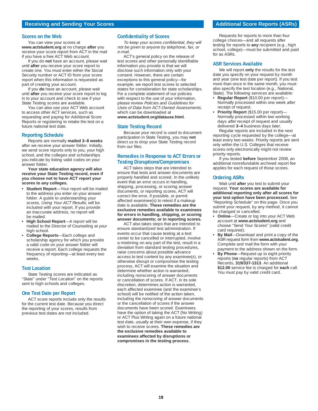#### **Receiving and Sending Your Scores <b>Additional Score Reports (ASRs) Additional Score Reports (ASRs)**

#### **Scores on the Web**

You can view your scores at **www.actstudent.org** at no charge **after** you receive your score report from ACT in the mail if you have a free ACT Web account.

If you do **not** have an account, please wait until **after** you receive your score report to create one. You must enter either the Social Security number or ACT ID from your score report when this information is requested as part of creating your account.

If you **do** have an account, please wait until **after** you receive your score report to log in to your account and check to see if your State Testing scores are available.

You can also use your ACT Web account to access other ACT services, such as requesting and paying for Additional Score Reports or registering to retake the test on a future national test date.

#### **Reporting Schedule**

Reports are normally **mailed 3–8 weeks** after we receive your answer folder. Initially, we send score reports only to you, your high school, and the colleges and scholarships you indicate by listing valid codes on your answer folder.

#### **Your state education agency will also receive your State Testing record, even if you choose not to have ACT report your scores to any colleges.**

- **Student Report**—Your report will be mailed to the address you enter on your answer folder. A guide to understanding your scores, Using Your ACT Results, will be included with your report. If you provide an inaccurate address, no report will be mailed.
- **High School Report**—A report will be mailed to the Director of Counseling at your high school.
- **College Reports**—Each college and scholarship agency for which you provide a valid code on your answer folder will receive a report. Each college requests the frequency of reporting—at least every two weeks.

#### **Test Location**

State Testing scores are indicated as "State" under "Test Location" on the reports sent to high schools and colleges.

#### **One Test Date per Report**

ACT score reports include only the results for the current test date. Because you direct the reporting of your scores, results from previous test dates are not included.

#### **Confidentiality of Scores**

To keep your scores confidential, they will not be given to anyone by telephone, fax, or e-mail.

ACT's general policy on the release of test scores and other personally identifiable information you provide is that we will disclose such information only with your consent. However, there are certain exceptions to this general policy—for example, we report test scores to selected states for consideration for state scholarships. For a complete statement of our policies with respect to the use of your information, please review Policies and Guidelines for Uses of Data from ACT-Owned Assessments, which can be downloaded at

#### **www.actstudent.org/datause.html**.

#### **State Testing Record**

Because your record is used to document participation in State Testing, you may **not** direct us to drop your State Testing record from our files.

#### **Remedies in Response to ACT Errors or Testing Disruptions/Compromises**

ACT takes steps that are intended to ensure that tests and answer documents are properly handled and scored. In the unlikely event that an error occurs in handling, shipping, processing, or scoring answer documents, or reporting scores, ACT will correct the error, if possible, or permit affected examinee(s) to retest if a makeup date is available. **These remedies are the exclusive remedies available to examinees for errors in handling, shipping, or scoring answer documents; or in reporting scores.** 

ACT also takes steps that are intended to ensure standardized test administration. If events occur that cause testing at a test center to be cancelled or interrupted, involve a mistiming on any part of the test, result in a deviation from standard testing procedures, raise concerns about possible advance access to test content by any examinee(s), or otherwise disrupt or compromise the testing process, ACT will examine the situation and determine whether action is warranted, including nonscoring of answer documents or cancellation of scores. If ACT, in its sole discretion, determines action is warranted, each affected examinee (and the examinee's school) will be notified of the action taken, including the nonscoring of answer documents or the cancellation of scores if the answer documents have been scored. Examinees have the option of taking the ACT (No Writing) or ACT Plus Writing again on a future national test date, usually at their own expense, if they wish to receive scores. **These remedies are the exclusive remedies available to examinees affected by disruptions or compromises in the testing process.** 

Requests for reports to more than four college choices—and all requests after testing for reports to **any** recipient (e.g., high school, college)—must be submitted and paid for as ASRs.

#### **ASR Services Available**

We will report **only** the results for the test date you specify on your request by month and year (one test date per report). If you test more than once in the same month, you must also specify the test location (e.g., National, State). The following services are available:

- **Regular Report** (\$10.00 per report)— Normally processed within one week after receipt of request.
- **Priority Report** (\$15.00 per report)— Normally processed within two working days **after** receipt of request and usually delivered **3–4** business days later.

Regular reports are included in the next reporting cycle requested by the college—at least every two weeks. Priority reports are sent only within the U.S. Colleges that receive scores only electronically might not review priority reports.

If you tested **before** September 2008, an additional nonrefundable archived report fee applies for each request of those scores.

#### **Ordering ASRs**

Wait until **after** you test to submit your request. **Your scores are available for additional reporting only after all scores for your test option have been processed.** See "Reporting Schedule" on this page. Once you submit your request, by any method, it cannot be changed or cancelled.

- **Online**—Create or log into your ACT Web account at **www.actstudent.org** and choose "Send Your Scores" (valid credit card required).
- **By Mail**—Download and print a copy of the ASR request form from **www.actstudent.org**. Complete and mail the form with your payment to the address shown on the form.
- **By Phone**—Request up to eight priority reports (**no** regular reports) from ACT Records, **319/337-1313**. An additional **\$12.00** service fee is charged for **each** call. You must pay by valid credit card.